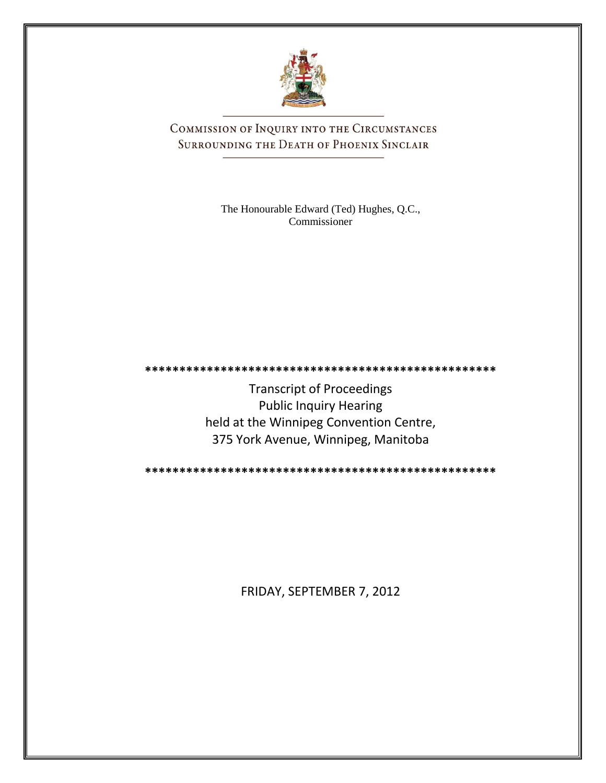

COMMISSION OF INQUIRY INTO THE CIRCUMSTANCES SURROUNDING THE DEATH OF PHOENIX SINCLAIR

> The Honourable Edward (Ted) Hughes, Q.C., Commissioner

**\*\*\*\*\*\*\*\*\*\*\*\*\*\*\*\*\*\*\*\*\*\*\*\*\*\*\*\*\*\*\*\*\*\*\*\*\*\*\*\*\*\*\*\*\*\*\*\*\*\*\***

Transcript of Proceedings Public Inquiry Hearing held at the Winnipeg Convention Centre, 375 York Avenue, Winnipeg, Manitoba

**\*\*\*\*\*\*\*\*\*\*\*\*\*\*\*\*\*\*\*\*\*\*\*\*\*\*\*\*\*\*\*\*\*\*\*\*\*\*\*\*\*\*\*\*\*\*\*\*\*\*\***

FRIDAY, SEPTEMBER 7, 2012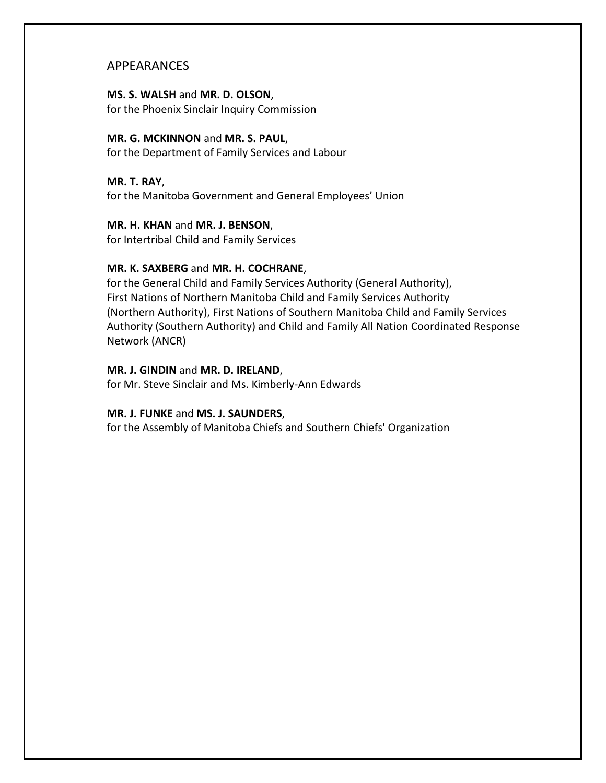### APPEARANCES

### **MS. S. WALSH** and **MR. D. OLSON**,

for the Phoenix Sinclair Inquiry Commission

### **MR. G. MCKINNON** and **MR. S. PAUL**,

for the Department of Family Services and Labour

### **MR. T. RAY**,

for the Manitoba Government and General Employees' Union

### **MR. H. KHAN** and **MR. J. BENSON**,

for Intertribal Child and Family Services

### **MR. K. SAXBERG** and **MR. H. COCHRANE**,

for the General Child and Family Services Authority (General Authority), First Nations of Northern Manitoba Child and Family Services Authority (Northern Authority), First Nations of Southern Manitoba Child and Family Services Authority (Southern Authority) and Child and Family All Nation Coordinated Response Network (ANCR)

### **MR. J. GINDIN** and **MR. D. IRELAND**,

for Mr. Steve Sinclair and Ms. Kimberly-Ann Edwards

### **MR. J. FUNKE** and **MS. J. SAUNDERS**,

for the Assembly of Manitoba Chiefs and Southern Chiefs' Organization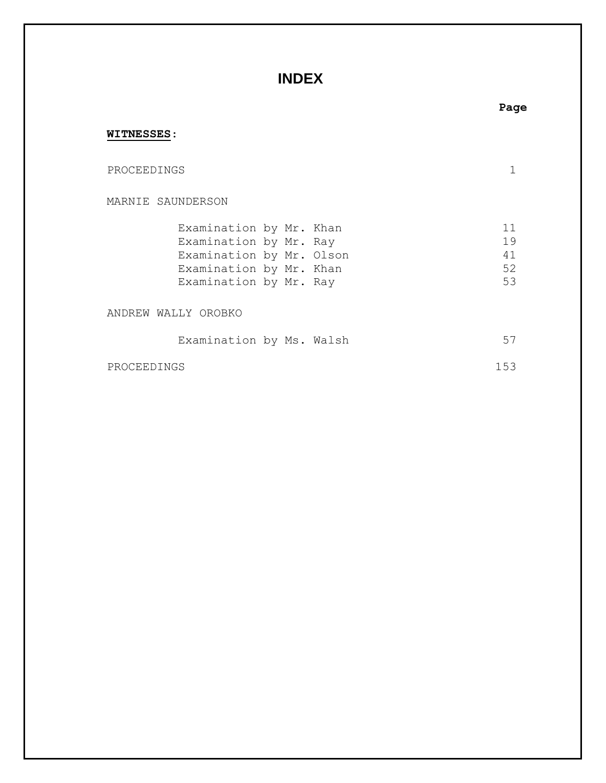## **INDEX**

# MARNIE SAUNDERSON Examination by Mr. Khan 11 Examination by Mr. Ray 19 Examination by Mr. Olson 41 Examination by Mr. Khan 52 Examination by Mr. Ray 53 ANDREW WALLY OROBKO Examination by Ms. Walsh 57

PROCEEDINGS 1

PROCEEDINGS 153

**WITNESSES**:

### **Page**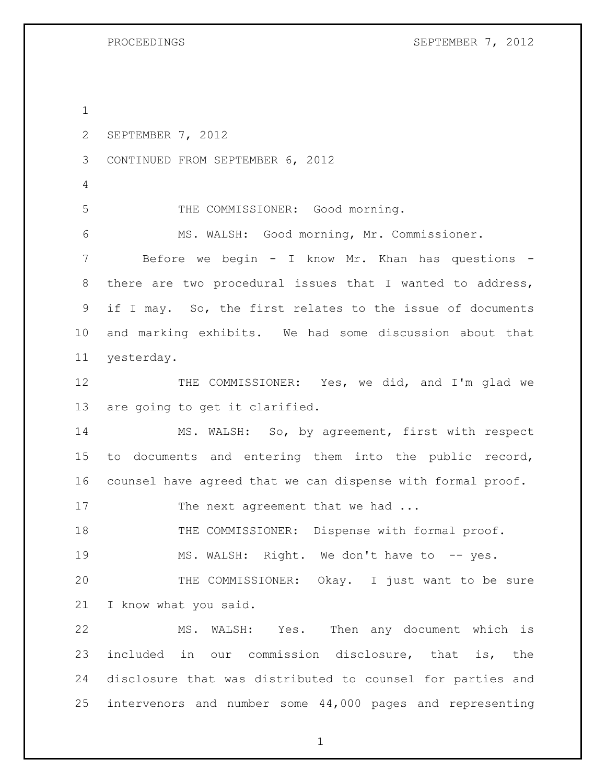SEPTEMBER 7, 2012 CONTINUED FROM SEPTEMBER 6, 2012 THE COMMISSIONER: Good morning. MS. WALSH: Good morning, Mr. Commissioner. Before we begin - I know Mr. Khan has questions - there are two procedural issues that I wanted to address, if I may. So, the first relates to the issue of documents and marking exhibits. We had some discussion about that yesterday. 12 THE COMMISSIONER: Yes, we did, and I'm glad we are going to get it clarified. MS. WALSH: So, by agreement, first with respect to documents and entering them into the public record, counsel have agreed that we can dispense with formal proof. 17 The next agreement that we had ... 18 THE COMMISSIONER: Dispense with formal proof. MS. WALSH: Right. We don't have to -- yes. THE COMMISSIONER: Okay. I just want to be sure I know what you said. MS. WALSH: Yes. Then any document which is included in our commission disclosure, that is, the disclosure that was distributed to counsel for parties and intervenors and number some 44,000 pages and representing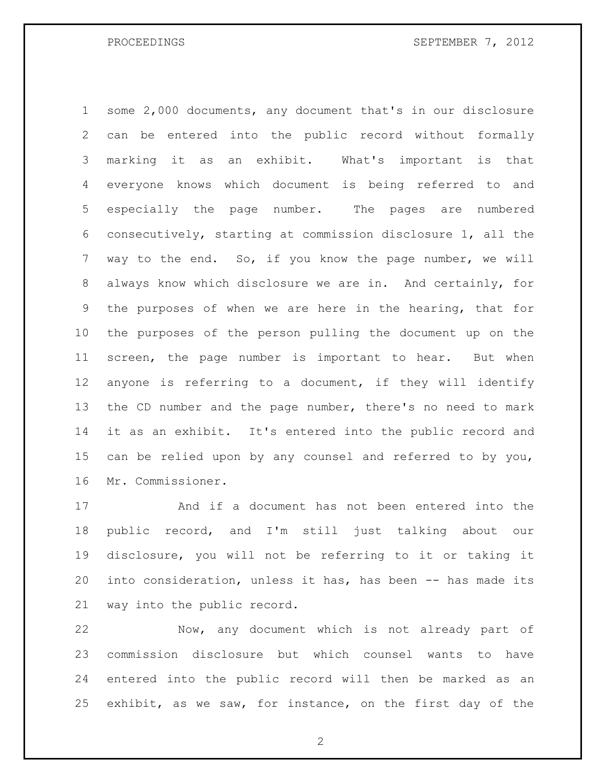some 2,000 documents, any document that's in our disclosure can be entered into the public record without formally marking it as an exhibit. What's important is that everyone knows which document is being referred to and especially the page number. The pages are numbered consecutively, starting at commission disclosure 1, all the way to the end. So, if you know the page number, we will always know which disclosure we are in. And certainly, for the purposes of when we are here in the hearing, that for the purposes of the person pulling the document up on the screen, the page number is important to hear. But when anyone is referring to a document, if they will identify the CD number and the page number, there's no need to mark it as an exhibit. It's entered into the public record and can be relied upon by any counsel and referred to by you, Mr. Commissioner.

 And if a document has not been entered into the public record, and I'm still just talking about our disclosure, you will not be referring to it or taking it into consideration, unless it has, has been -- has made its way into the public record.

 Now, any document which is not already part of commission disclosure but which counsel wants to have entered into the public record will then be marked as an exhibit, as we saw, for instance, on the first day of the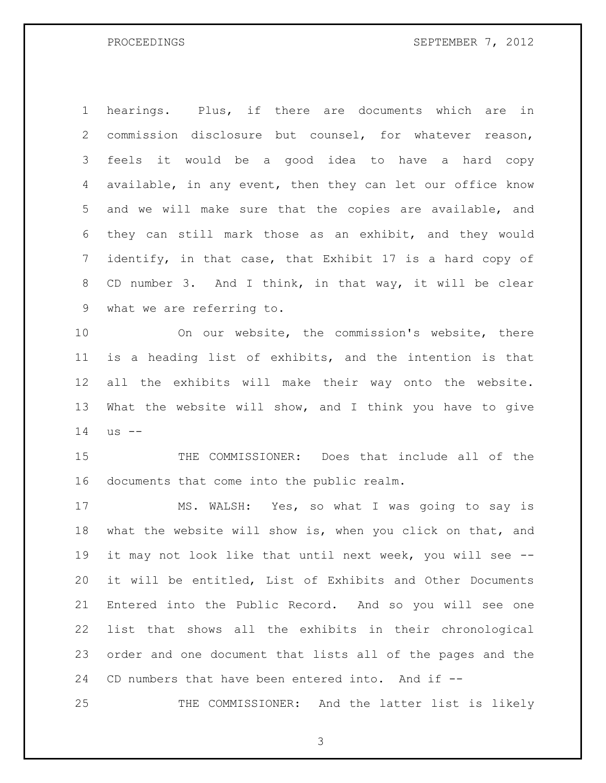hearings. Plus, if there are documents which are in commission disclosure but counsel, for whatever reason, feels it would be a good idea to have a hard copy available, in any event, then they can let our office know and we will make sure that the copies are available, and they can still mark those as an exhibit, and they would identify, in that case, that Exhibit 17 is a hard copy of CD number 3. And I think, in that way, it will be clear what we are referring to.

 On our website, the commission's website, there is a heading list of exhibits, and the intention is that all the exhibits will make their way onto the website. What the website will show, and I think you have to give us --

 THE COMMISSIONER: Does that include all of the documents that come into the public realm.

 MS. WALSH: Yes, so what I was going to say is what the website will show is, when you click on that, and it may not look like that until next week, you will see -- it will be entitled, List of Exhibits and Other Documents Entered into the Public Record. And so you will see one list that shows all the exhibits in their chronological order and one document that lists all of the pages and the CD numbers that have been entered into. And if --

25 THE COMMISSIONER: And the latter list is likely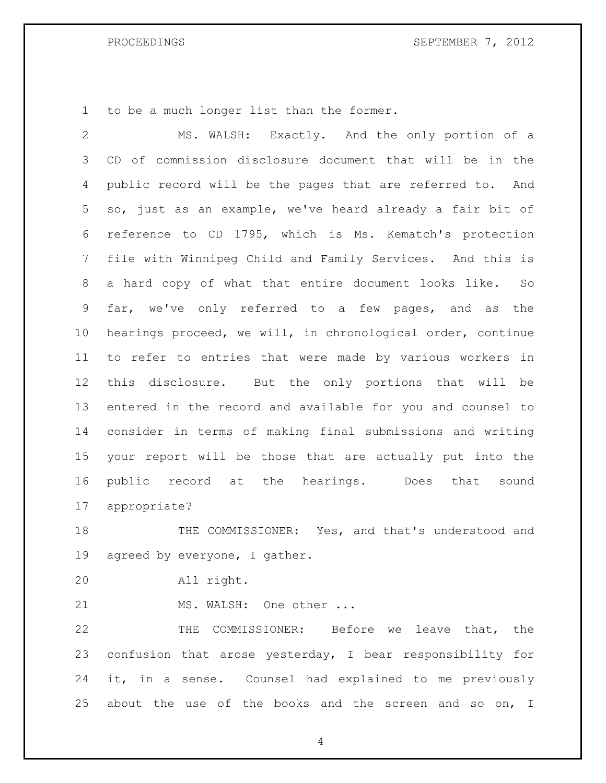to be a much longer list than the former.

 MS. WALSH: Exactly. And the only portion of a CD of commission disclosure document that will be in the public record will be the pages that are referred to. And so, just as an example, we've heard already a fair bit of reference to CD 1795, which is Ms. Kematch's protection file with Winnipeg Child and Family Services. And this is a hard copy of what that entire document looks like. So far, we've only referred to a few pages, and as the hearings proceed, we will, in chronological order, continue to refer to entries that were made by various workers in this disclosure. But the only portions that will be entered in the record and available for you and counsel to consider in terms of making final submissions and writing your report will be those that are actually put into the public record at the hearings. Does that sound appropriate?

18 THE COMMISSIONER: Yes, and that's understood and agreed by everyone, I gather.

All right.

21 MS. WALSH: One other ...

 THE COMMISSIONER: Before we leave that, the confusion that arose yesterday, I bear responsibility for it, in a sense. Counsel had explained to me previously about the use of the books and the screen and so on, I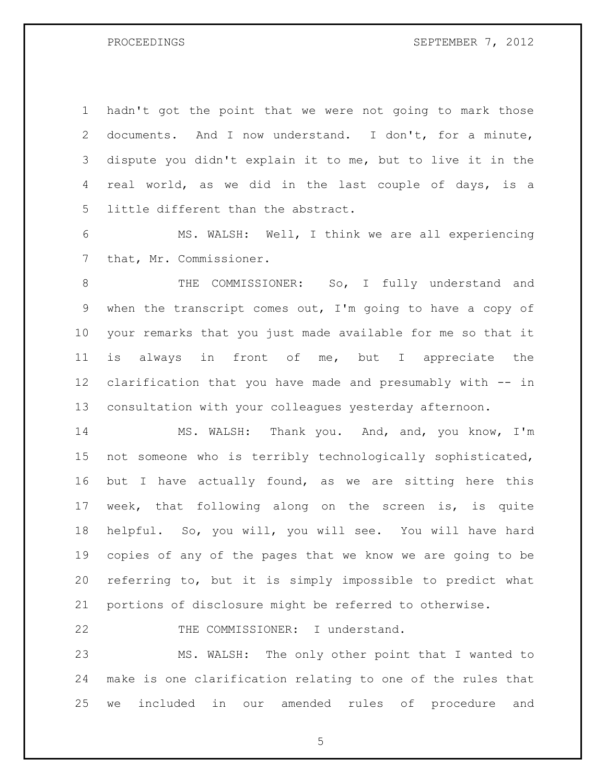hadn't got the point that we were not going to mark those documents. And I now understand. I don't, for a minute, dispute you didn't explain it to me, but to live it in the real world, as we did in the last couple of days, is a little different than the abstract.

 MS. WALSH: Well, I think we are all experiencing that, Mr. Commissioner.

8 THE COMMISSIONER: So, I fully understand and when the transcript comes out, I'm going to have a copy of your remarks that you just made available for me so that it is always in front of me, but I appreciate the clarification that you have made and presumably with -- in consultation with your colleagues yesterday afternoon.

 MS. WALSH: Thank you. And, and, you know, I'm not someone who is terribly technologically sophisticated, 16 but I have actually found, as we are sitting here this week, that following along on the screen is, is quite helpful. So, you will, you will see. You will have hard copies of any of the pages that we know we are going to be referring to, but it is simply impossible to predict what portions of disclosure might be referred to otherwise.

22 THE COMMISSIONER: I understand.

 MS. WALSH: The only other point that I wanted to make is one clarification relating to one of the rules that we included in our amended rules of procedure and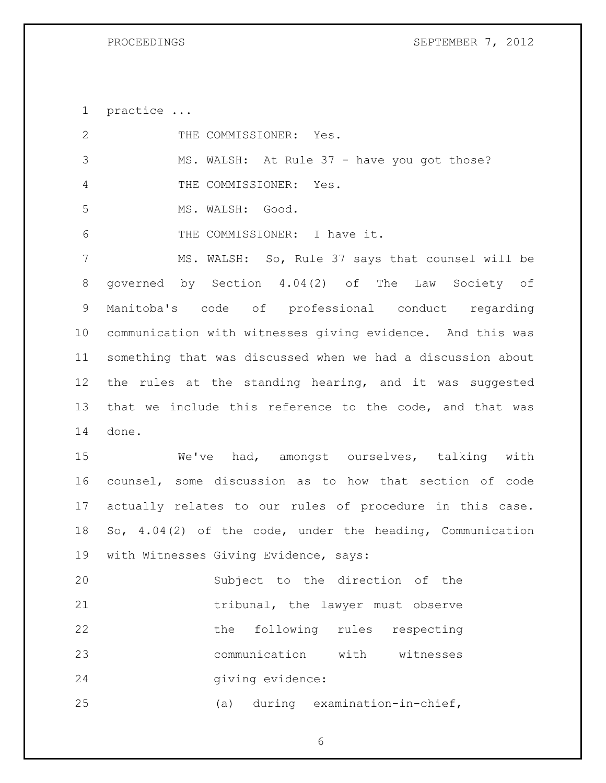practice ...

| 2              | THE COMMISSIONER: Yes.                                      |
|----------------|-------------------------------------------------------------|
| 3              | MS. WALSH: At Rule 37 - have you got those?                 |
| 4              | THE COMMISSIONER: Yes.                                      |
| 5              | MS. WALSH: Good.                                            |
| 6              | THE COMMISSIONER: I have it.                                |
| $7\phantom{.}$ | MS. WALSH: So, Rule 37 says that counsel will be            |
| 8              | governed by Section 4.04(2) of The Law Society of           |
| 9              | Manitoba's code of professional conduct regarding           |
| 10             | communication with witnesses giving evidence. And this was  |
| 11             | something that was discussed when we had a discussion about |
| 12             | the rules at the standing hearing, and it was suggested     |
| 13             | that we include this reference to the code, and that was    |
| 14             | done.                                                       |
| 15             | We've had, amongst ourselves, talking with                  |
| 16             | counsel, some discussion as to how that section of code     |
| 17             | actually relates to our rules of procedure in this case.    |
| 18             | So, 4.04(2) of the code, under the heading, Communication   |
| 19             | with Witnesses Giving Evidence, says:                       |
| 20             | Subject to the direction of the                             |
| 21             | tribunal, the lawyer must observe                           |
| 22             | the following<br>rules respecting                           |
| 23             | communication<br>with witnesses                             |
| 24             | giving evidence:                                            |
| 25             | during examination-in-chief,<br>(a)                         |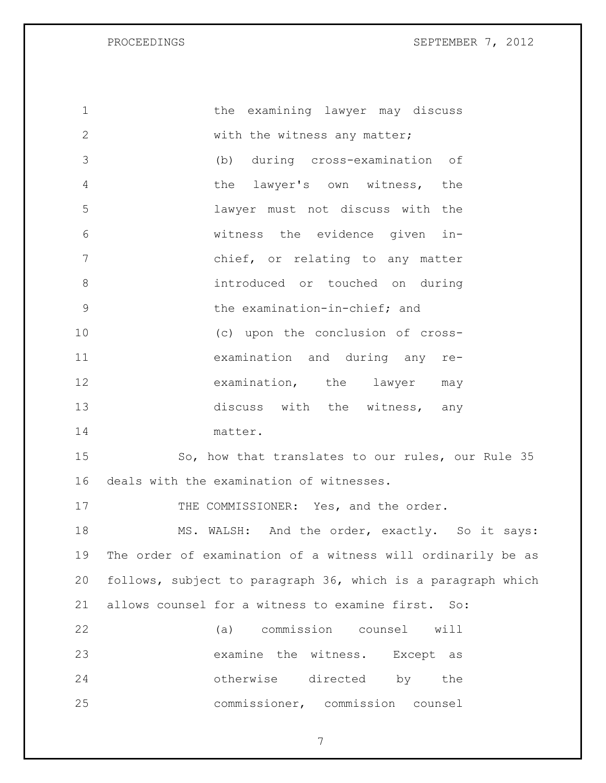| 1              | the examining lawyer may discuss                             |
|----------------|--------------------------------------------------------------|
| $\overline{2}$ | with the witness any matter;                                 |
| 3              | (b) during cross-examination of                              |
| $\overline{4}$ | the lawyer's own witness, the                                |
| 5              | lawyer must not discuss with the                             |
| 6              | witness the evidence given in-                               |
| 7              | chief, or relating to any matter                             |
| 8              | introduced or touched on during                              |
| 9              | the examination-in-chief; and                                |
| 10             | (c) upon the conclusion of cross-                            |
| 11             | examination and during any re-                               |
| 12             | examination, the lawyer<br>may                               |
| 13             | discuss with the witness, any                                |
| 14             | matter.                                                      |
| 15             | So, how that translates to our rules, our Rule 35            |
| 16             | deals with the examination of witnesses.                     |
| 17             | THE COMMISSIONER: Yes, and the order.                        |
| 18             | MS. WALSH: And the order, exactly. So it says:               |
| 19             | The order of examination of a witness will ordinarily be as  |
| 20             | follows, subject to paragraph 36, which is a paragraph which |
| 21             | allows counsel for a witness to examine first. So:           |
| 22             | (a) commission counsel will                                  |
| 23             | examine the witness. Except as                               |
| 24             | otherwise directed by the                                    |
| 25             | commissioner, commission counsel                             |
|                |                                                              |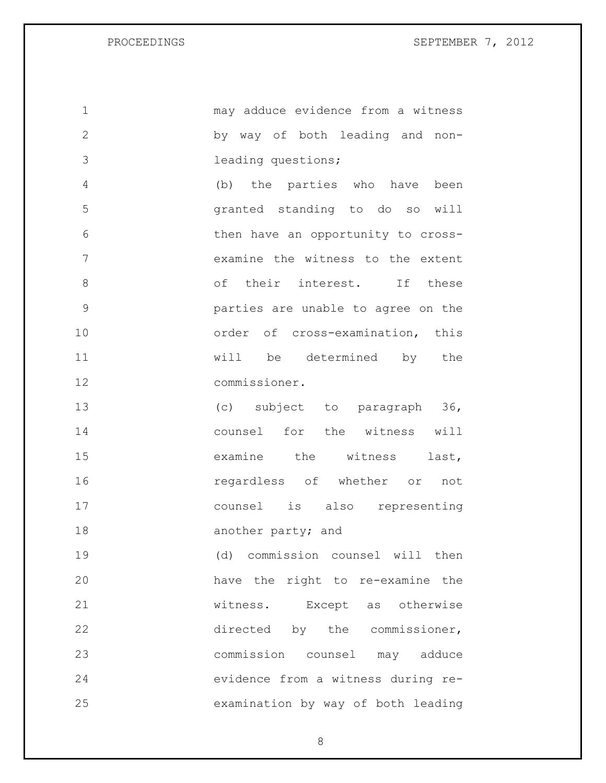may adduce evidence from a witness by way of both leading and non- leading questions; (b) the parties who have been granted standing to do so will then have an opportunity to cross- examine the witness to the extent 8 of their interest. If these parties are unable to agree on the 10 order of cross-examination, this will be determined by the commissioner. (c) subject to paragraph 36, counsel for the witness will 15 examine the witness last, regardless of whether or not counsel is also representing 18 another party; and (d) commission counsel will then have the right to re-examine the witness. Except as otherwise 22 directed by the commissioner, commission counsel may adduce evidence from a witness during re-examination by way of both leading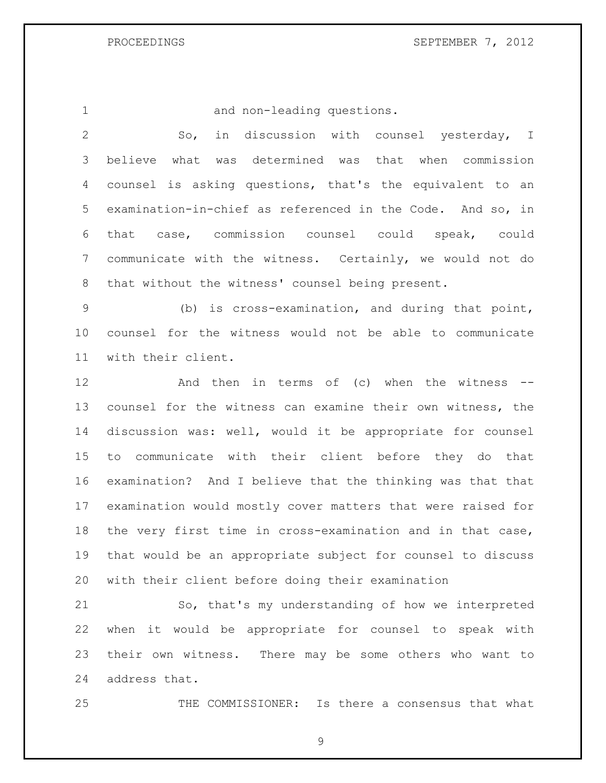and non-leading questions.

 So, in discussion with counsel yesterday, I believe what was determined was that when commission counsel is asking questions, that's the equivalent to an examination-in-chief as referenced in the Code. And so, in that case, commission counsel could speak, could communicate with the witness. Certainly, we would not do that without the witness' counsel being present.

 (b) is cross-examination, and during that point, counsel for the witness would not be able to communicate with their client.

 And then in terms of (c) when the witness -- counsel for the witness can examine their own witness, the discussion was: well, would it be appropriate for counsel to communicate with their client before they do that examination? And I believe that the thinking was that that examination would mostly cover matters that were raised for the very first time in cross-examination and in that case, that would be an appropriate subject for counsel to discuss with their client before doing their examination

 So, that's my understanding of how we interpreted when it would be appropriate for counsel to speak with their own witness. There may be some others who want to address that.

THE COMMISSIONER: Is there a consensus that what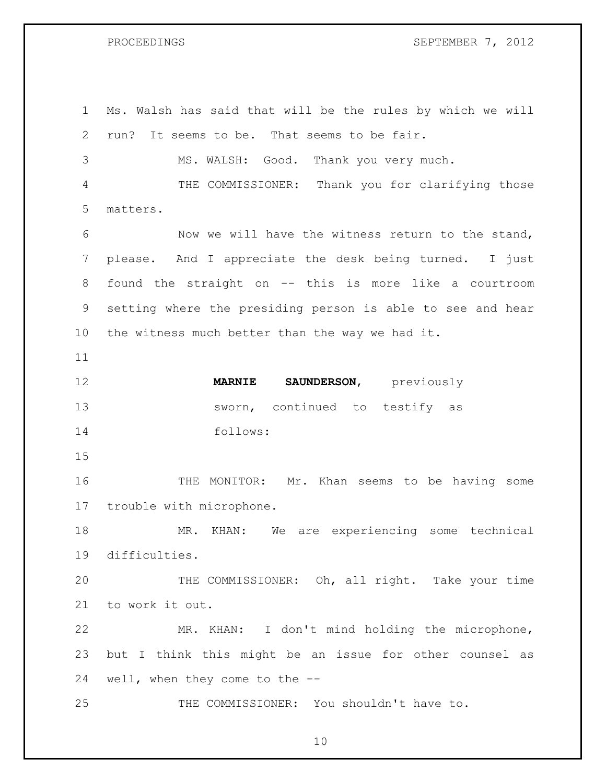Ms. Walsh has said that will be the rules by which we will run? It seems to be. That seems to be fair. MS. WALSH: Good. Thank you very much. THE COMMISSIONER: Thank you for clarifying those matters. Now we will have the witness return to the stand, please. And I appreciate the desk being turned. I just found the straight on -- this is more like a courtroom setting where the presiding person is able to see and hear the witness much better than the way we had it. **MARNIE SAUNDERSON**, previously 13 sworn, continued to testify as follows: THE MONITOR: Mr. Khan seems to be having some trouble with microphone. MR. KHAN: We are experiencing some technical difficulties. THE COMMISSIONER: Oh, all right. Take your time to work it out. MR. KHAN: I don't mind holding the microphone, but I think this might be an issue for other counsel as well, when they come to the -- THE COMMISSIONER: You shouldn't have to.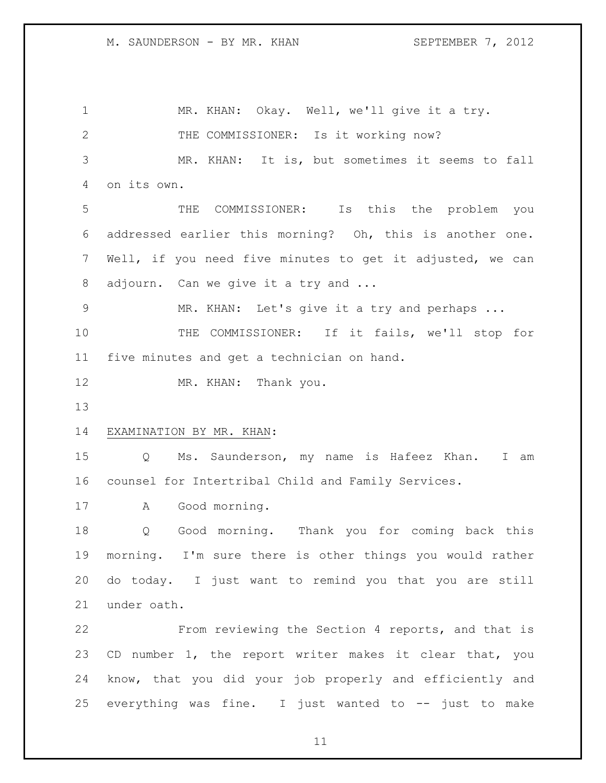MR. KHAN: Okay. Well, we'll give it a try. 2 THE COMMISSIONER: Is it working now? MR. KHAN: It is, but sometimes it seems to fall on its own. THE COMMISSIONER: Is this the problem you addressed earlier this morning? Oh, this is another one. Well, if you need five minutes to get it adjusted, we can 8 adjourn. Can we give it a try and ... 9 MR. KHAN: Let's give it a try and perhaps ... THE COMMISSIONER: If it fails, we'll stop for five minutes and get a technician on hand. 12 MR. KHAN: Thank you. EXAMINATION BY MR. KHAN: Q Ms. Saunderson, my name is Hafeez Khan. I am counsel for Intertribal Child and Family Services. A Good morning. Q Good morning. Thank you for coming back this morning. I'm sure there is other things you would rather do today. I just want to remind you that you are still under oath. From reviewing the Section 4 reports, and that is CD number 1, the report writer makes it clear that, you know, that you did your job properly and efficiently and everything was fine. I just wanted to -- just to make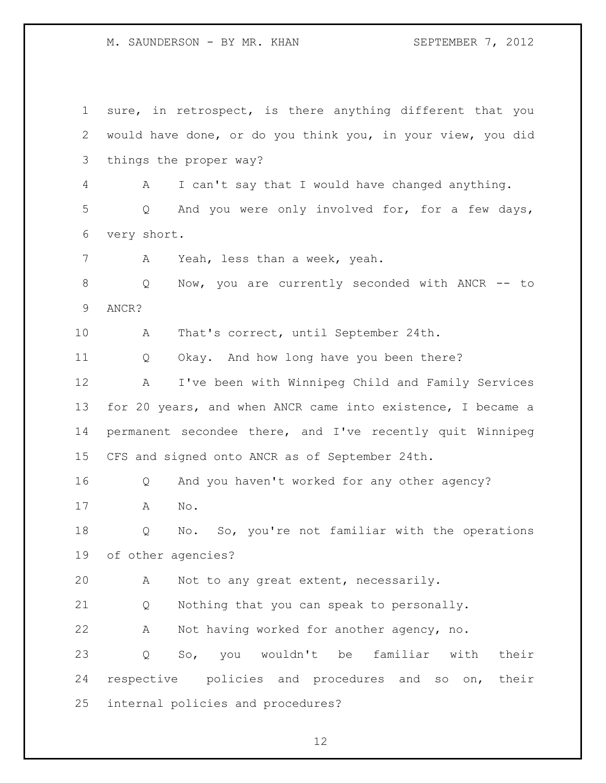M. SAUNDERSON - BY MR. KHAN SEPTEMBER 7, 2012

 sure, in retrospect, is there anything different that you would have done, or do you think you, in your view, you did things the proper way? A I can't say that I would have changed anything. Q And you were only involved for, for a few days, very short. A Yeah, less than a week, yeah. Q Now, you are currently seconded with ANCR -- to ANCR? A That's correct, until September 24th. Q Okay. And how long have you been there? A I've been with Winnipeg Child and Family Services for 20 years, and when ANCR came into existence, I became a permanent secondee there, and I've recently quit Winnipeg CFS and signed onto ANCR as of September 24th. Q And you haven't worked for any other agency? A No. Q No. So, you're not familiar with the operations of other agencies? A Not to any great extent, necessarily. Q Nothing that you can speak to personally. A Not having worked for another agency, no. Q So, you wouldn't be familiar with their respective policies and procedures and so on, their internal policies and procedures?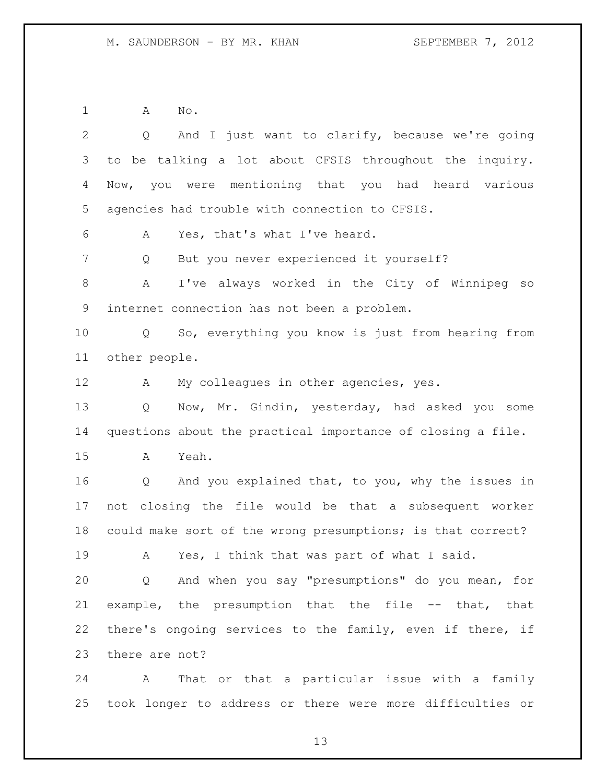A No.

 Q And I just want to clarify, because we're going to be talking a lot about CFSIS throughout the inquiry. Now, you were mentioning that you had heard various agencies had trouble with connection to CFSIS. A Yes, that's what I've heard. Q But you never experienced it yourself? A I've always worked in the City of Winnipeg so internet connection has not been a problem. Q So, everything you know is just from hearing from other people. 12 A My colleagues in other agencies, yes. Q Now, Mr. Gindin, yesterday, had asked you some questions about the practical importance of closing a file. A Yeah. Q And you explained that, to you, why the issues in not closing the file would be that a subsequent worker could make sort of the wrong presumptions; is that correct? A Yes, I think that was part of what I said. Q And when you say "presumptions" do you mean, for example, the presumption that the file -- that, that there's ongoing services to the family, even if there, if there are not? A That or that a particular issue with a family

took longer to address or there were more difficulties or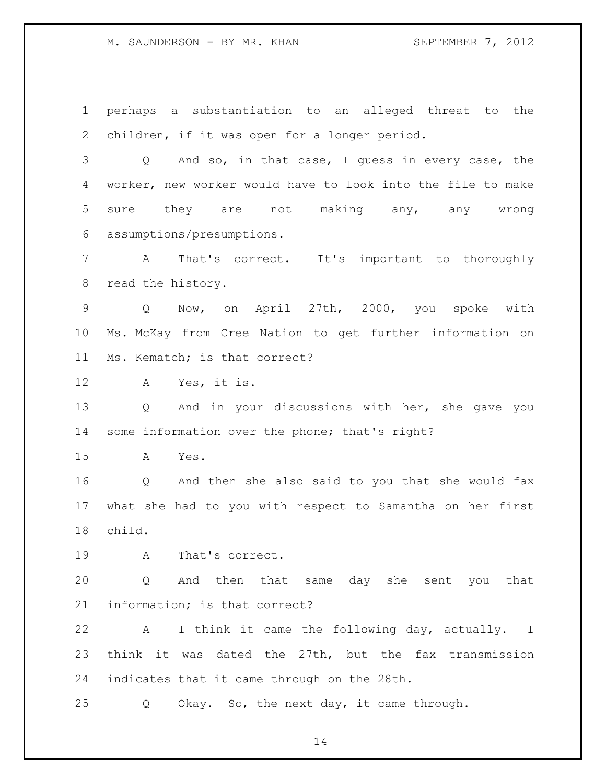M. SAUNDERSON - BY MR. KHAN SEPTEMBER 7, 2012

 perhaps a substantiation to an alleged threat to the children, if it was open for a longer period.

 Q And so, in that case, I guess in every case, the worker, new worker would have to look into the file to make sure they are not making any, any wrong assumptions/presumptions.

 A That's correct. It's important to thoroughly read the history.

 Q Now, on April 27th, 2000, you spoke with Ms. McKay from Cree Nation to get further information on Ms. Kematch; is that correct?

A Yes, it is.

 Q And in your discussions with her, she gave you some information over the phone; that's right?

A Yes.

 Q And then she also said to you that she would fax what she had to you with respect to Samantha on her first child.

A That's correct.

 Q And then that same day she sent you that information; is that correct?

 A I think it came the following day, actually. I think it was dated the 27th, but the fax transmission indicates that it came through on the 28th.

Q Okay. So, the next day, it came through.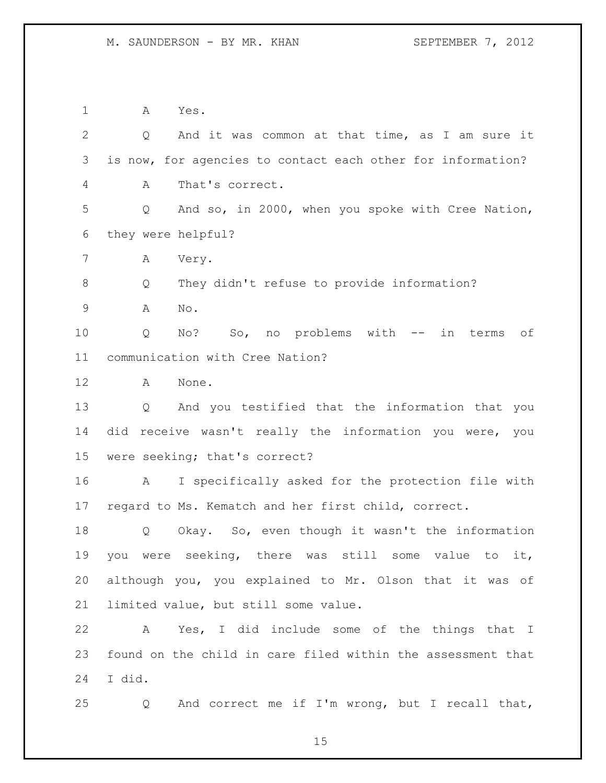A Yes.

| $\mathbf{2}$ | And it was common at that time, as I am sure it<br>Q              |
|--------------|-------------------------------------------------------------------|
| 3            | is now, for agencies to contact each other for information?       |
| 4            | That's correct.<br>A                                              |
| 5            | And so, in 2000, when you spoke with Cree Nation,<br>Q            |
| 6            | they were helpful?                                                |
| 7            | А<br>Very.                                                        |
| $8\,$        | They didn't refuse to provide information?<br>Q                   |
| 9            | A<br>No.                                                          |
| 10           | No? So, no problems with -- in terms of<br>Q                      |
| 11           | communication with Cree Nation?                                   |
| 12           | A<br>None.                                                        |
| 13           | And you testified that the information that you<br>$\mathsf{Q}^-$ |
| 14           | did receive wasn't really the information you were, you           |
| 15           | were seeking; that's correct?                                     |
| 16           | I specifically asked for the protection file with<br>A            |
| 17           | regard to Ms. Kematch and her first child, correct.               |
| 18           | Okay. So, even though it wasn't the information<br>Q              |
| 19           | were seeking, there was still some<br>value to<br>you<br>it,      |
| 20           | although you, you explained to Mr. Olson that it was of           |
| 21           | limited value, but still some value.                              |
| 22           | Yes, I did include some of the things that I<br>A                 |
| 23           | found on the child in care filed within the assessment that       |
| 24           | I did.                                                            |
| 25           | And correct me if I'm wrong, but I recall that,<br>Q              |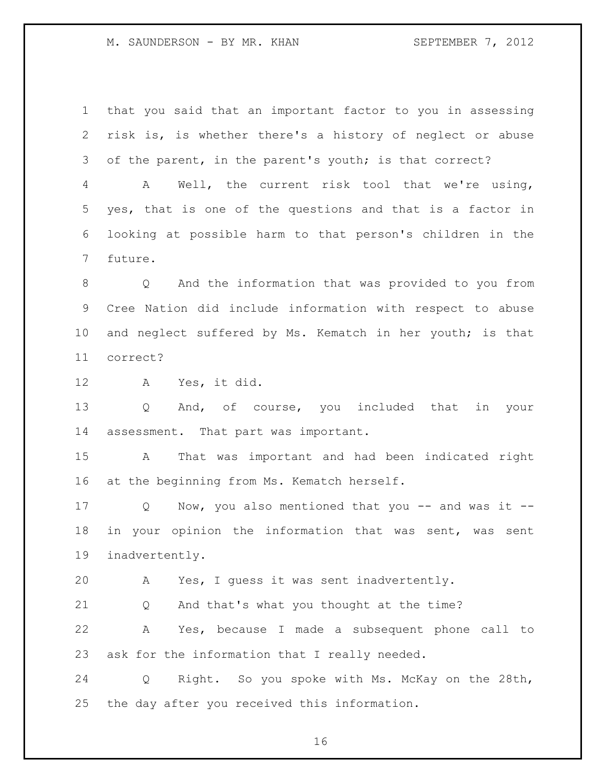M. SAUNDERSON - BY MR. KHAN SEPTEMBER 7, 2012

 that you said that an important factor to you in assessing risk is, is whether there's a history of neglect or abuse of the parent, in the parent's youth; is that correct?

 A Well, the current risk tool that we're using, yes, that is one of the questions and that is a factor in looking at possible harm to that person's children in the future.

 Q And the information that was provided to you from Cree Nation did include information with respect to abuse and neglect suffered by Ms. Kematch in her youth; is that correct?

A Yes, it did.

 Q And, of course, you included that in your assessment. That part was important.

 A That was important and had been indicated right at the beginning from Ms. Kematch herself.

 Q Now, you also mentioned that you -- and was it -- in your opinion the information that was sent, was sent inadvertently.

A Yes, I guess it was sent inadvertently.

Q And that's what you thought at the time?

 A Yes, because I made a subsequent phone call to ask for the information that I really needed.

 Q Right. So you spoke with Ms. McKay on the 28th, the day after you received this information.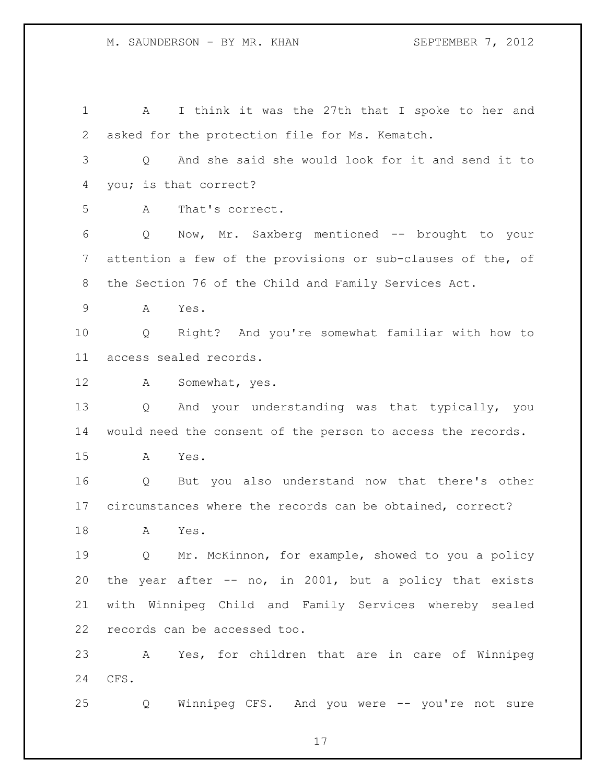A I think it was the 27th that I spoke to her and asked for the protection file for Ms. Kematch. Q And she said she would look for it and send it to you; is that correct? A That's correct. Q Now, Mr. Saxberg mentioned -- brought to your attention a few of the provisions or sub-clauses of the, of the Section 76 of the Child and Family Services Act. A Yes. Q Right? And you're somewhat familiar with how to access sealed records. A Somewhat, yes. Q And your understanding was that typically, you would need the consent of the person to access the records. A Yes. Q But you also understand now that there's other circumstances where the records can be obtained, correct? A Yes. 19 0 Mr. McKinnon, for example, showed to you a policy the year after -- no, in 2001, but a policy that exists with Winnipeg Child and Family Services whereby sealed records can be accessed too. A Yes, for children that are in care of Winnipeg CFS. Q Winnipeg CFS. And you were -- you're not sure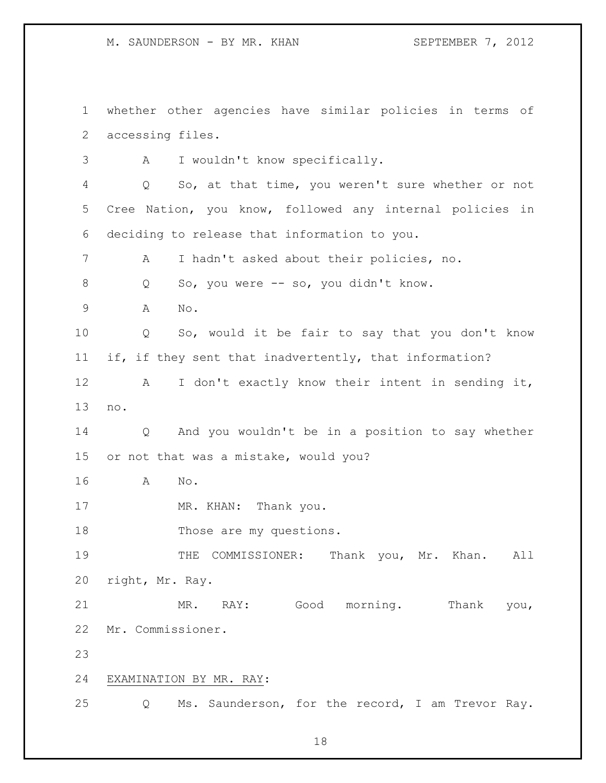M. SAUNDERSON - BY MR. KHAN SEPTEMBER 7, 2012

 whether other agencies have similar policies in terms of accessing files. A I wouldn't know specifically. Q So, at that time, you weren't sure whether or not Cree Nation, you know, followed any internal policies in deciding to release that information to you. A I hadn't asked about their policies, no. 8 Q So, you were -- so, you didn't know. A No. Q So, would it be fair to say that you don't know if, if they sent that inadvertently, that information? A I don't exactly know their intent in sending it, no. Q And you wouldn't be in a position to say whether or not that was a mistake, would you? A No. 17 MR. KHAN: Thank you. 18 Those are my questions. THE COMMISSIONER: Thank you, Mr. Khan. All right, Mr. Ray. MR. RAY: Good morning. Thank you, Mr. Commissioner. EXAMINATION BY MR. RAY: Q Ms. Saunderson, for the record, I am Trevor Ray.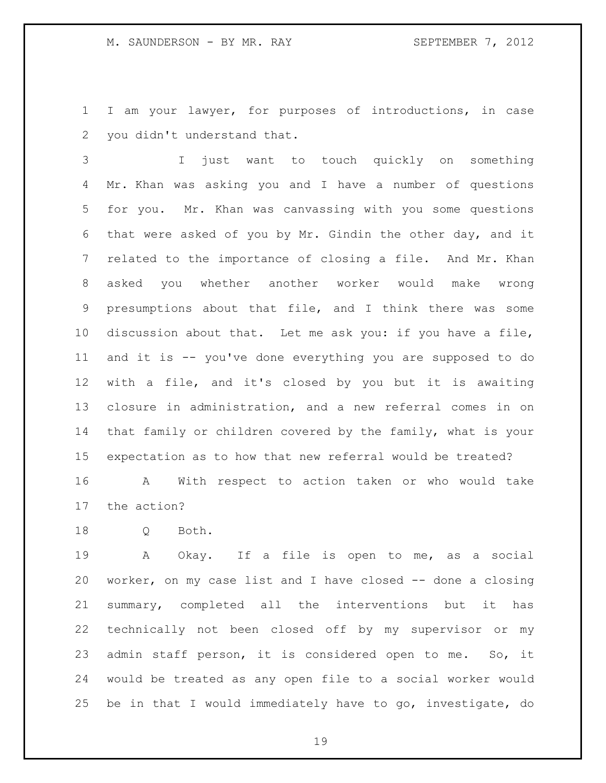I am your lawyer, for purposes of introductions, in case you didn't understand that.

 I just want to touch quickly on something Mr. Khan was asking you and I have a number of questions for you. Mr. Khan was canvassing with you some questions that were asked of you by Mr. Gindin the other day, and it related to the importance of closing a file. And Mr. Khan asked you whether another worker would make wrong presumptions about that file, and I think there was some discussion about that. Let me ask you: if you have a file, and it is -- you've done everything you are supposed to do with a file, and it's closed by you but it is awaiting closure in administration, and a new referral comes in on that family or children covered by the family, what is your expectation as to how that new referral would be treated?

 A With respect to action taken or who would take the action?

Q Both.

 A Okay. If a file is open to me, as a social worker, on my case list and I have closed -- done a closing summary, completed all the interventions but it has technically not been closed off by my supervisor or my admin staff person, it is considered open to me. So, it would be treated as any open file to a social worker would be in that I would immediately have to go, investigate, do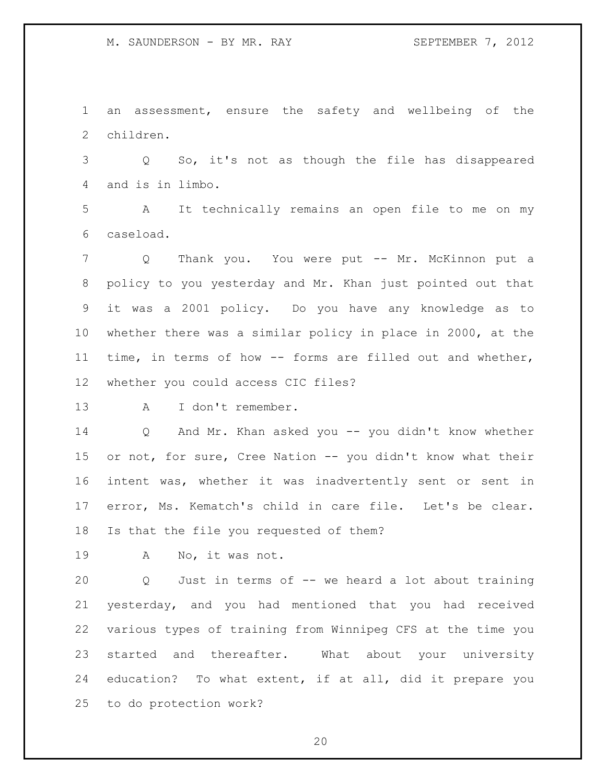M. SAUNDERSON - BY MR. RAY SEPTEMBER 7, 2012

 an assessment, ensure the safety and wellbeing of the children.

 Q So, it's not as though the file has disappeared and is in limbo.

 A It technically remains an open file to me on my caseload.

 Q Thank you. You were put -- Mr. McKinnon put a policy to you yesterday and Mr. Khan just pointed out that it was a 2001 policy. Do you have any knowledge as to whether there was a similar policy in place in 2000, at the time, in terms of how -- forms are filled out and whether, whether you could access CIC files?

A I don't remember.

 Q And Mr. Khan asked you -- you didn't know whether 15 or not, for sure, Cree Nation -- you didn't know what their intent was, whether it was inadvertently sent or sent in error, Ms. Kematch's child in care file. Let's be clear. Is that the file you requested of them?

A No, it was not.

 Q Just in terms of -- we heard a lot about training yesterday, and you had mentioned that you had received various types of training from Winnipeg CFS at the time you started and thereafter. What about your university education? To what extent, if at all, did it prepare you to do protection work?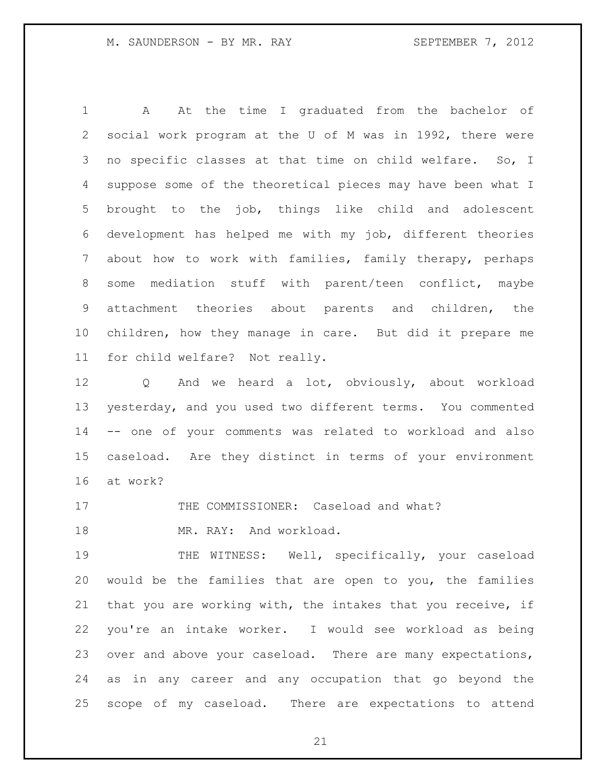A At the time I graduated from the bachelor of social work program at the U of M was in 1992, there were no specific classes at that time on child welfare. So, I suppose some of the theoretical pieces may have been what I brought to the job, things like child and adolescent development has helped me with my job, different theories about how to work with families, family therapy, perhaps some mediation stuff with parent/teen conflict, maybe attachment theories about parents and children, the children, how they manage in care. But did it prepare me for child welfare? Not really.

 Q And we heard a lot, obviously, about workload yesterday, and you used two different terms. You commented -- one of your comments was related to workload and also caseload. Are they distinct in terms of your environment at work?

17 THE COMMISSIONER: Caseload and what?

18 MR. RAY: And workload.

 THE WITNESS: Well, specifically, your caseload would be the families that are open to you, the families that you are working with, the intakes that you receive, if you're an intake worker. I would see workload as being over and above your caseload. There are many expectations, as in any career and any occupation that go beyond the scope of my caseload. There are expectations to attend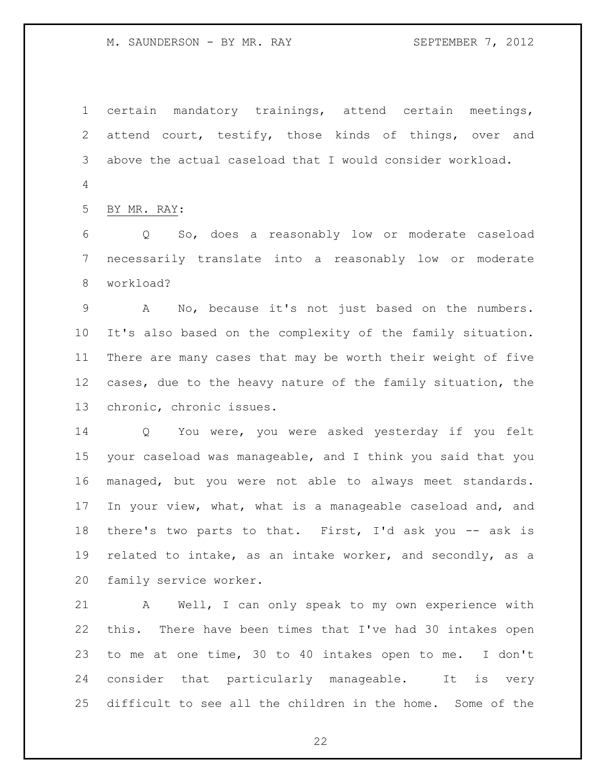M. SAUNDERSON - BY MR. RAY SEPTEMBER 7, 2012

 certain mandatory trainings, attend certain meetings, attend court, testify, those kinds of things, over and above the actual caseload that I would consider workload. 

BY MR. RAY:

 Q So, does a reasonably low or moderate caseload necessarily translate into a reasonably low or moderate workload?

 A No, because it's not just based on the numbers. It's also based on the complexity of the family situation. There are many cases that may be worth their weight of five cases, due to the heavy nature of the family situation, the chronic, chronic issues.

 Q You were, you were asked yesterday if you felt your caseload was manageable, and I think you said that you managed, but you were not able to always meet standards. In your view, what, what is a manageable caseload and, and there's two parts to that. First, I'd ask you -- ask is related to intake, as an intake worker, and secondly, as a family service worker.

 A Well, I can only speak to my own experience with this. There have been times that I've had 30 intakes open to me at one time, 30 to 40 intakes open to me. I don't consider that particularly manageable. It is very difficult to see all the children in the home. Some of the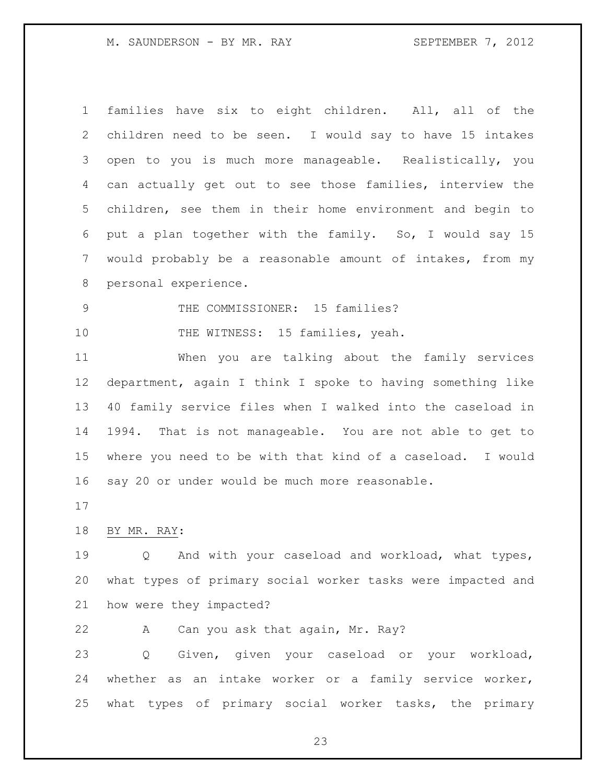M. SAUNDERSON - BY MR. RAY SEPTEMBER 7, 2012

| families have six to eight children. All, all of the       |
|------------------------------------------------------------|
|                                                            |
| children need to be seen. I would say to have 15 intakes   |
| open to you is much more manageable. Realistically, you    |
| can actually get out to see those families, interview the  |
| children, see them in their home environment and begin to  |
| put a plan together with the family. So, I would say 15    |
| would probably be a reasonable amount of intakes, from my  |
| personal experience.                                       |
| THE COMMISSIONER: 15 families?                             |
| THE WITNESS: 15 families, yeah.                            |
| When you are talking about the family services             |
| department, again I think I spoke to having something like |
| 40 family service files when I walked into the caseload in |
| 1994. That is not manageable. You are not able to get to   |
| where you need to be with that kind of a caseload. I would |
| say 20 or under would be much more reasonable.             |
|                                                            |
| BY MR. RAY:                                                |
|                                                            |

 Q And with your caseload and workload, what types, what types of primary social worker tasks were impacted and how were they impacted?

A Can you ask that again, Mr. Ray?

 Q Given, given your caseload or your workload, whether as an intake worker or a family service worker, what types of primary social worker tasks, the primary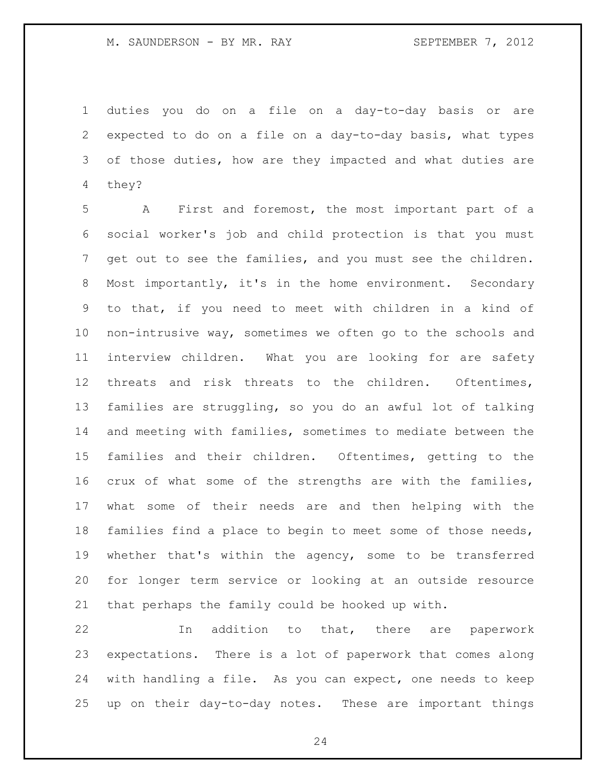duties you do on a file on a day-to-day basis or are expected to do on a file on a day-to-day basis, what types of those duties, how are they impacted and what duties are they?

 A First and foremost, the most important part of a social worker's job and child protection is that you must get out to see the families, and you must see the children. Most importantly, it's in the home environment. Secondary to that, if you need to meet with children in a kind of non-intrusive way, sometimes we often go to the schools and interview children. What you are looking for are safety threats and risk threats to the children. Oftentimes, families are struggling, so you do an awful lot of talking and meeting with families, sometimes to mediate between the families and their children. Oftentimes, getting to the crux of what some of the strengths are with the families, what some of their needs are and then helping with the families find a place to begin to meet some of those needs, whether that's within the agency, some to be transferred for longer term service or looking at an outside resource that perhaps the family could be hooked up with.

 In addition to that, there are paperwork expectations. There is a lot of paperwork that comes along with handling a file. As you can expect, one needs to keep up on their day-to-day notes. These are important things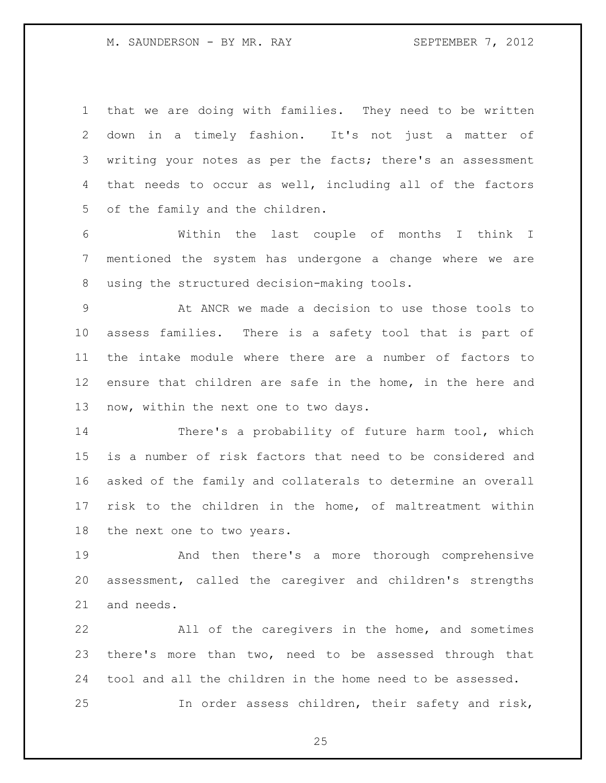that we are doing with families. They need to be written down in a timely fashion. It's not just a matter of writing your notes as per the facts; there's an assessment that needs to occur as well, including all of the factors of the family and the children.

 Within the last couple of months I think I mentioned the system has undergone a change where we are using the structured decision-making tools.

 At ANCR we made a decision to use those tools to assess families. There is a safety tool that is part of the intake module where there are a number of factors to ensure that children are safe in the home, in the here and now, within the next one to two days.

 There's a probability of future harm tool, which is a number of risk factors that need to be considered and asked of the family and collaterals to determine an overall risk to the children in the home, of maltreatment within the next one to two years.

 And then there's a more thorough comprehensive assessment, called the caregiver and children's strengths and needs.

 All of the caregivers in the home, and sometimes there's more than two, need to be assessed through that tool and all the children in the home need to be assessed. In order assess children, their safety and risk,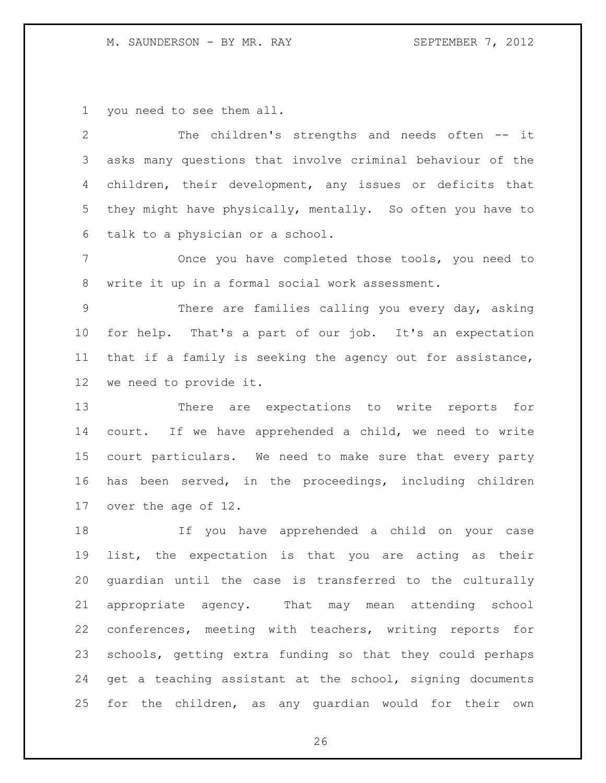### M. SAUNDERSON - BY MR. RAY SEPTEMBER 7, 2012

you need to see them all.

 The children's strengths and needs often -- it asks many questions that involve criminal behaviour of the children, their development, any issues or deficits that they might have physically, mentally. So often you have to talk to a physician or a school.

 Once you have completed those tools, you need to write it up in a formal social work assessment.

 There are families calling you every day, asking for help. That's a part of our job. It's an expectation that if a family is seeking the agency out for assistance, we need to provide it.

 There are expectations to write reports for court. If we have apprehended a child, we need to write court particulars. We need to make sure that every party has been served, in the proceedings, including children over the age of 12.

 If you have apprehended a child on your case list, the expectation is that you are acting as their guardian until the case is transferred to the culturally appropriate agency. That may mean attending school conferences, meeting with teachers, writing reports for schools, getting extra funding so that they could perhaps get a teaching assistant at the school, signing documents for the children, as any guardian would for their own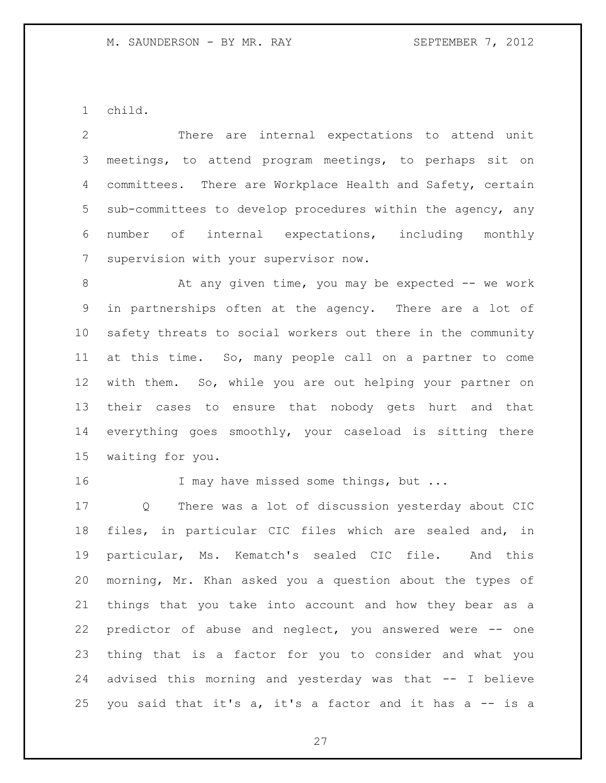child.

| $\mathbf{2}$ | There are internal expectations to attend unit              |
|--------------|-------------------------------------------------------------|
| 3            | meetings, to attend program meetings, to perhaps sit on     |
| 4            | committees. There are Workplace Health and Safety, certain  |
| 5            | sub-committees to develop procedures within the agency, any |
| 6            | number of internal expectations, including<br>monthly       |
| 7            | supervision with your supervisor now.                       |
| 8            | At any given time, you may be expected -- we work           |
| 9            | in partnerships often at the agency. There are a lot of     |
| 10           | safety threats to social workers out there in the community |
| 11           | at this time. So, many people call on a partner to come     |
| 12           | with them. So, while you are out helping your partner on    |
| 13           | their cases to ensure that nobody gets hurt and that        |
| 14           | everything goes smoothly, your caseload is sitting there    |
| 15           | waiting for you.                                            |
| 16           | I may have missed some things, but                          |
| 17           | There was a lot of discussion yesterday about CIC<br>Q      |
| 18           | files, in particular CIC files which are sealed and, in     |
| 19           | particular, Ms. Kematch's sealed CIC file. And this         |
| 20           | morning, Mr. Khan asked you a question about the types of   |
| 21           | things that you take into account and how they bear as a    |
|              |                                                             |

 thing that is a factor for you to consider and what you advised this morning and yesterday was that -- I believe 25 you said that it's  $a$ , it's a factor and it has  $a$  -- is a

predictor of abuse and neglect, you answered were -- one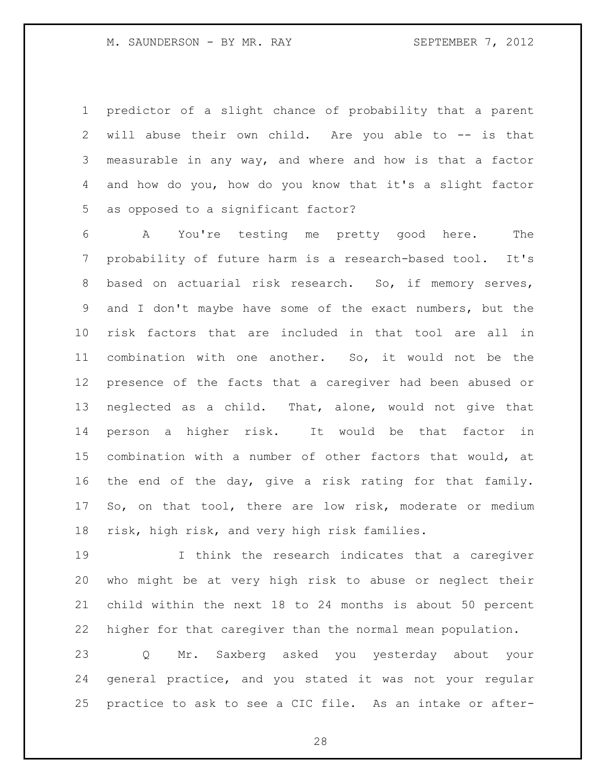predictor of a slight chance of probability that a parent will abuse their own child. Are you able to -- is that measurable in any way, and where and how is that a factor and how do you, how do you know that it's a slight factor as opposed to a significant factor?

 A You're testing me pretty good here. The probability of future harm is a research-based tool. It's based on actuarial risk research. So, if memory serves, and I don't maybe have some of the exact numbers, but the risk factors that are included in that tool are all in combination with one another. So, it would not be the presence of the facts that a caregiver had been abused or neglected as a child. That, alone, would not give that person a higher risk. It would be that factor in combination with a number of other factors that would, at the end of the day, give a risk rating for that family. So, on that tool, there are low risk, moderate or medium risk, high risk, and very high risk families.

 I think the research indicates that a caregiver who might be at very high risk to abuse or neglect their child within the next 18 to 24 months is about 50 percent higher for that caregiver than the normal mean population.

 Q Mr. Saxberg asked you yesterday about your general practice, and you stated it was not your regular practice to ask to see a CIC file. As an intake or after-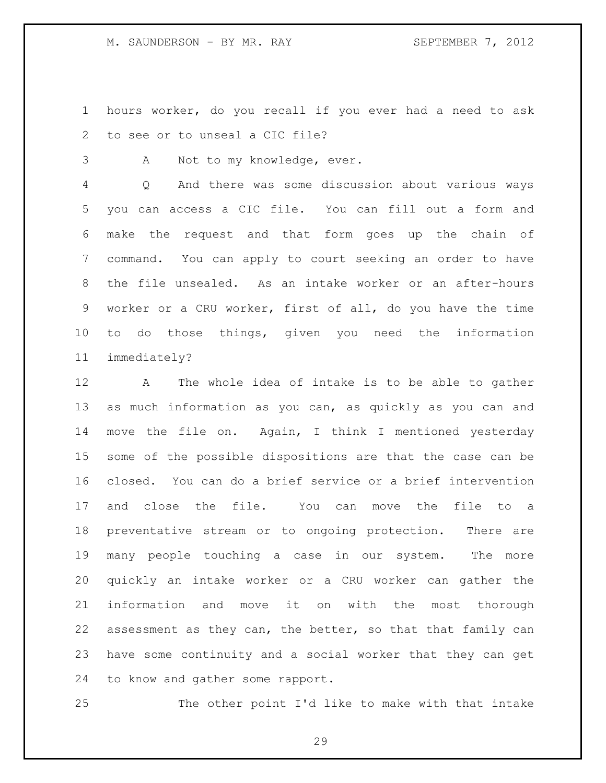M. SAUNDERSON - BY MR. RAY SEPTEMBER 7, 2012

 hours worker, do you recall if you ever had a need to ask to see or to unseal a CIC file?

A Not to my knowledge, ever.

 Q And there was some discussion about various ways you can access a CIC file. You can fill out a form and make the request and that form goes up the chain of command. You can apply to court seeking an order to have the file unsealed. As an intake worker or an after-hours worker or a CRU worker, first of all, do you have the time to do those things, given you need the information immediately?

 A The whole idea of intake is to be able to gather as much information as you can, as quickly as you can and move the file on. Again, I think I mentioned yesterday some of the possible dispositions are that the case can be closed. You can do a brief service or a brief intervention and close the file. You can move the file to a preventative stream or to ongoing protection. There are many people touching a case in our system. The more quickly an intake worker or a CRU worker can gather the information and move it on with the most thorough assessment as they can, the better, so that that family can have some continuity and a social worker that they can get to know and gather some rapport.

The other point I'd like to make with that intake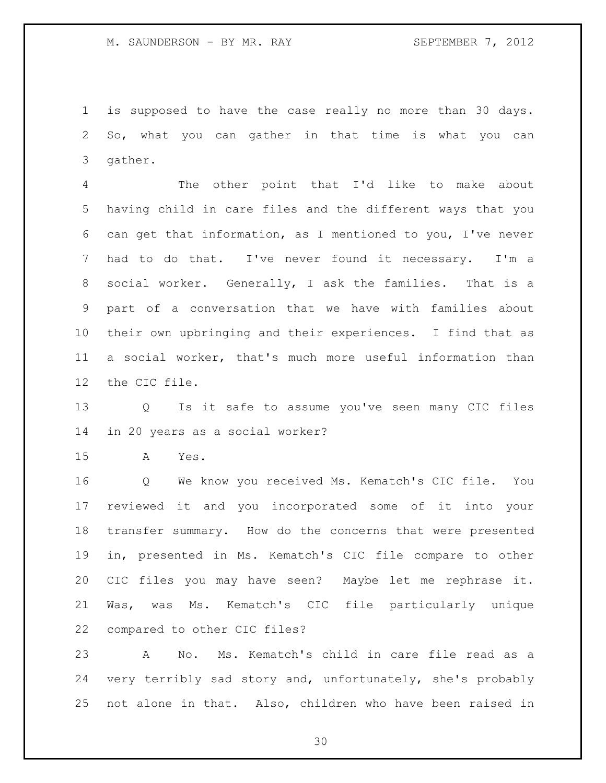is supposed to have the case really no more than 30 days. So, what you can gather in that time is what you can gather.

 The other point that I'd like to make about having child in care files and the different ways that you can get that information, as I mentioned to you, I've never had to do that. I've never found it necessary. I'm a social worker. Generally, I ask the families. That is a part of a conversation that we have with families about their own upbringing and their experiences. I find that as a social worker, that's much more useful information than the CIC file.

 Q Is it safe to assume you've seen many CIC files in 20 years as a social worker?

A Yes.

 Q We know you received Ms. Kematch's CIC file. You reviewed it and you incorporated some of it into your transfer summary. How do the concerns that were presented in, presented in Ms. Kematch's CIC file compare to other CIC files you may have seen? Maybe let me rephrase it. Was, was Ms. Kematch's CIC file particularly unique compared to other CIC files?

 A No. Ms. Kematch's child in care file read as a very terribly sad story and, unfortunately, she's probably not alone in that. Also, children who have been raised in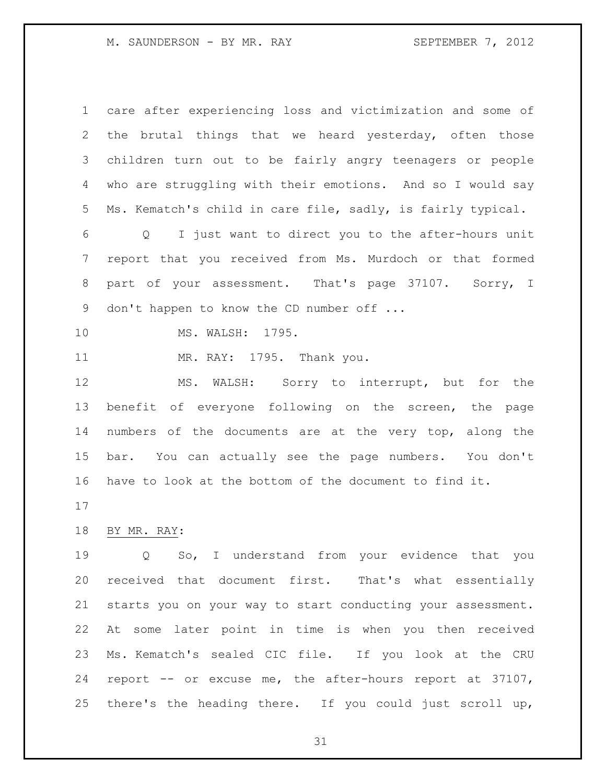M. SAUNDERSON - BY MR. RAY SEPTEMBER 7, 2012

| $\mathbf 1$ | care after experiencing loss and victimization and some of             |
|-------------|------------------------------------------------------------------------|
| 2           | the brutal things that we heard yesterday, often those                 |
| 3           | children turn out to be fairly angry teenagers or people               |
| 4           | who are struggling with their emotions. And so I would say             |
| 5           | Ms. Kematch's child in care file, sadly, is fairly typical.            |
| 6           | I just want to direct you to the after-hours unit<br>$Q \qquad \qquad$ |
| 7           | report that you received from Ms. Murdoch or that formed               |
| 8           | part of your assessment. That's page 37107. Sorry, I                   |
| 9           | don't happen to know the CD number off                                 |
| 10          | MS. WALSH: 1795.                                                       |
| 11          | MR. RAY: 1795. Thank you.                                              |
| 12          | MS. WALSH: Sorry to interrupt, but for the                             |
| 13          | benefit of everyone following on the screen, the page                  |
| 14          | numbers of the documents are at the very top, along the                |
| 15          | bar. You can actually see the page numbers. You don't                  |
| 16          | have to look at the bottom of the document to find it.                 |
| 17          |                                                                        |
| 18          | BY MR. RAY:                                                            |
| 19          | Q So, I understand from your evidence that you                         |
| 20          | received that document first. That's what essentially                  |
| 21          | starts you on your way to start conducting your assessment.            |
| 22          | At some later point in time is when you then received                  |
| 23          | Ms. Kematch's sealed CIC file. If you look at the CRU                  |

 report -- or excuse me, the after-hours report at 37107, there's the heading there. If you could just scroll up,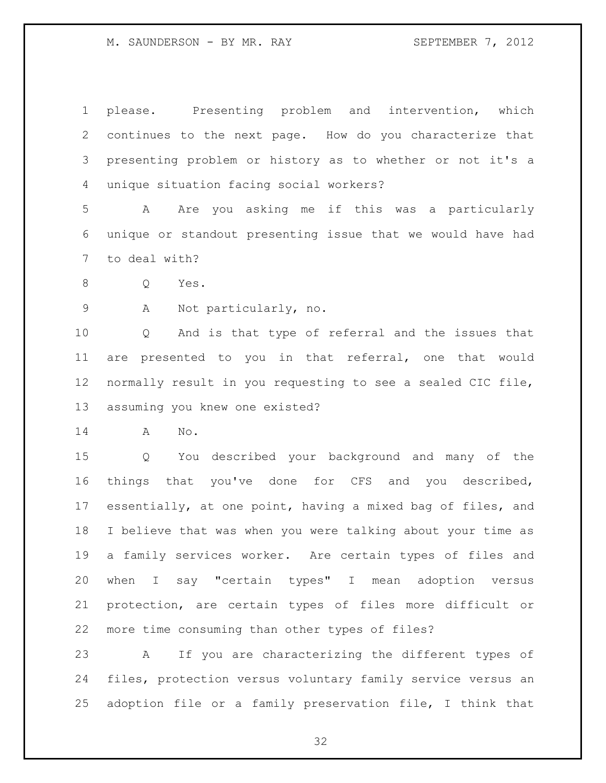please. Presenting problem and intervention, which continues to the next page. How do you characterize that presenting problem or history as to whether or not it's a unique situation facing social workers?

 A Are you asking me if this was a particularly unique or standout presenting issue that we would have had to deal with?

Q Yes.

A Not particularly, no.

 Q And is that type of referral and the issues that are presented to you in that referral, one that would normally result in you requesting to see a sealed CIC file, assuming you knew one existed?

A No.

 Q You described your background and many of the things that you've done for CFS and you described, essentially, at one point, having a mixed bag of files, and I believe that was when you were talking about your time as a family services worker. Are certain types of files and when I say "certain types" I mean adoption versus protection, are certain types of files more difficult or more time consuming than other types of files?

 A If you are characterizing the different types of files, protection versus voluntary family service versus an adoption file or a family preservation file, I think that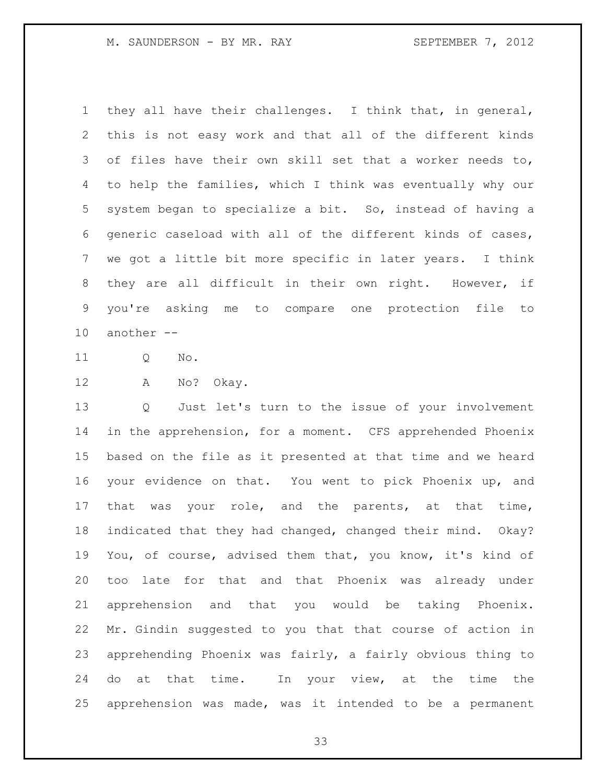M. SAUNDERSON - BY MR. RAY SEPTEMBER 7, 2012

 they all have their challenges. I think that, in general, this is not easy work and that all of the different kinds of files have their own skill set that a worker needs to, to help the families, which I think was eventually why our system began to specialize a bit. So, instead of having a generic caseload with all of the different kinds of cases, we got a little bit more specific in later years. I think they are all difficult in their own right. However, if you're asking me to compare one protection file to another --

Q No.

A No? Okay.

 Q Just let's turn to the issue of your involvement in the apprehension, for a moment. CFS apprehended Phoenix based on the file as it presented at that time and we heard your evidence on that. You went to pick Phoenix up, and 17 that was your role, and the parents, at that time, indicated that they had changed, changed their mind. Okay? You, of course, advised them that, you know, it's kind of too late for that and that Phoenix was already under apprehension and that you would be taking Phoenix. Mr. Gindin suggested to you that that course of action in apprehending Phoenix was fairly, a fairly obvious thing to 24 do at that time. In your view, at the time the apprehension was made, was it intended to be a permanent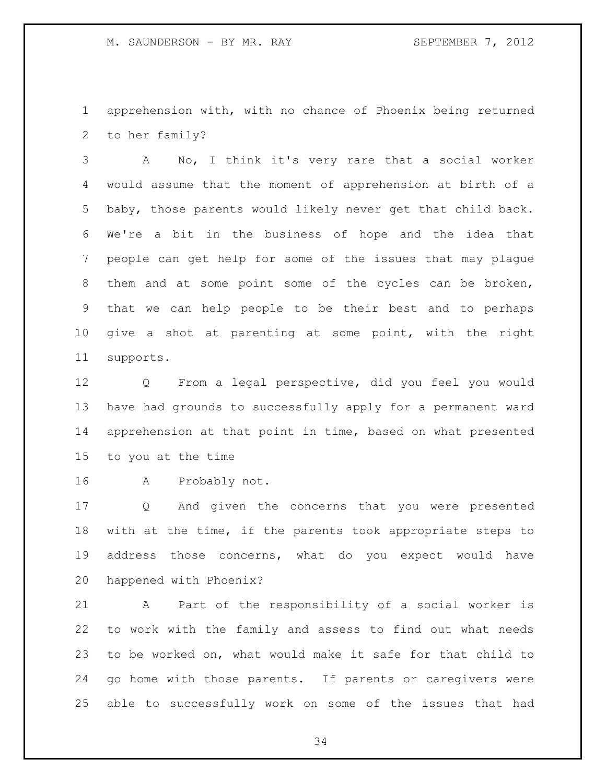apprehension with, with no chance of Phoenix being returned to her family?

 A No, I think it's very rare that a social worker would assume that the moment of apprehension at birth of a baby, those parents would likely never get that child back. We're a bit in the business of hope and the idea that people can get help for some of the issues that may plague them and at some point some of the cycles can be broken, that we can help people to be their best and to perhaps give a shot at parenting at some point, with the right supports.

 Q From a legal perspective, did you feel you would have had grounds to successfully apply for a permanent ward apprehension at that point in time, based on what presented to you at the time

A Probably not.

 Q And given the concerns that you were presented with at the time, if the parents took appropriate steps to address those concerns, what do you expect would have happened with Phoenix?

 A Part of the responsibility of a social worker is to work with the family and assess to find out what needs to be worked on, what would make it safe for that child to go home with those parents. If parents or caregivers were able to successfully work on some of the issues that had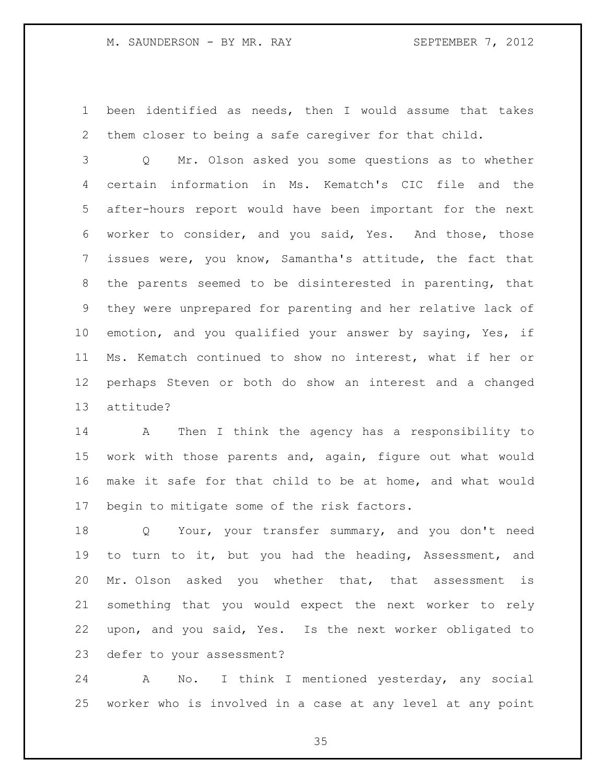been identified as needs, then I would assume that takes them closer to being a safe caregiver for that child.

 Q Mr. Olson asked you some questions as to whether certain information in Ms. Kematch's CIC file and the after-hours report would have been important for the next worker to consider, and you said, Yes. And those, those issues were, you know, Samantha's attitude, the fact that the parents seemed to be disinterested in parenting, that they were unprepared for parenting and her relative lack of emotion, and you qualified your answer by saying, Yes, if Ms. Kematch continued to show no interest, what if her or perhaps Steven or both do show an interest and a changed attitude?

 A Then I think the agency has a responsibility to work with those parents and, again, figure out what would make it safe for that child to be at home, and what would begin to mitigate some of the risk factors.

 Q Your, your transfer summary, and you don't need to turn to it, but you had the heading, Assessment, and Mr. Olson asked you whether that, that assessment is something that you would expect the next worker to rely upon, and you said, Yes. Is the next worker obligated to defer to your assessment?

 A No. I think I mentioned yesterday, any social worker who is involved in a case at any level at any point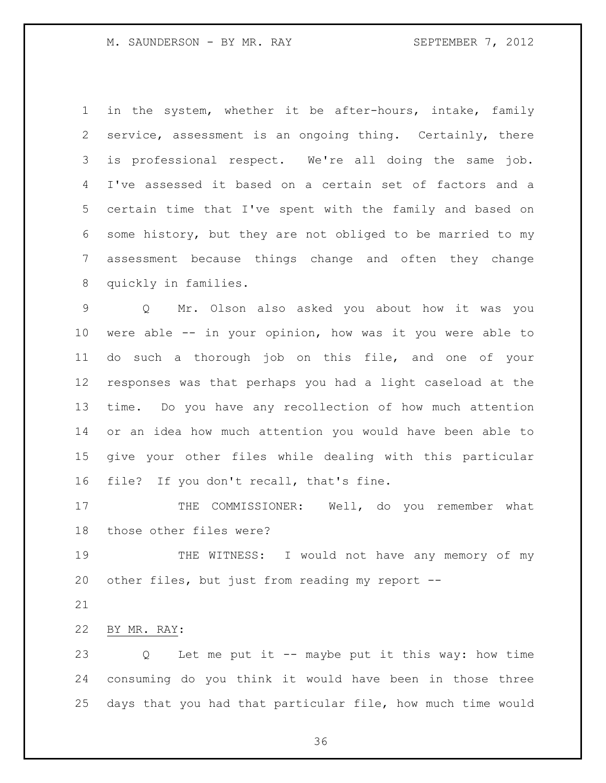in the system, whether it be after-hours, intake, family service, assessment is an ongoing thing. Certainly, there is professional respect. We're all doing the same job. I've assessed it based on a certain set of factors and a certain time that I've spent with the family and based on some history, but they are not obliged to be married to my assessment because things change and often they change quickly in families.

 Q Mr. Olson also asked you about how it was you were able -- in your opinion, how was it you were able to do such a thorough job on this file, and one of your responses was that perhaps you had a light caseload at the time. Do you have any recollection of how much attention or an idea how much attention you would have been able to give your other files while dealing with this particular file? If you don't recall, that's fine.

17 THE COMMISSIONER: Well, do you remember what those other files were?

 THE WITNESS: I would not have any memory of my other files, but just from reading my report --

BY MR. RAY:

 Q Let me put it -- maybe put it this way: how time consuming do you think it would have been in those three days that you had that particular file, how much time would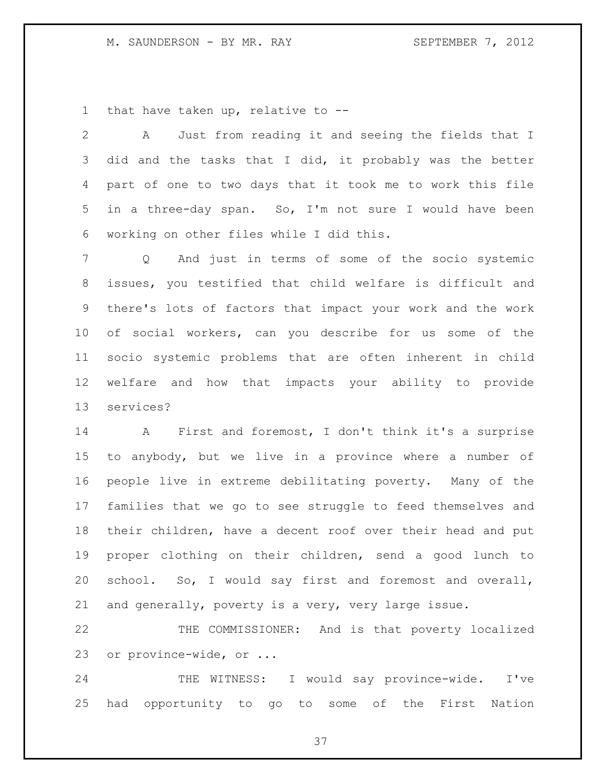### M. SAUNDERSON - BY MR. RAY SEPTEMBER 7, 2012

that have taken up, relative to --

 A Just from reading it and seeing the fields that I did and the tasks that I did, it probably was the better part of one to two days that it took me to work this file in a three-day span. So, I'm not sure I would have been working on other files while I did this.

 Q And just in terms of some of the socio systemic issues, you testified that child welfare is difficult and there's lots of factors that impact your work and the work of social workers, can you describe for us some of the socio systemic problems that are often inherent in child welfare and how that impacts your ability to provide services?

 A First and foremost, I don't think it's a surprise to anybody, but we live in a province where a number of people live in extreme debilitating poverty. Many of the families that we go to see struggle to feed themselves and their children, have a decent roof over their head and put proper clothing on their children, send a good lunch to school. So, I would say first and foremost and overall, and generally, poverty is a very, very large issue.

 THE COMMISSIONER: And is that poverty localized or province-wide, or ...

 THE WITNESS: I would say province-wide. I've had opportunity to go to some of the First Nation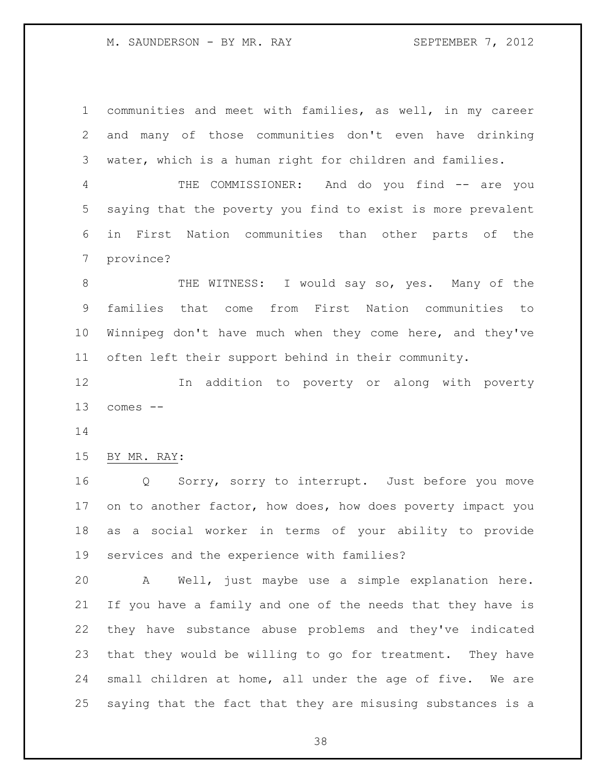M. SAUNDERSON - BY MR. RAY SEPTEMBER 7, 2012

 communities and meet with families, as well, in my career and many of those communities don't even have drinking water, which is a human right for children and families. 4 THE COMMISSIONER: And do you find -- are you saying that the poverty you find to exist is more prevalent in First Nation communities than other parts of the province? 8 THE WITNESS: I would say so, yes. Many of the families that come from First Nation communities to Winnipeg don't have much when they come here, and they've often left their support behind in their community. In addition to poverty or along with poverty comes -- BY MR. RAY: Q Sorry, sorry to interrupt. Just before you move 17 on to another factor, how does, how does poverty impact you as a social worker in terms of your ability to provide services and the experience with families? A Well, just maybe use a simple explanation here. If you have a family and one of the needs that they have is they have substance abuse problems and they've indicated that they would be willing to go for treatment. They have small children at home, all under the age of five. We are saying that the fact that they are misusing substances is a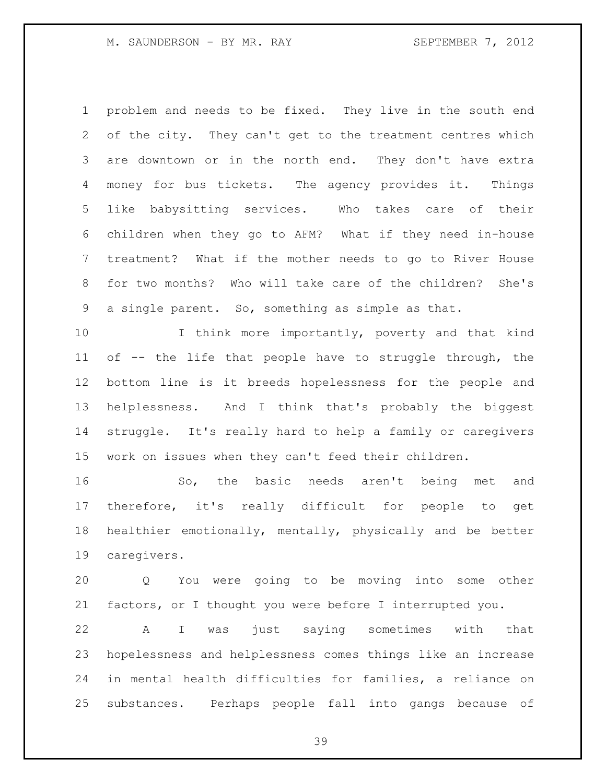problem and needs to be fixed. They live in the south end of the city. They can't get to the treatment centres which are downtown or in the north end. They don't have extra money for bus tickets. The agency provides it. Things like babysitting services. Who takes care of their children when they go to AFM? What if they need in-house treatment? What if the mother needs to go to River House for two months? Who will take care of the children? She's a single parent. So, something as simple as that.

10 I think more importantly, poverty and that kind of -- the life that people have to struggle through, the bottom line is it breeds hopelessness for the people and helplessness. And I think that's probably the biggest struggle. It's really hard to help a family or caregivers work on issues when they can't feed their children.

 So, the basic needs aren't being met and therefore, it's really difficult for people to get healthier emotionally, mentally, physically and be better caregivers.

 Q You were going to be moving into some other factors, or I thought you were before I interrupted you.

 A I was just saying sometimes with that hopelessness and helplessness comes things like an increase in mental health difficulties for families, a reliance on substances. Perhaps people fall into gangs because of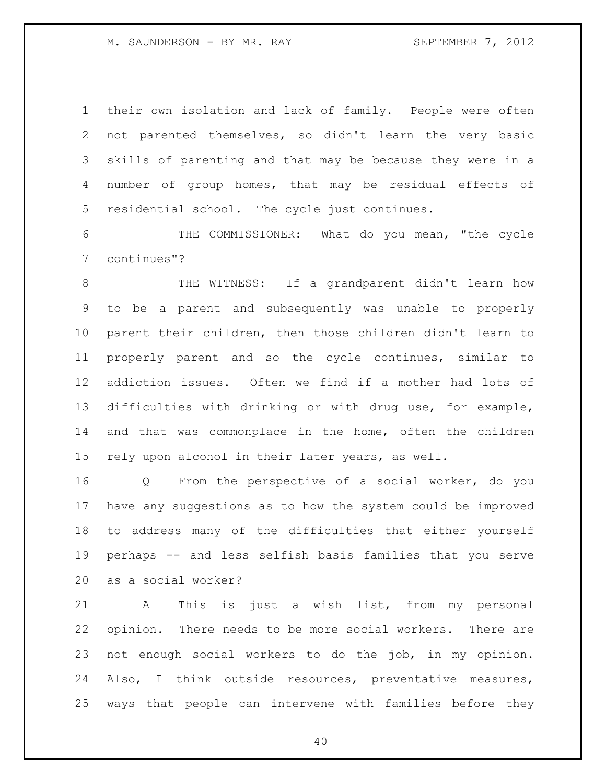M. SAUNDERSON - BY MR. RAY SEPTEMBER 7, 2012

 their own isolation and lack of family. People were often not parented themselves, so didn't learn the very basic skills of parenting and that may be because they were in a number of group homes, that may be residual effects of residential school. The cycle just continues.

 THE COMMISSIONER: What do you mean, "the cycle continues"?

8 THE WITNESS: If a grandparent didn't learn how to be a parent and subsequently was unable to properly parent their children, then those children didn't learn to properly parent and so the cycle continues, similar to addiction issues. Often we find if a mother had lots of difficulties with drinking or with drug use, for example, and that was commonplace in the home, often the children rely upon alcohol in their later years, as well.

 Q From the perspective of a social worker, do you have any suggestions as to how the system could be improved to address many of the difficulties that either yourself perhaps -- and less selfish basis families that you serve as a social worker?

 A This is just a wish list, from my personal opinion. There needs to be more social workers. There are not enough social workers to do the job, in my opinion. Also, I think outside resources, preventative measures, ways that people can intervene with families before they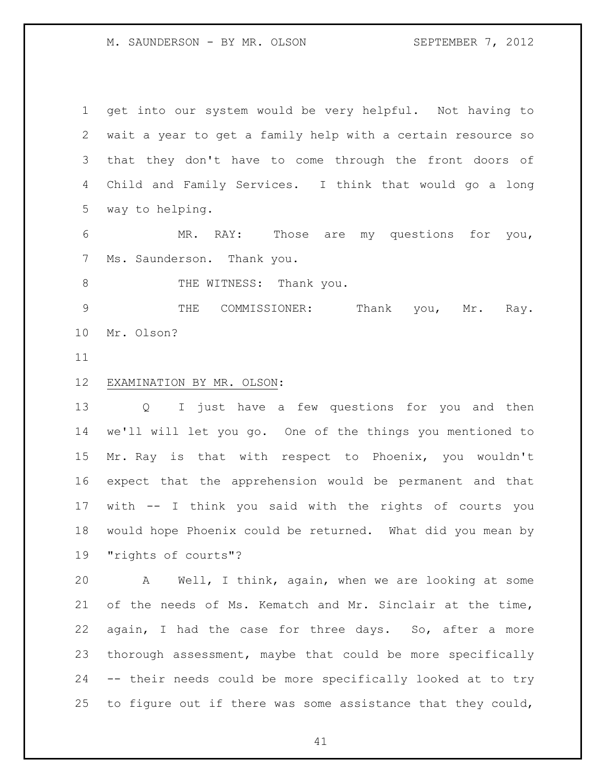M. SAUNDERSON - BY MR. OLSON SEPTEMBER 7, 2012

 get into our system would be very helpful. Not having to wait a year to get a family help with a certain resource so that they don't have to come through the front doors of Child and Family Services. I think that would go a long way to helping.

 MR. RAY: Those are my questions for you, Ms. Saunderson. Thank you.

8 THE WITNESS: Thank you.

 THE COMMISSIONER: Thank you, Mr. Ray. Mr. Olson?

## EXAMINATION BY MR. OLSON:

 Q I just have a few questions for you and then we'll will let you go. One of the things you mentioned to Mr. Ray is that with respect to Phoenix, you wouldn't expect that the apprehension would be permanent and that with -- I think you said with the rights of courts you would hope Phoenix could be returned. What did you mean by "rights of courts"?

 A Well, I think, again, when we are looking at some of the needs of Ms. Kematch and Mr. Sinclair at the time, again, I had the case for three days. So, after a more thorough assessment, maybe that could be more specifically -- their needs could be more specifically looked at to try 25 to figure out if there was some assistance that they could,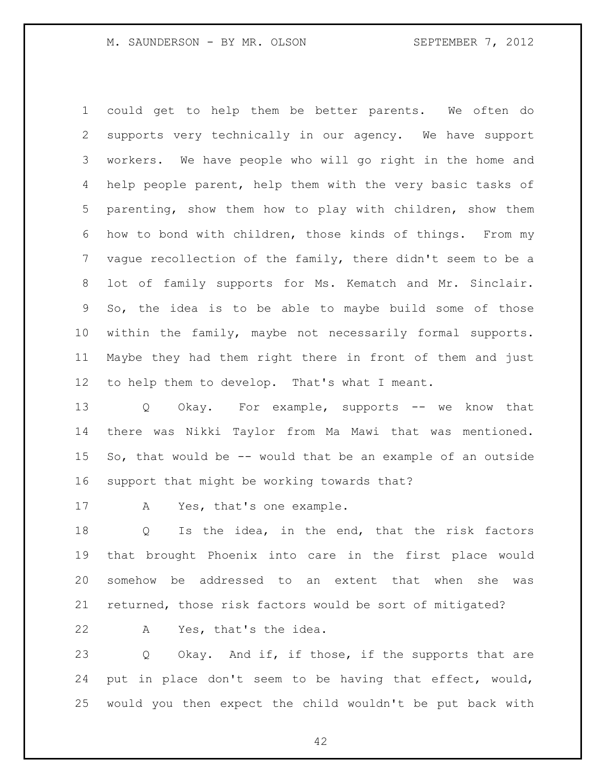could get to help them be better parents. We often do supports very technically in our agency. We have support workers. We have people who will go right in the home and help people parent, help them with the very basic tasks of parenting, show them how to play with children, show them how to bond with children, those kinds of things. From my vague recollection of the family, there didn't seem to be a lot of family supports for Ms. Kematch and Mr. Sinclair. So, the idea is to be able to maybe build some of those within the family, maybe not necessarily formal supports. Maybe they had them right there in front of them and just to help them to develop. That's what I meant.

13 Q Okay. For example, supports -- we know that there was Nikki Taylor from Ma Mawi that was mentioned. So, that would be -- would that be an example of an outside support that might be working towards that?

17 A Yes, that's one example.

 Q Is the idea, in the end, that the risk factors that brought Phoenix into care in the first place would somehow be addressed to an extent that when she was returned, those risk factors would be sort of mitigated?

A Yes, that's the idea.

 Q Okay. And if, if those, if the supports that are put in place don't seem to be having that effect, would, would you then expect the child wouldn't be put back with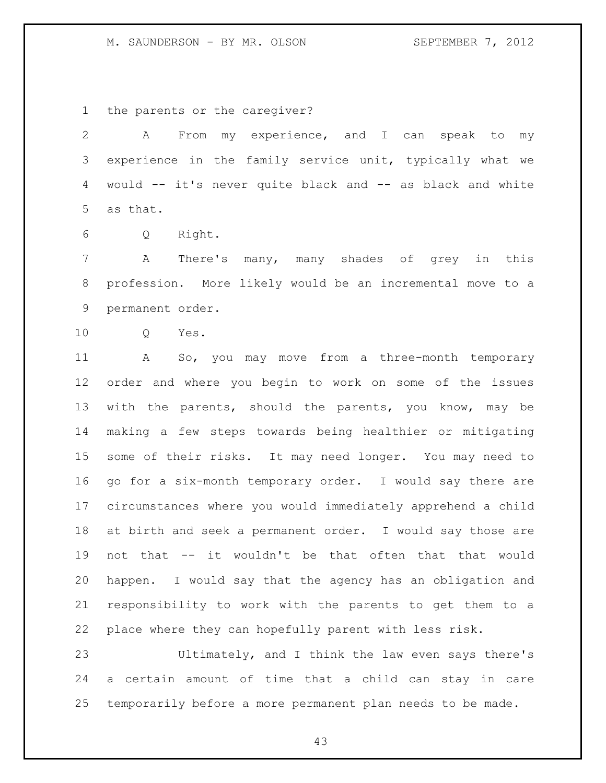### M. SAUNDERSON - BY MR. OLSON SEPTEMBER 7, 2012

the parents or the caregiver?

 A From my experience, and I can speak to my experience in the family service unit, typically what we would -- it's never quite black and -- as black and white as that.

Q Right.

 A There's many, many shades of grey in this profession. More likely would be an incremental move to a permanent order.

Q Yes.

 A So, you may move from a three-month temporary order and where you begin to work on some of the issues with the parents, should the parents, you know, may be making a few steps towards being healthier or mitigating some of their risks. It may need longer. You may need to go for a six-month temporary order. I would say there are circumstances where you would immediately apprehend a child at birth and seek a permanent order. I would say those are not that -- it wouldn't be that often that that would happen. I would say that the agency has an obligation and responsibility to work with the parents to get them to a place where they can hopefully parent with less risk.

 Ultimately, and I think the law even says there's a certain amount of time that a child can stay in care temporarily before a more permanent plan needs to be made.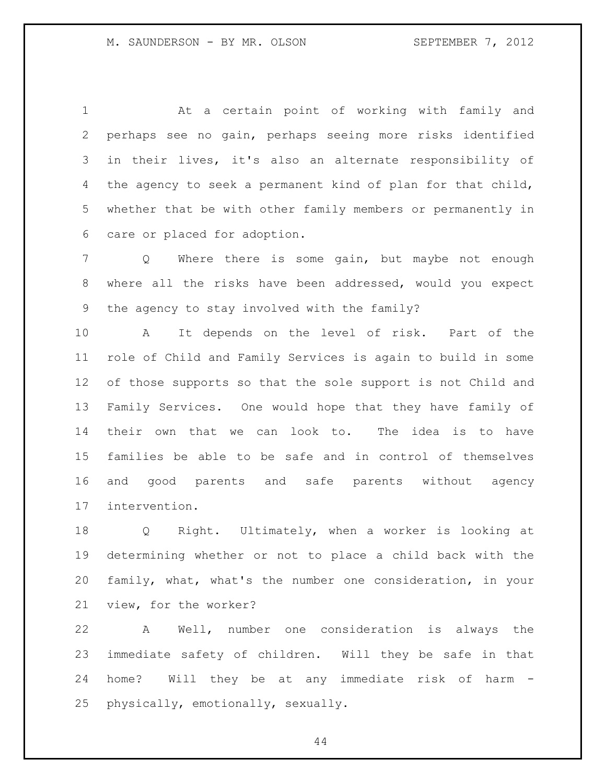At a certain point of working with family and perhaps see no gain, perhaps seeing more risks identified in their lives, it's also an alternate responsibility of the agency to seek a permanent kind of plan for that child, whether that be with other family members or permanently in care or placed for adoption.

 Q Where there is some gain, but maybe not enough where all the risks have been addressed, would you expect the agency to stay involved with the family?

 A It depends on the level of risk. Part of the role of Child and Family Services is again to build in some of those supports so that the sole support is not Child and Family Services. One would hope that they have family of their own that we can look to. The idea is to have families be able to be safe and in control of themselves and good parents and safe parents without agency intervention.

 Q Right. Ultimately, when a worker is looking at determining whether or not to place a child back with the family, what, what's the number one consideration, in your view, for the worker?

 A Well, number one consideration is always the immediate safety of children. Will they be safe in that home? Will they be at any immediate risk of harm - physically, emotionally, sexually.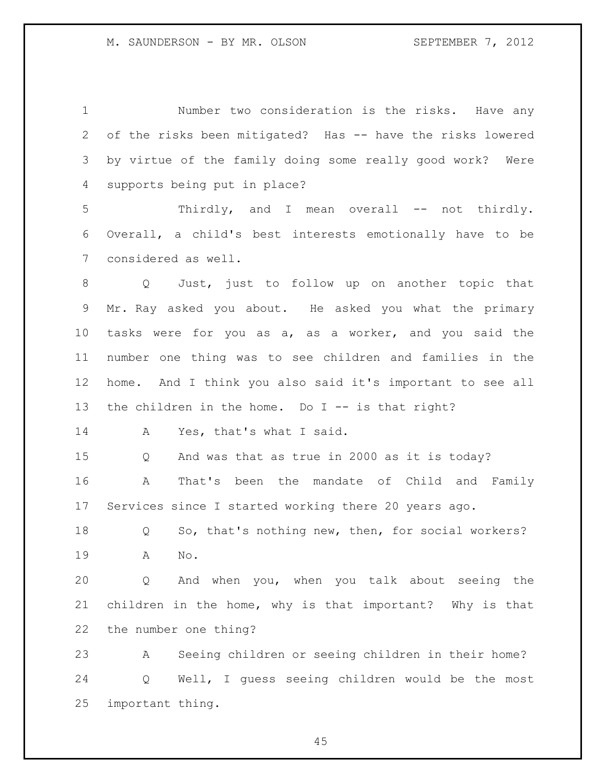Number two consideration is the risks. Have any of the risks been mitigated? Has -- have the risks lowered by virtue of the family doing some really good work? Were supports being put in place?

 Thirdly, and I mean overall -- not thirdly. Overall, a child's best interests emotionally have to be considered as well.

 Q Just, just to follow up on another topic that Mr. Ray asked you about. He asked you what the primary tasks were for you as a, as a worker, and you said the number one thing was to see children and families in the home. And I think you also said it's important to see all the children in the home. Do I -- is that right?

14 A Yes, that's what I said.

 Q And was that as true in 2000 as it is today? A That's been the mandate of Child and Family Services since I started working there 20 years ago.

 Q So, that's nothing new, then, for social workers? A No.

 Q And when you, when you talk about seeing the children in the home, why is that important? Why is that the number one thing?

 A Seeing children or seeing children in their home? Q Well, I guess seeing children would be the most important thing.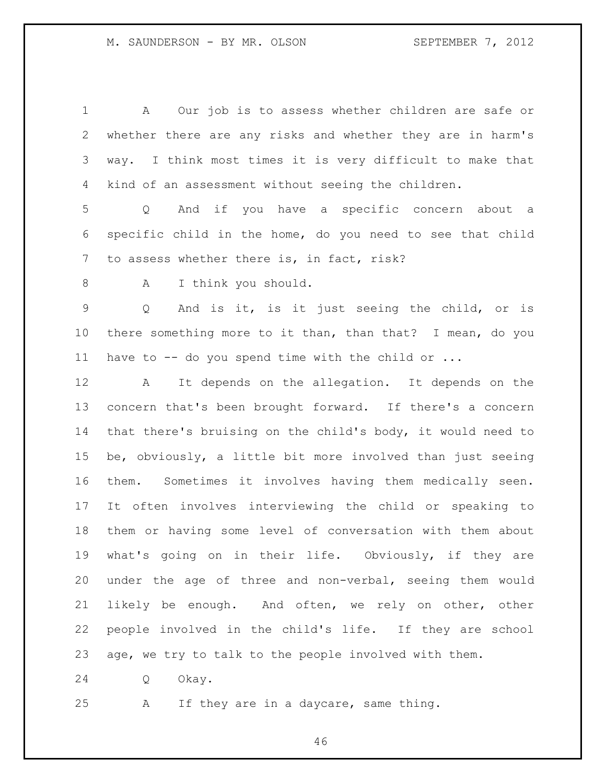| $\mathbf 1$    | A Our job is to assess whether children are safe or         |
|----------------|-------------------------------------------------------------|
| $\overline{2}$ | whether there are any risks and whether they are in harm's  |
| 3              | way. I think most times it is very difficult to make that   |
| 4              | kind of an assessment without seeing the children.          |
| 5              | Q And if you have a specific concern about a                |
| 6              | specific child in the home, do you need to see that child   |
| 7              | to assess whether there is, in fact, risk?                  |
| 8              | I think you should.<br>A                                    |
| $\mathsf 9$    | And is it, is it just seeing the child, or is<br>Q          |
| 10             | there something more to it than, than that? I mean, do you  |
| 11             | have to -- do you spend time with the child or              |
| 12             | It depends on the allegation. It depends on the<br>A        |
| 13             | concern that's been brought forward. If there's a concern   |
| 14             | that there's bruising on the child's body, it would need to |
| 15             | be, obviously, a little bit more involved than just seeing  |
| 16             | them. Sometimes it involves having them medically seen.     |
| 17             | It often involves interviewing the child or speaking to     |
| 18             | them or having some level of conversation with them about   |
| 19             | what's going on in their life. Obviously, if they are       |
| 20             | under the age of three and non-verbal, seeing them would    |
| 21             | likely be enough. And often, we rely on other, other        |
| 22             | people involved in the child's life. If they are school     |
| 23             | age, we try to talk to the people involved with them.       |
| 24             | Okay.<br>Q                                                  |

A If they are in a daycare, same thing.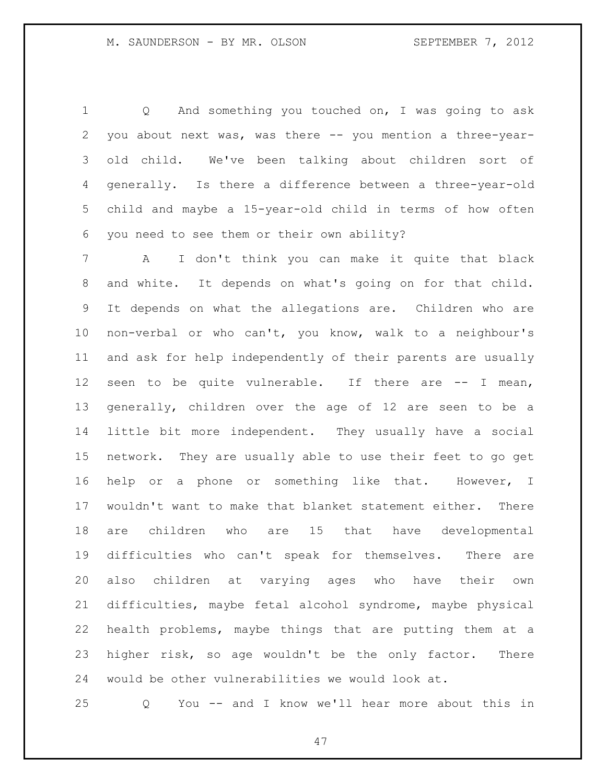Q And something you touched on, I was going to ask you about next was, was there -- you mention a three-year- old child. We've been talking about children sort of generally. Is there a difference between a three-year-old child and maybe a 15-year-old child in terms of how often you need to see them or their own ability?

 A I don't think you can make it quite that black and white. It depends on what's going on for that child. It depends on what the allegations are. Children who are non-verbal or who can't, you know, walk to a neighbour's and ask for help independently of their parents are usually seen to be quite vulnerable. If there are -- I mean, generally, children over the age of 12 are seen to be a little bit more independent. They usually have a social network. They are usually able to use their feet to go get help or a phone or something like that. However, I wouldn't want to make that blanket statement either. There are children who are 15 that have developmental difficulties who can't speak for themselves. There are also children at varying ages who have their own difficulties, maybe fetal alcohol syndrome, maybe physical health problems, maybe things that are putting them at a higher risk, so age wouldn't be the only factor. There would be other vulnerabilities we would look at.

Q You -- and I know we'll hear more about this in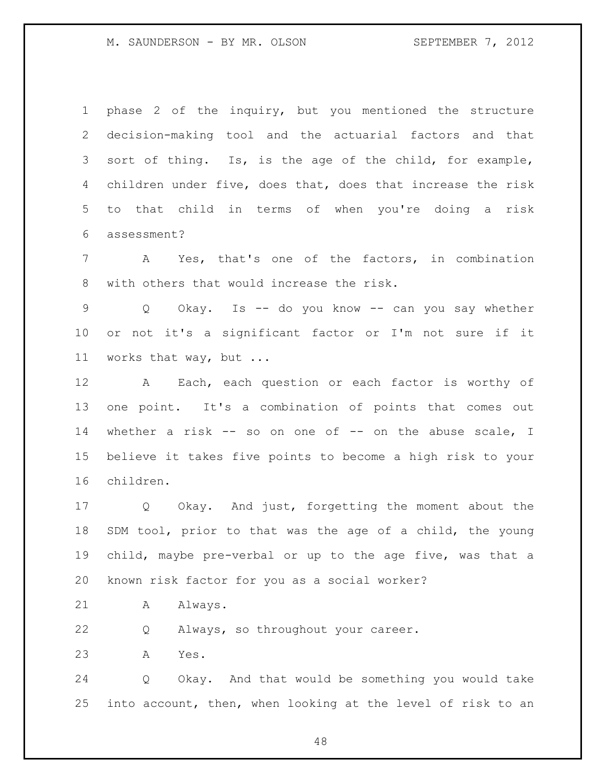M. SAUNDERSON - BY MR. OLSON SEPTEMBER 7, 2012

 phase 2 of the inquiry, but you mentioned the structure decision-making tool and the actuarial factors and that sort of thing. Is, is the age of the child, for example, children under five, does that, does that increase the risk to that child in terms of when you're doing a risk assessment?

 A Yes, that's one of the factors, in combination with others that would increase the risk.

 Q Okay. Is -- do you know -- can you say whether or not it's a significant factor or I'm not sure if it works that way, but ...

 A Each, each question or each factor is worthy of one point. It's a combination of points that comes out whether a risk -- so on one of -- on the abuse scale, I believe it takes five points to become a high risk to your children.

 Q Okay. And just, forgetting the moment about the SDM tool, prior to that was the age of a child, the young child, maybe pre-verbal or up to the age five, was that a known risk factor for you as a social worker?

21 A Always.

Q Always, so throughout your career.

A Yes.

 Q Okay. And that would be something you would take into account, then, when looking at the level of risk to an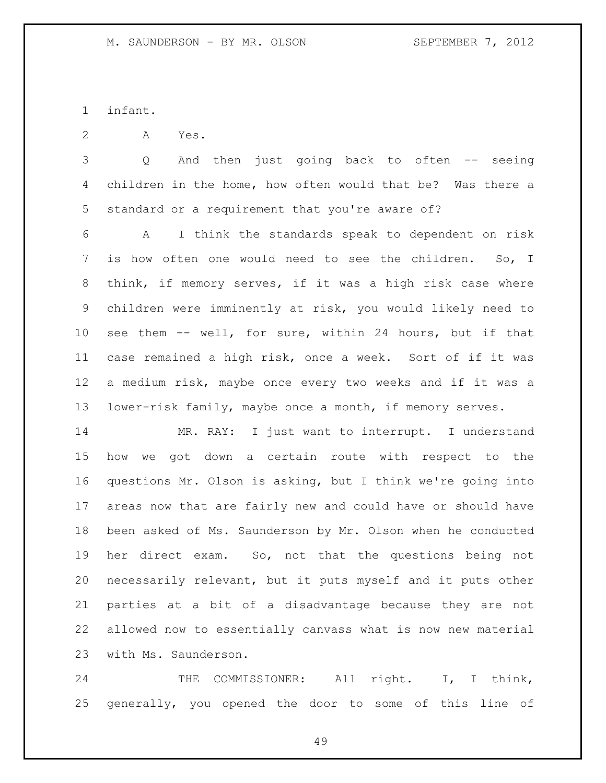infant.

A Yes.

 Q And then just going back to often -- seeing children in the home, how often would that be? Was there a standard or a requirement that you're aware of?

 A I think the standards speak to dependent on risk is how often one would need to see the children. So, I think, if memory serves, if it was a high risk case where children were imminently at risk, you would likely need to see them -- well, for sure, within 24 hours, but if that case remained a high risk, once a week. Sort of if it was a medium risk, maybe once every two weeks and if it was a lower-risk family, maybe once a month, if memory serves.

 MR. RAY: I just want to interrupt. I understand how we got down a certain route with respect to the questions Mr. Olson is asking, but I think we're going into areas now that are fairly new and could have or should have been asked of Ms. Saunderson by Mr. Olson when he conducted her direct exam. So, not that the questions being not necessarily relevant, but it puts myself and it puts other parties at a bit of a disadvantage because they are not allowed now to essentially canvass what is now new material with Ms. Saunderson.

24 THE COMMISSIONER: All right. I, I think, generally, you opened the door to some of this line of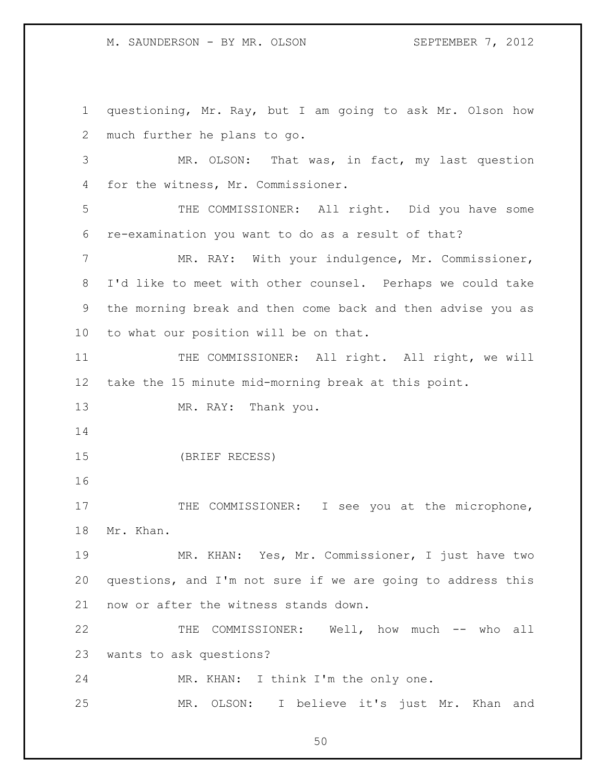M. SAUNDERSON - BY MR. OLSON SEPTEMBER 7, 2012

 questioning, Mr. Ray, but I am going to ask Mr. Olson how much further he plans to go. MR. OLSON: That was, in fact, my last question for the witness, Mr. Commissioner. THE COMMISSIONER: All right. Did you have some re-examination you want to do as a result of that? 7 MR. RAY: With your indulgence, Mr. Commissioner, I'd like to meet with other counsel. Perhaps we could take the morning break and then come back and then advise you as to what our position will be on that. 11 THE COMMISSIONER: All right. All right, we will take the 15 minute mid-morning break at this point. 13 MR. RAY: Thank you. (BRIEF RECESS) 17 THE COMMISSIONER: I see you at the microphone, Mr. Khan. MR. KHAN: Yes, Mr. Commissioner, I just have two questions, and I'm not sure if we are going to address this now or after the witness stands down. THE COMMISSIONER: Well, how much -- who all wants to ask questions? MR. KHAN: I think I'm the only one. MR. OLSON: I believe it's just Mr. Khan and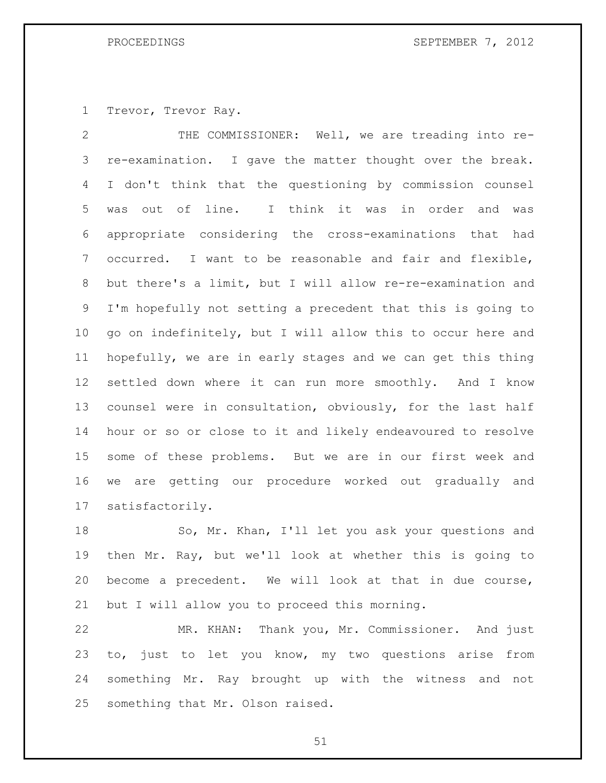Trevor, Trevor Ray.

 THE COMMISSIONER: Well, we are treading into re- re-examination. I gave the matter thought over the break. I don't think that the questioning by commission counsel was out of line. I think it was in order and was appropriate considering the cross-examinations that had occurred. I want to be reasonable and fair and flexible, but there's a limit, but I will allow re-re-examination and I'm hopefully not setting a precedent that this is going to go on indefinitely, but I will allow this to occur here and hopefully, we are in early stages and we can get this thing settled down where it can run more smoothly. And I know counsel were in consultation, obviously, for the last half hour or so or close to it and likely endeavoured to resolve some of these problems. But we are in our first week and we are getting our procedure worked out gradually and satisfactorily.

 So, Mr. Khan, I'll let you ask your questions and then Mr. Ray, but we'll look at whether this is going to become a precedent. We will look at that in due course, but I will allow you to proceed this morning.

 MR. KHAN: Thank you, Mr. Commissioner. And just to, just to let you know, my two questions arise from something Mr. Ray brought up with the witness and not something that Mr. Olson raised.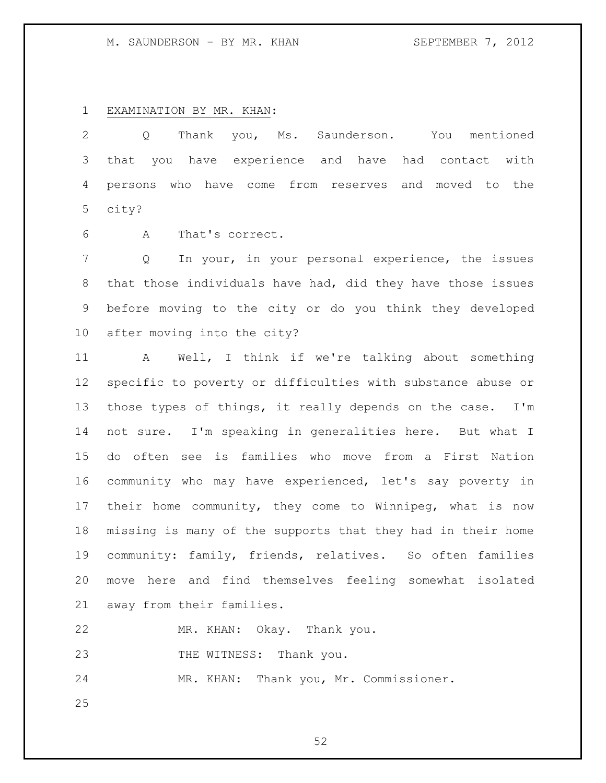### M. SAUNDERSON - BY MR. KHAN SEPTEMBER 7, 2012

## EXAMINATION BY MR. KHAN:

 Q Thank you, Ms. Saunderson. You mentioned that you have experience and have had contact with persons who have come from reserves and moved to the city?

A That's correct.

 Q In your, in your personal experience, the issues that those individuals have had, did they have those issues before moving to the city or do you think they developed after moving into the city?

 A Well, I think if we're talking about something specific to poverty or difficulties with substance abuse or those types of things, it really depends on the case. I'm not sure. I'm speaking in generalities here. But what I do often see is families who move from a First Nation community who may have experienced, let's say poverty in their home community, they come to Winnipeg, what is now missing is many of the supports that they had in their home community: family, friends, relatives. So often families move here and find themselves feeling somewhat isolated away from their families.

MR. KHAN: Okay. Thank you.

23 THE WITNESS: Thank you.

MR. KHAN: Thank you, Mr. Commissioner.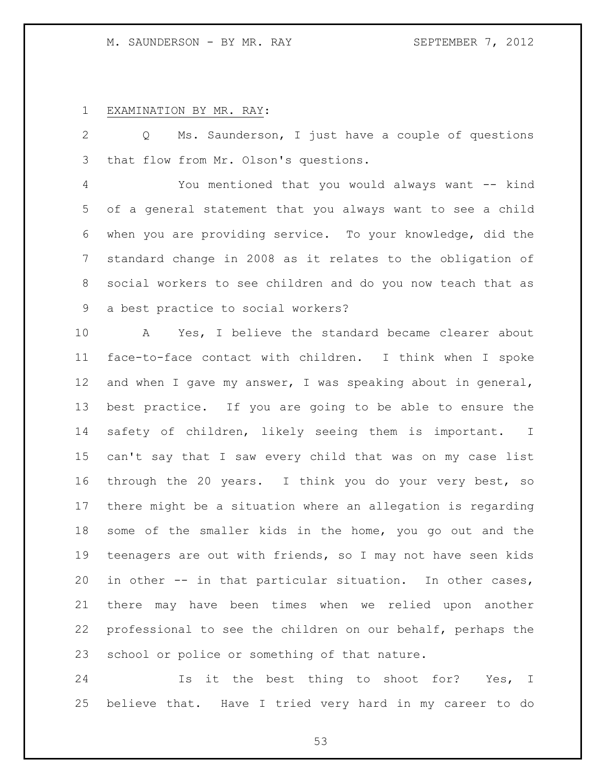### M. SAUNDERSON - BY MR. RAY SEPTEMBER 7, 2012

# EXAMINATION BY MR. RAY:

 Q Ms. Saunderson, I just have a couple of questions that flow from Mr. Olson's questions.

 You mentioned that you would always want -- kind of a general statement that you always want to see a child when you are providing service. To your knowledge, did the standard change in 2008 as it relates to the obligation of social workers to see children and do you now teach that as a best practice to social workers?

 A Yes, I believe the standard became clearer about face-to-face contact with children. I think when I spoke and when I gave my answer, I was speaking about in general, best practice. If you are going to be able to ensure the safety of children, likely seeing them is important. I can't say that I saw every child that was on my case list through the 20 years. I think you do your very best, so there might be a situation where an allegation is regarding some of the smaller kids in the home, you go out and the teenagers are out with friends, so I may not have seen kids in other -- in that particular situation. In other cases, there may have been times when we relied upon another professional to see the children on our behalf, perhaps the school or police or something of that nature.

 Is it the best thing to shoot for? Yes, I believe that. Have I tried very hard in my career to do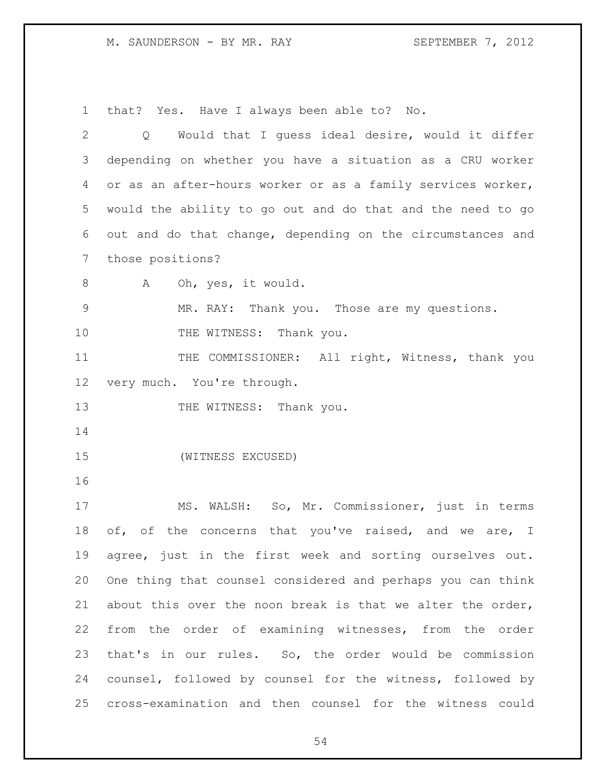M. SAUNDERSON - BY MR. RAY SEPTEMBER 7, 2012

that? Yes. Have I always been able to? No.

| $\mathbf{2}$ | Would that I quess ideal desire, would it differ<br>Q       |
|--------------|-------------------------------------------------------------|
| 3            | depending on whether you have a situation as a CRU worker   |
| 4            | or as an after-hours worker or as a family services worker, |
| 5            | would the ability to go out and do that and the need to go  |
| 6            | out and do that change, depending on the circumstances and  |
| 7            | those positions?                                            |
| $8\,$        | Oh, yes, it would.<br>A                                     |
| $\mathsf 9$  | MR. RAY: Thank you. Those are my questions.                 |
| 10           | THE WITNESS: Thank you.                                     |
| 11           | THE COMMISSIONER: All right, Witness, thank you             |
| 12           | very much. You're through.                                  |
| 13           | THE WITNESS: Thank you.                                     |
| 14           |                                                             |
| 15           | (WITNESS EXCUSED)                                           |
| 16           |                                                             |
| 17           | MS. WALSH: So, Mr. Commissioner, just in terms              |
| 18           | of, of the concerns that you've raised, and we are, I       |
| 19           | agree, just in the first week and sorting ourselves out.    |
| 20           | One thing that counsel considered and perhaps you can think |
| 21           | about this over the noon break is that we alter the order,  |
| 22           | from the order of examining witnesses, from the order       |
| 23           | that's in our rules. So, the order would be commission      |
| 24           | counsel, followed by counsel for the witness, followed by   |
| 25           | cross-examination and then counsel for the witness could    |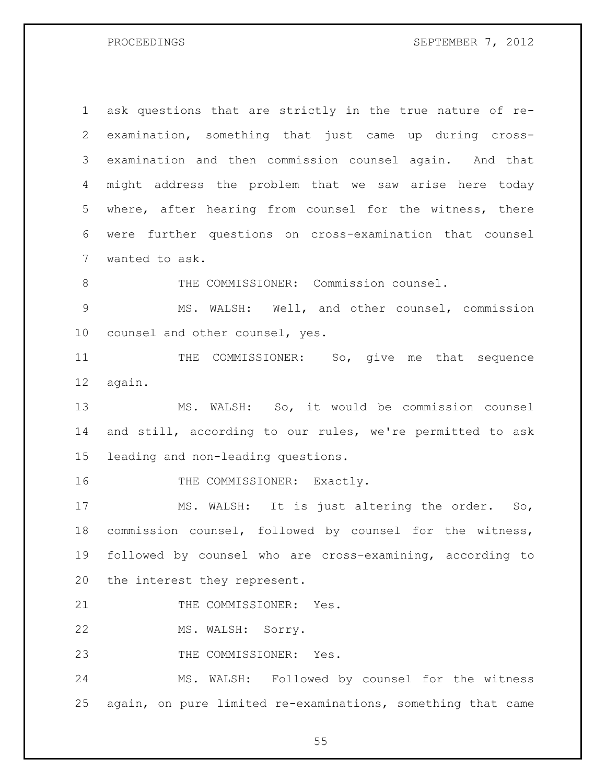PROCEEDINGS SEPTEMBER 7, 2012

 ask questions that are strictly in the true nature of re- examination, something that just came up during cross- examination and then commission counsel again. And that might address the problem that we saw arise here today where, after hearing from counsel for the witness, there were further questions on cross-examination that counsel wanted to ask. 8 THE COMMISSIONER: Commission counsel. 9 MS. WALSH: Well, and other counsel, commission counsel and other counsel, yes. 11 THE COMMISSIONER: So, give me that sequence again. MS. WALSH: So, it would be commission counsel and still, according to our rules, we're permitted to ask leading and non-leading questions. 16 THE COMMISSIONER: Exactly. MS. WALSH: It is just altering the order. So, commission counsel, followed by counsel for the witness, followed by counsel who are cross-examining, according to the interest they represent. 21 THE COMMISSIONER: Yes. MS. WALSH: Sorry. 23 THE COMMISSIONER: Yes. MS. WALSH: Followed by counsel for the witness again, on pure limited re-examinations, something that came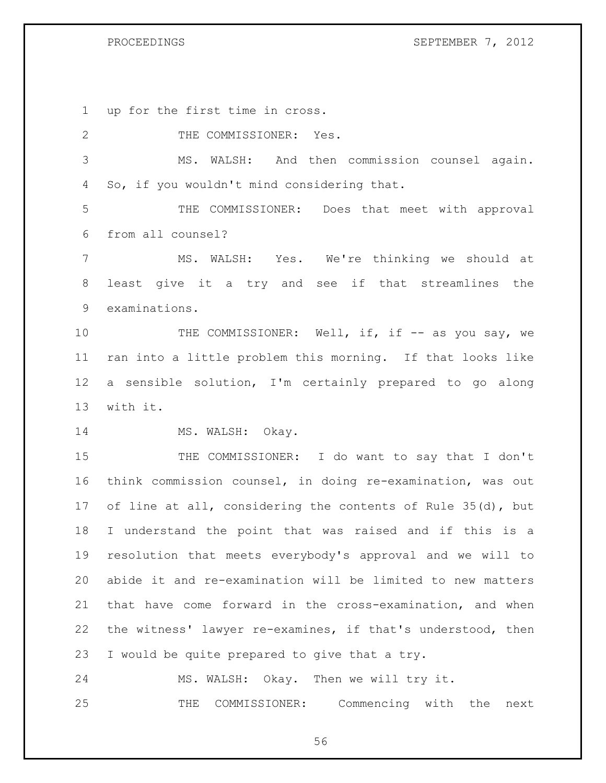PROCEEDINGS SEPTEMBER 7, 2012

up for the first time in cross.

2 THE COMMISSIONER: Yes.

 MS. WALSH: And then commission counsel again. So, if you wouldn't mind considering that.

 THE COMMISSIONER: Does that meet with approval from all counsel?

 MS. WALSH: Yes. We're thinking we should at least give it a try and see if that streamlines the examinations.

10 THE COMMISSIONER: Well, if, if -- as you say, we ran into a little problem this morning. If that looks like a sensible solution, I'm certainly prepared to go along with it.

14 MS. WALSH: Okay.

 THE COMMISSIONER: I do want to say that I don't think commission counsel, in doing re-examination, was out of line at all, considering the contents of Rule 35(d), but I understand the point that was raised and if this is a resolution that meets everybody's approval and we will to abide it and re-examination will be limited to new matters that have come forward in the cross-examination, and when the witness' lawyer re-examines, if that's understood, then I would be quite prepared to give that a try.

 MS. WALSH: Okay. Then we will try it. THE COMMISSIONER: Commencing with the next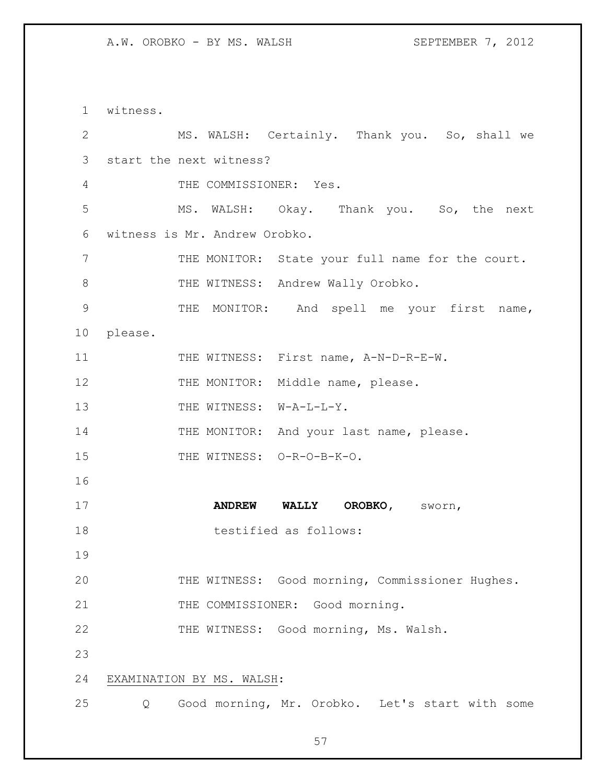witness. MS. WALSH: Certainly. Thank you. So, shall we start the next witness? THE COMMISSIONER: Yes. MS. WALSH: Okay. Thank you. So, the next witness is Mr. Andrew Orobko. 7 THE MONITOR: State your full name for the court. 8 THE WITNESS: Andrew Wally Orobko. THE MONITOR: And spell me your first name, please. 11 THE WITNESS: First name, A-N-D-R-E-W. 12 THE MONITOR: Middle name, please. 13 THE WITNESS: W-A-L-L-Y. 14 THE MONITOR: And your last name, please. 15 THE WITNESS: O-R-O-B-K-O. **ANDREW WALLY OROBKO,** sworn, 18 testified as follows: THE WITNESS: Good morning, Commissioner Hughes. 21 THE COMMISSIONER: Good morning. THE WITNESS: Good morning, Ms. Walsh. EXAMINATION BY MS. WALSH: Q Good morning, Mr. Orobko. Let's start with some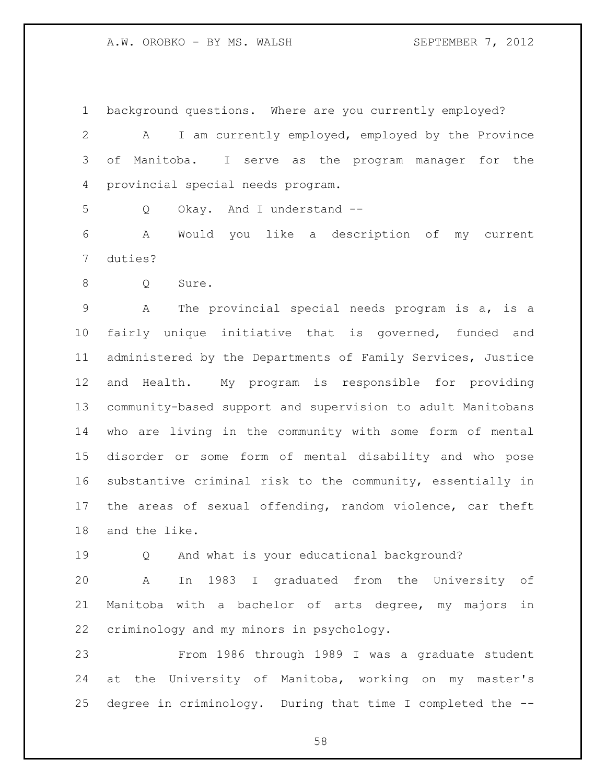background questions. Where are you currently employed?

 A I am currently employed, employed by the Province of Manitoba. I serve as the program manager for the provincial special needs program.

Q Okay. And I understand --

 A Would you like a description of my current duties?

8 Q Sure.

 A The provincial special needs program is a, is a fairly unique initiative that is governed, funded and administered by the Departments of Family Services, Justice and Health. My program is responsible for providing community-based support and supervision to adult Manitobans who are living in the community with some form of mental disorder or some form of mental disability and who pose substantive criminal risk to the community, essentially in the areas of sexual offending, random violence, car theft and the like.

Q And what is your educational background?

 A In 1983 I graduated from the University of Manitoba with a bachelor of arts degree, my majors in criminology and my minors in psychology.

 From 1986 through 1989 I was a graduate student at the University of Manitoba, working on my master's degree in criminology. During that time I completed the --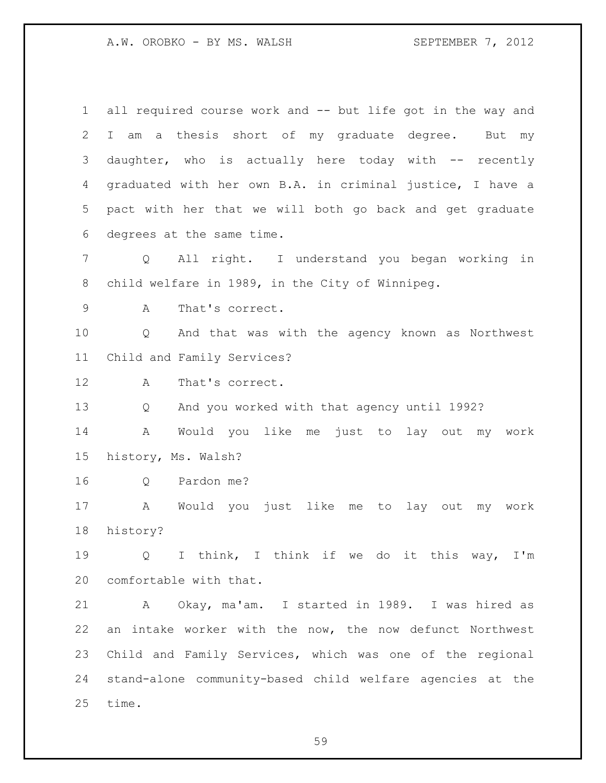A.W. OROBKO - BY MS. WALSH SEPTEMBER 7, 2012

 all required course work and -- but life got in the way and I am a thesis short of my graduate degree. But my 3 daughter, who is actually here today with -- recently graduated with her own B.A. in criminal justice, I have a pact with her that we will both go back and get graduate degrees at the same time. Q All right. I understand you began working in child welfare in 1989, in the City of Winnipeg. A That's correct. Q And that was with the agency known as Northwest Child and Family Services? A That's correct. Q And you worked with that agency until 1992? A Would you like me just to lay out my work history, Ms. Walsh? Q Pardon me? A Would you just like me to lay out my work history? Q I think, I think if we do it this way, I'm comfortable with that. A Okay, ma'am. I started in 1989. I was hired as an intake worker with the now, the now defunct Northwest Child and Family Services, which was one of the regional stand-alone community-based child welfare agencies at the time.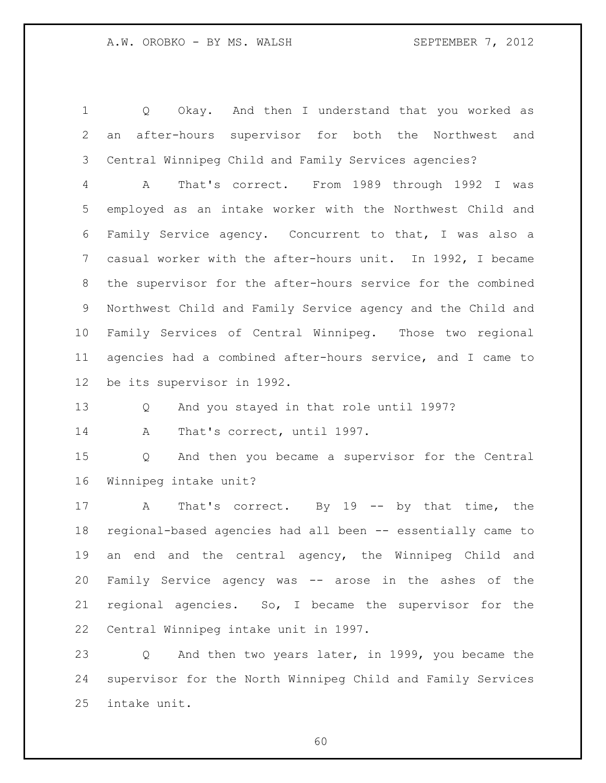Q Okay. And then I understand that you worked as an after-hours supervisor for both the Northwest and Central Winnipeg Child and Family Services agencies?

 A That's correct. From 1989 through 1992 I was employed as an intake worker with the Northwest Child and Family Service agency. Concurrent to that, I was also a casual worker with the after-hours unit. In 1992, I became the supervisor for the after-hours service for the combined Northwest Child and Family Service agency and the Child and Family Services of Central Winnipeg. Those two regional agencies had a combined after-hours service, and I came to be its supervisor in 1992.

Q And you stayed in that role until 1997?

14 A That's correct, until 1997.

 Q And then you became a supervisor for the Central Winnipeg intake unit?

 A That's correct. By 19 -- by that time, the regional-based agencies had all been -- essentially came to an end and the central agency, the Winnipeg Child and Family Service agency was -- arose in the ashes of the regional agencies. So, I became the supervisor for the Central Winnipeg intake unit in 1997.

 Q And then two years later, in 1999, you became the supervisor for the North Winnipeg Child and Family Services intake unit.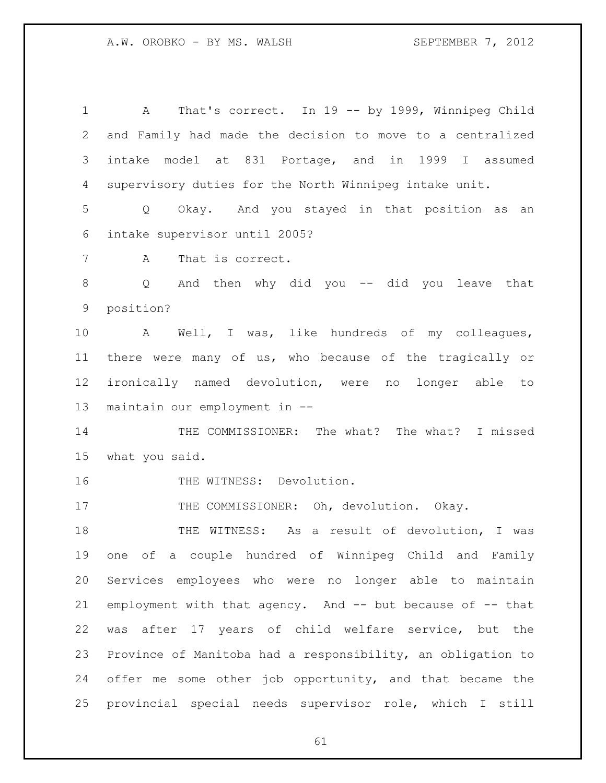A That's correct. In 19 -- by 1999, Winnipeg Child and Family had made the decision to move to a centralized intake model at 831 Portage, and in 1999 I assumed supervisory duties for the North Winnipeg intake unit. Q Okay. And you stayed in that position as an intake supervisor until 2005? A That is correct. Q And then why did you -- did you leave that position? A Well, I was, like hundreds of my colleagues, there were many of us, who because of the tragically or ironically named devolution, were no longer able to maintain our employment in -- THE COMMISSIONER: The what? The what? I missed what you said. 16 THE WITNESS: Devolution. 17 THE COMMISSIONER: Oh, devolution. Okay. THE WITNESS: As a result of devolution, I was one of a couple hundred of Winnipeg Child and Family Services employees who were no longer able to maintain employment with that agency. And -- but because of -- that was after 17 years of child welfare service, but the Province of Manitoba had a responsibility, an obligation to offer me some other job opportunity, and that became the provincial special needs supervisor role, which I still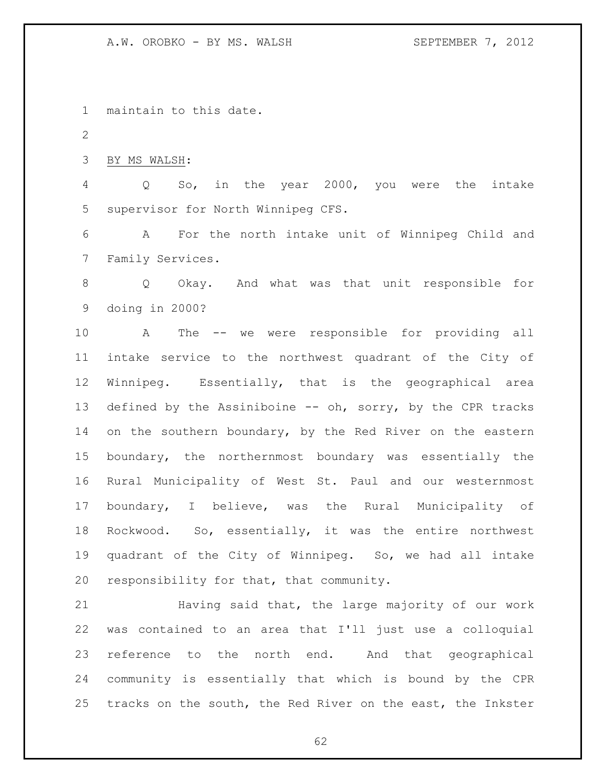maintain to this date.

BY MS WALSH:

 Q So, in the year 2000, you were the intake supervisor for North Winnipeg CFS.

 A For the north intake unit of Winnipeg Child and Family Services.

 Q Okay. And what was that unit responsible for doing in 2000?

 A The -- we were responsible for providing all intake service to the northwest quadrant of the City of Winnipeg. Essentially, that is the geographical area 13 defined by the Assiniboine -- oh, sorry, by the CPR tracks 14 on the southern boundary, by the Red River on the eastern boundary, the northernmost boundary was essentially the Rural Municipality of West St. Paul and our westernmost boundary, I believe, was the Rural Municipality of Rockwood. So, essentially, it was the entire northwest quadrant of the City of Winnipeg. So, we had all intake responsibility for that, that community.

 Having said that, the large majority of our work was contained to an area that I'll just use a colloquial reference to the north end. And that geographical community is essentially that which is bound by the CPR tracks on the south, the Red River on the east, the Inkster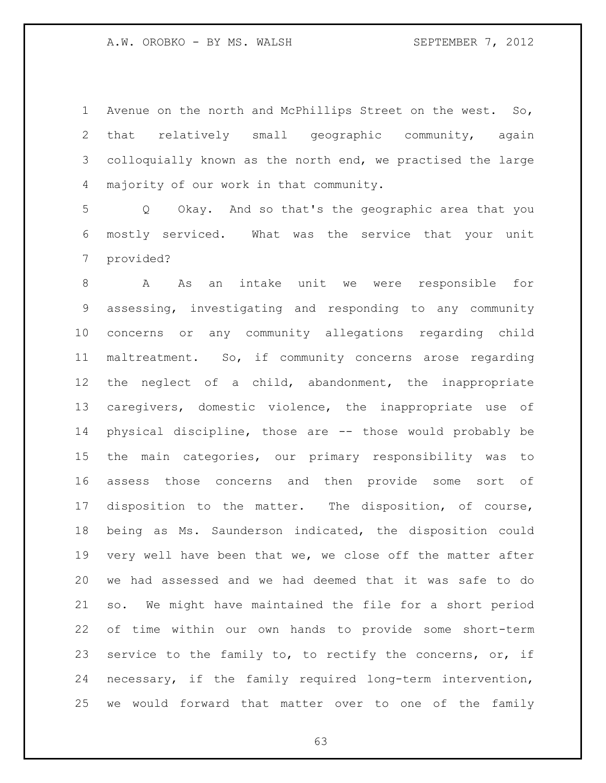Avenue on the north and McPhillips Street on the west. So, that relatively small geographic community, again colloquially known as the north end, we practised the large majority of our work in that community.

 Q Okay. And so that's the geographic area that you mostly serviced. What was the service that your unit provided?

 A As an intake unit we were responsible for assessing, investigating and responding to any community concerns or any community allegations regarding child maltreatment. So, if community concerns arose regarding the neglect of a child, abandonment, the inappropriate caregivers, domestic violence, the inappropriate use of physical discipline, those are -- those would probably be the main categories, our primary responsibility was to assess those concerns and then provide some sort of disposition to the matter. The disposition, of course, being as Ms. Saunderson indicated, the disposition could very well have been that we, we close off the matter after we had assessed and we had deemed that it was safe to do so. We might have maintained the file for a short period of time within our own hands to provide some short-term 23 service to the family to, to rectify the concerns, or, if necessary, if the family required long-term intervention, we would forward that matter over to one of the family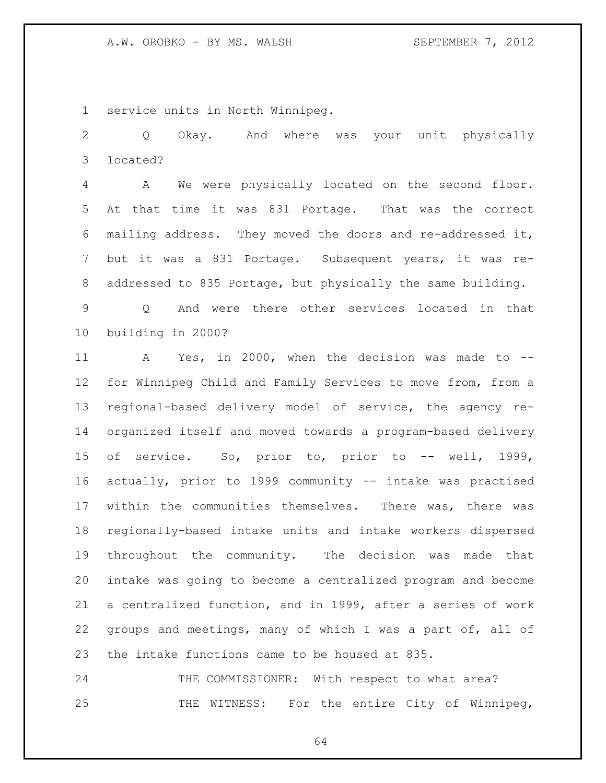service units in North Winnipeg.

 Q Okay. And where was your unit physically located?

 A We were physically located on the second floor. At that time it was 831 Portage. That was the correct mailing address. They moved the doors and re-addressed it, but it was a 831 Portage. Subsequent years, it was re-addressed to 835 Portage, but physically the same building.

 Q And were there other services located in that building in 2000?

 A Yes, in 2000, when the decision was made to -- for Winnipeg Child and Family Services to move from, from a regional-based delivery model of service, the agency re- organized itself and moved towards a program-based delivery of service. So, prior to, prior to -- well, 1999, actually, prior to 1999 community -- intake was practised within the communities themselves. There was, there was regionally-based intake units and intake workers dispersed throughout the community. The decision was made that intake was going to become a centralized program and become a centralized function, and in 1999, after a series of work groups and meetings, many of which I was a part of, all of the intake functions came to be housed at 835.

24 THE COMMISSIONER: With respect to what area? 25 THE WITNESS: For the entire City of Winnipeg,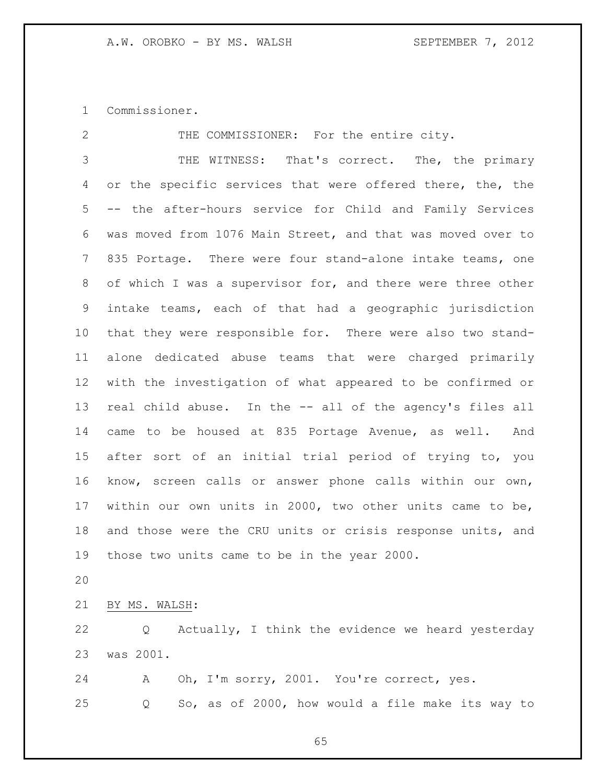Commissioner.

 THE COMMISSIONER: For the entire city. THE WITNESS: That's correct. The, the primary 4 or the specific services that were offered there, the, the -- the after-hours service for Child and Family Services was moved from 1076 Main Street, and that was moved over to 835 Portage. There were four stand-alone intake teams, one 8 of which I was a supervisor for, and there were three other intake teams, each of that had a geographic jurisdiction that they were responsible for. There were also two stand- alone dedicated abuse teams that were charged primarily with the investigation of what appeared to be confirmed or real child abuse. In the -- all of the agency's files all came to be housed at 835 Portage Avenue, as well. And after sort of an initial trial period of trying to, you know, screen calls or answer phone calls within our own, within our own units in 2000, two other units came to be, and those were the CRU units or crisis response units, and those two units came to be in the year 2000. BY MS. WALSH:

 Q Actually, I think the evidence we heard yesterday was 2001.

 A Oh, I'm sorry, 2001. You're correct, yes. Q So, as of 2000, how would a file make its way to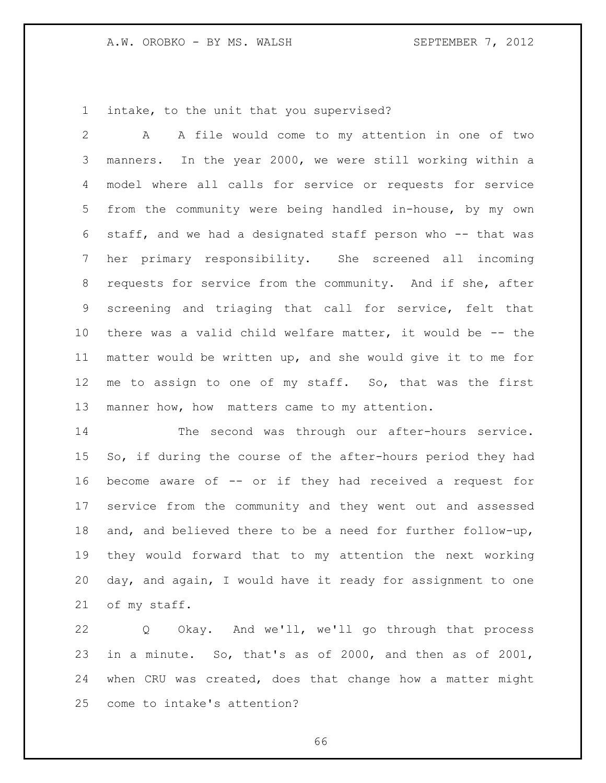intake, to the unit that you supervised?

 A A file would come to my attention in one of two manners. In the year 2000, we were still working within a model where all calls for service or requests for service from the community were being handled in-house, by my own staff, and we had a designated staff person who -- that was her primary responsibility. She screened all incoming requests for service from the community. And if she, after screening and triaging that call for service, felt that there was a valid child welfare matter, it would be -- the matter would be written up, and she would give it to me for me to assign to one of my staff. So, that was the first manner how, how matters came to my attention.

 The second was through our after-hours service. So, if during the course of the after-hours period they had become aware of -- or if they had received a request for service from the community and they went out and assessed and, and believed there to be a need for further follow-up, they would forward that to my attention the next working day, and again, I would have it ready for assignment to one of my staff.

 Q Okay. And we'll, we'll go through that process in a minute. So, that's as of 2000, and then as of 2001, when CRU was created, does that change how a matter might come to intake's attention?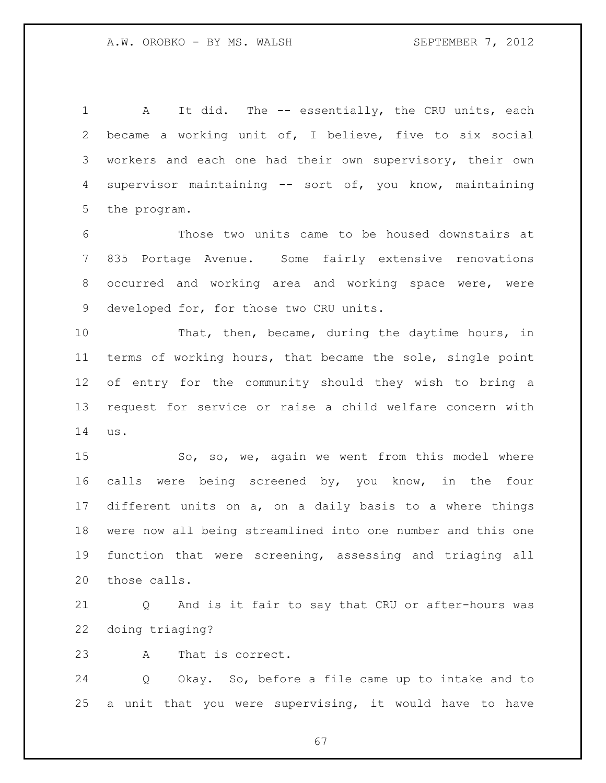1 A It did. The -- essentially, the CRU units, each became a working unit of, I believe, five to six social workers and each one had their own supervisory, their own supervisor maintaining -- sort of, you know, maintaining the program.

 Those two units came to be housed downstairs at 835 Portage Avenue. Some fairly extensive renovations occurred and working area and working space were, were developed for, for those two CRU units.

 That, then, became, during the daytime hours, in terms of working hours, that became the sole, single point of entry for the community should they wish to bring a request for service or raise a child welfare concern with us.

15 So, so, we, again we went from this model where calls were being screened by, you know, in the four different units on a, on a daily basis to a where things were now all being streamlined into one number and this one function that were screening, assessing and triaging all those calls.

 Q And is it fair to say that CRU or after-hours was doing triaging?

A That is correct.

 Q Okay. So, before a file came up to intake and to a unit that you were supervising, it would have to have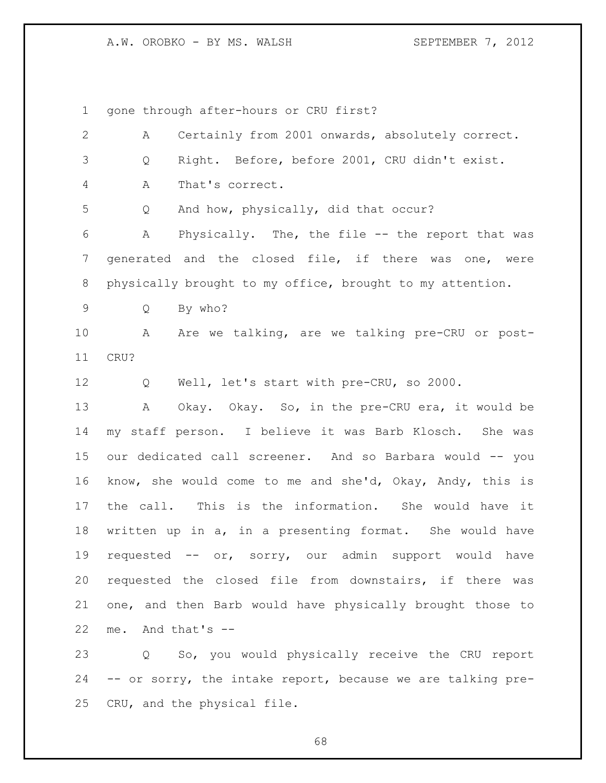A.W. OROBKO - BY MS. WALSH SEPTEMBER 7, 2012

gone through after-hours or CRU first?

| $\overline{2}$ | Certainly from 2001 onwards, absolutely correct.<br>А       |
|----------------|-------------------------------------------------------------|
| $\mathfrak{Z}$ | Right. Before, before 2001, CRU didn't exist.<br>Q          |
| 4              | That's correct.<br>Α                                        |
| 5              | And how, physically, did that occur?<br>Q                   |
| 6              | Physically. The, the file -- the report that was<br>A       |
| 7              | generated and the closed file, if there was one, were       |
| 8              | physically brought to my office, brought to my attention.   |
| 9              | By who?<br>Q                                                |
| 10             | Are we talking, are we talking pre-CRU or post-<br>A        |
| 11             | CRU?                                                        |
| 12             | Well, let's start with pre-CRU, so 2000.<br>Q               |
| 13             | Okay. Okay. So, in the pre-CRU era, it would be<br>Α        |
| 14             | my staff person. I believe it was Barb Klosch. She was      |
| 15             | our dedicated call screener. And so Barbara would -- you    |
| 16             | know, she would come to me and she'd, Okay, Andy, this is   |
| 17             | This is the information. She would have it<br>the call.     |
| 18             | written up in a, in a presenting format. She would have     |
| 19             | requested -- or, sorry, our admin support would have        |
| 20             | requested the closed file from downstairs, if there was     |
| 21             | one, and then Barb would have physically brought those to   |
| 22             | And that's --<br>me.                                        |
| 23             | Q So, you would physically receive the CRU report           |
| 24             | -- or sorry, the intake report, because we are talking pre- |
| 25             | CRU, and the physical file.                                 |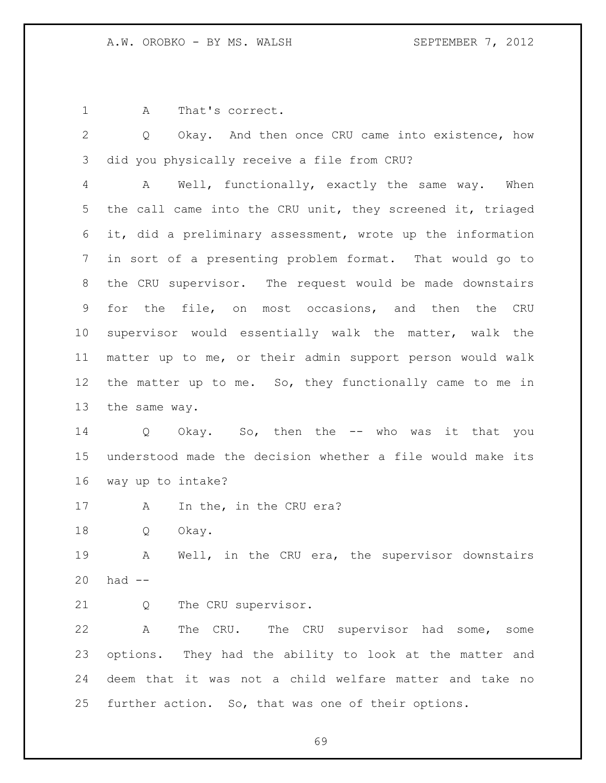A That's correct.

 Q Okay. And then once CRU came into existence, how did you physically receive a file from CRU?

 A Well, functionally, exactly the same way. When the call came into the CRU unit, they screened it, triaged it, did a preliminary assessment, wrote up the information in sort of a presenting problem format. That would go to the CRU supervisor. The request would be made downstairs for the file, on most occasions, and then the CRU supervisor would essentially walk the matter, walk the matter up to me, or their admin support person would walk the matter up to me. So, they functionally came to me in the same way.

 Q Okay. So, then the -- who was it that you understood made the decision whether a file would make its way up to intake?

17 A In the, in the CRU era?

Q Okay.

 A Well, in the CRU era, the supervisor downstairs had --

Q The CRU supervisor.

 A The CRU. The CRU supervisor had some, some options. They had the ability to look at the matter and deem that it was not a child welfare matter and take no further action. So, that was one of their options.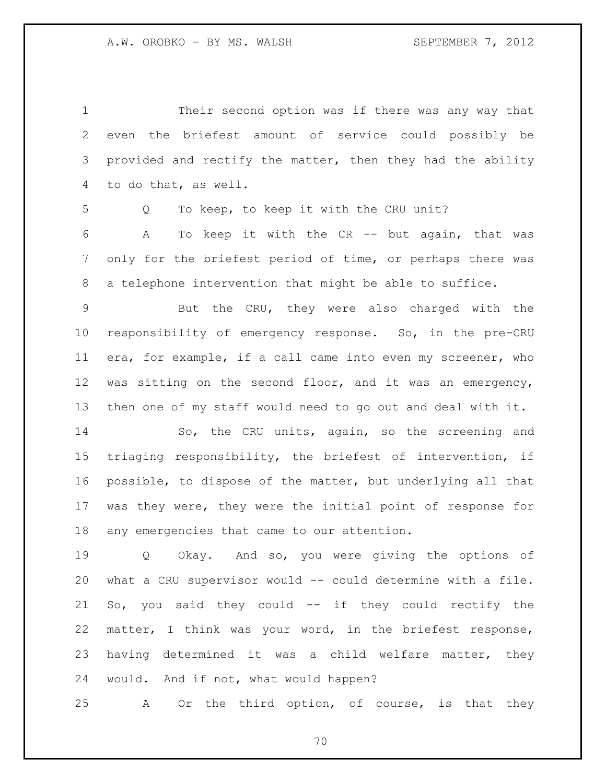| $\mathbf 1$    | Their second option was if there was any way that           |
|----------------|-------------------------------------------------------------|
| $\mathbf{2}$   | even the briefest amount of service could possibly be       |
| 3              | provided and rectify the matter, then they had the ability  |
| 4              | to do that, as well.                                        |
| 5              | To keep, to keep it with the CRU unit?<br>Q                 |
| 6              | To keep it with the CR -- but again, that was<br>A          |
| $\overline{7}$ | only for the briefest period of time, or perhaps there was  |
| 8              | a telephone intervention that might be able to suffice.     |
| 9              | But the CRU, they were also charged with the                |
| 10             | responsibility of emergency response. So, in the pre-CRU    |
| 11             | era, for example, if a call came into even my screener, who |
| 12             | was sitting on the second floor, and it was an emergency,   |
| 13             | then one of my staff would need to go out and deal with it. |
| 14             | So, the CRU units, again, so the screening and              |
| 15             | triaging responsibility, the briefest of intervention, if   |
| 16             | possible, to dispose of the matter, but underlying all that |
| 17             | was they were, they were the initial point of response for  |
| 18             | any emergencies that came to our attention.                 |
| 19             | Okay. And so, you were giving the options of<br>Q           |
| 20             | what a CRU supervisor would -- could determine with a file. |
| 21             | So, you said they could -- if they could rectify the        |
| 22             | matter, I think was your word, in the briefest response,    |
| 23             | having determined it was a child welfare matter, they       |
| 24             | would. And if not, what would happen?                       |
| 25             | Or the third option, of course, is that they<br>A           |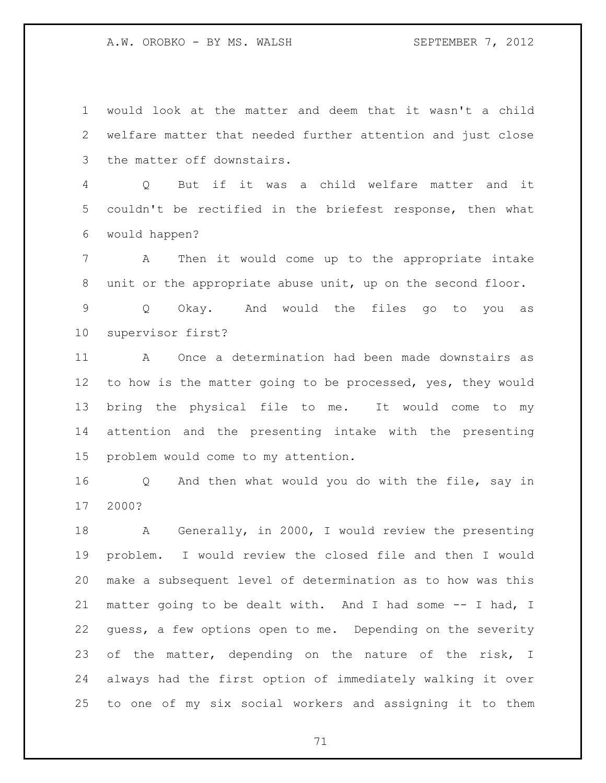A.W. OROBKO - BY MS. WALSH SEPTEMBER 7, 2012

 would look at the matter and deem that it wasn't a child welfare matter that needed further attention and just close the matter off downstairs.

 Q But if it was a child welfare matter and it couldn't be rectified in the briefest response, then what would happen?

 A Then it would come up to the appropriate intake unit or the appropriate abuse unit, up on the second floor.

 Q Okay. And would the files go to you as supervisor first?

 A Once a determination had been made downstairs as 12 to how is the matter going to be processed, yes, they would bring the physical file to me. It would come to my attention and the presenting intake with the presenting problem would come to my attention.

 Q And then what would you do with the file, say in 2000?

 A Generally, in 2000, I would review the presenting problem. I would review the closed file and then I would make a subsequent level of determination as to how was this matter going to be dealt with. And I had some -- I had, I guess, a few options open to me. Depending on the severity 23 of the matter, depending on the nature of the risk, I always had the first option of immediately walking it over to one of my six social workers and assigning it to them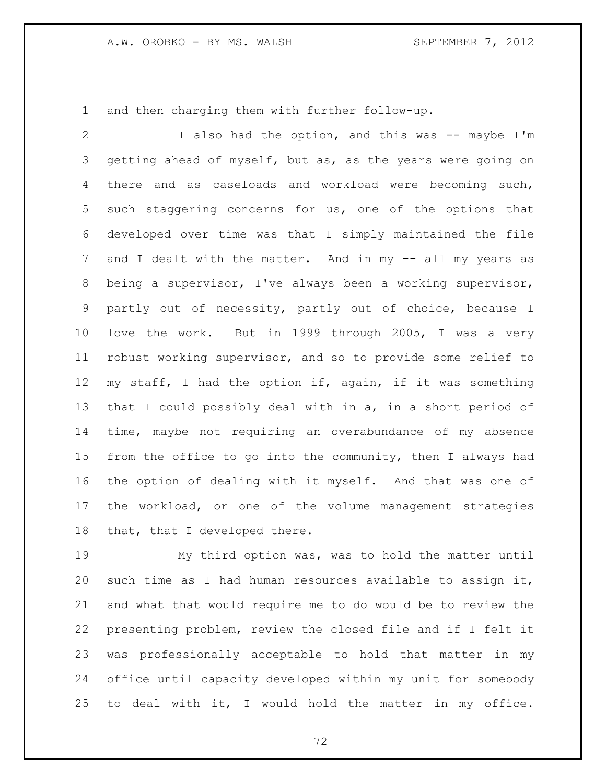and then charging them with further follow-up.

 I also had the option, and this was -- maybe I'm getting ahead of myself, but as, as the years were going on there and as caseloads and workload were becoming such, such staggering concerns for us, one of the options that developed over time was that I simply maintained the file 7 and I dealt with the matter. And in my -- all my years as being a supervisor, I've always been a working supervisor, partly out of necessity, partly out of choice, because I love the work. But in 1999 through 2005, I was a very robust working supervisor, and so to provide some relief to my staff, I had the option if, again, if it was something that I could possibly deal with in a, in a short period of time, maybe not requiring an overabundance of my absence from the office to go into the community, then I always had the option of dealing with it myself. And that was one of the workload, or one of the volume management strategies that, that I developed there.

 My third option was, was to hold the matter until such time as I had human resources available to assign it, and what that would require me to do would be to review the presenting problem, review the closed file and if I felt it was professionally acceptable to hold that matter in my office until capacity developed within my unit for somebody to deal with it, I would hold the matter in my office.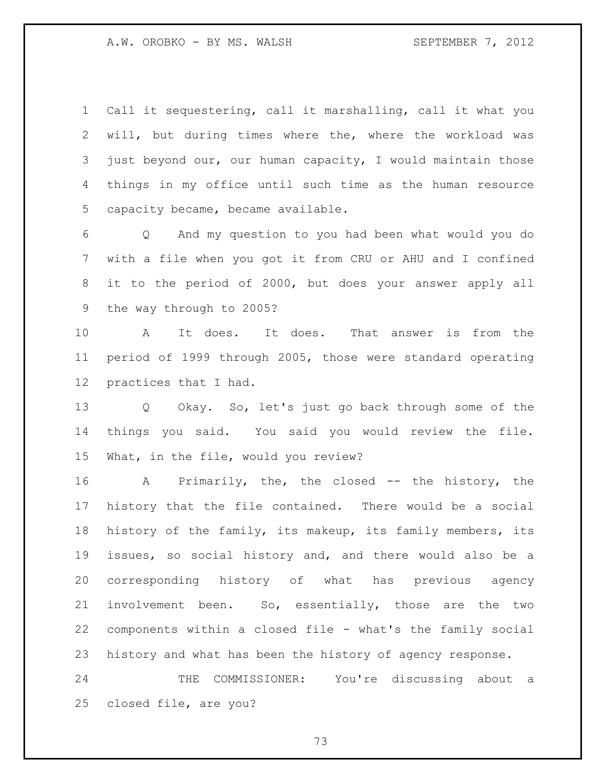Call it sequestering, call it marshalling, call it what you will, but during times where the, where the workload was just beyond our, our human capacity, I would maintain those things in my office until such time as the human resource capacity became, became available.

 Q And my question to you had been what would you do with a file when you got it from CRU or AHU and I confined it to the period of 2000, but does your answer apply all the way through to 2005?

 A It does. It does. That answer is from the period of 1999 through 2005, those were standard operating practices that I had.

 Q Okay. So, let's just go back through some of the things you said. You said you would review the file. What, in the file, would you review?

 A Primarily, the, the closed -- the history, the history that the file contained. There would be a social history of the family, its makeup, its family members, its issues, so social history and, and there would also be a corresponding history of what has previous agency involvement been. So, essentially, those are the two components within a closed file - what's the family social history and what has been the history of agency response.

 THE COMMISSIONER: You're discussing about a closed file, are you?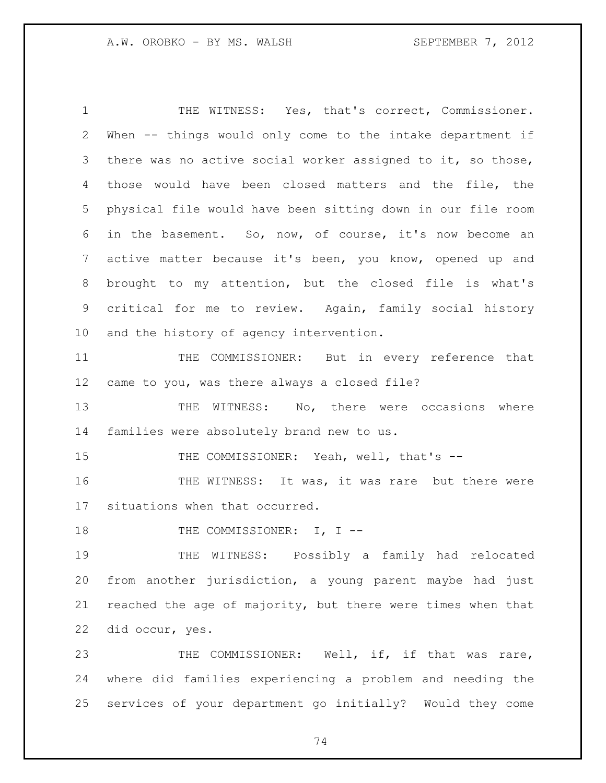THE WITNESS: Yes, that's correct, Commissioner. When -- things would only come to the intake department if there was no active social worker assigned to it, so those, those would have been closed matters and the file, the physical file would have been sitting down in our file room in the basement. So, now, of course, it's now become an active matter because it's been, you know, opened up and brought to my attention, but the closed file is what's critical for me to review. Again, family social history and the history of agency intervention.

 THE COMMISSIONER: But in every reference that came to you, was there always a closed file?

13 THE WITNESS: No, there were occasions where families were absolutely brand new to us.

15 THE COMMISSIONER: Yeah, well, that's --

16 THE WITNESS: It was, it was rare but there were situations when that occurred.

18 THE COMMISSIONER: I, I --

 THE WITNESS: Possibly a family had relocated from another jurisdiction, a young parent maybe had just reached the age of majority, but there were times when that did occur, yes.

 THE COMMISSIONER: Well, if, if that was rare, where did families experiencing a problem and needing the services of your department go initially? Would they come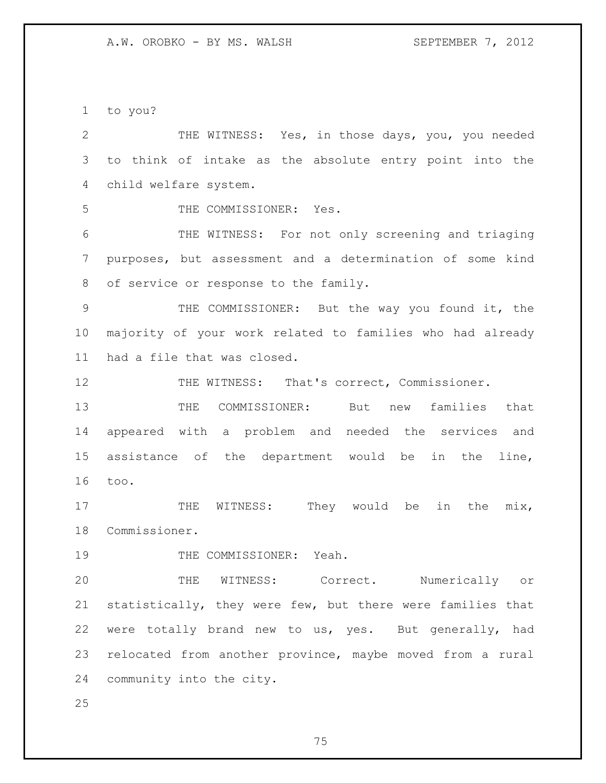to you?

 THE WITNESS: Yes, in those days, you, you needed to think of intake as the absolute entry point into the child welfare system. THE COMMISSIONER: Yes. THE WITNESS: For not only screening and triaging purposes, but assessment and a determination of some kind of service or response to the family. THE COMMISSIONER: But the way you found it, the majority of your work related to families who had already had a file that was closed. 12 THE WITNESS: That's correct, Commissioner. THE COMMISSIONER: But new families that appeared with a problem and needed the services and assistance of the department would be in the line, too. 17 THE WITNESS: They would be in the mix, Commissioner. 19 THE COMMISSIONER: Yeah. THE WITNESS: Correct. Numerically or statistically, they were few, but there were families that were totally brand new to us, yes. But generally, had relocated from another province, maybe moved from a rural community into the city.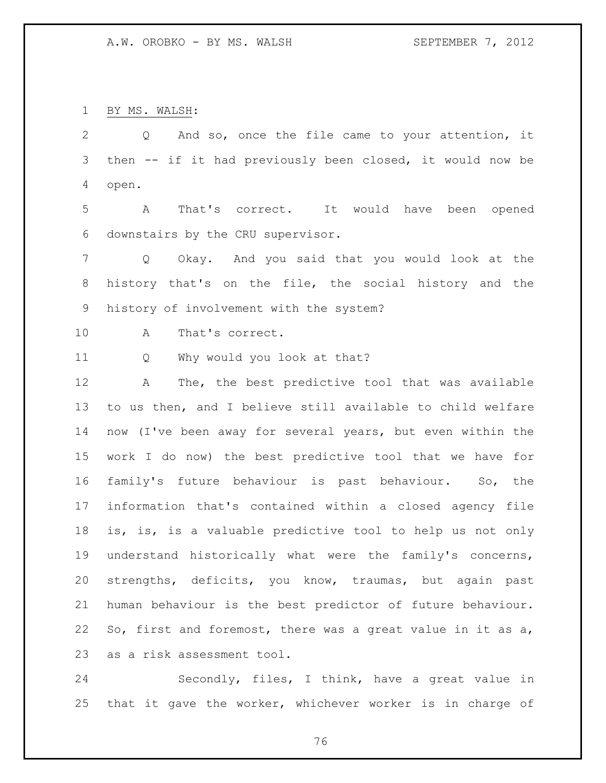BY MS. WALSH:

 Q And so, once the file came to your attention, it then -- if it had previously been closed, it would now be open. A That's correct. It would have been opened downstairs by the CRU supervisor. Q Okay. And you said that you would look at the history that's on the file, the social history and the history of involvement with the system? A That's correct. Q Why would you look at that? A The, the best predictive tool that was available to us then, and I believe still available to child welfare now (I've been away for several years, but even within the work I do now) the best predictive tool that we have for family's future behaviour is past behaviour. So, the information that's contained within a closed agency file is, is, is a valuable predictive tool to help us not only understand historically what were the family's concerns, strengths, deficits, you know, traumas, but again past human behaviour is the best predictor of future behaviour. So, first and foremost, there was a great value in it as a,

as a risk assessment tool.

 Secondly, files, I think, have a great value in that it gave the worker, whichever worker is in charge of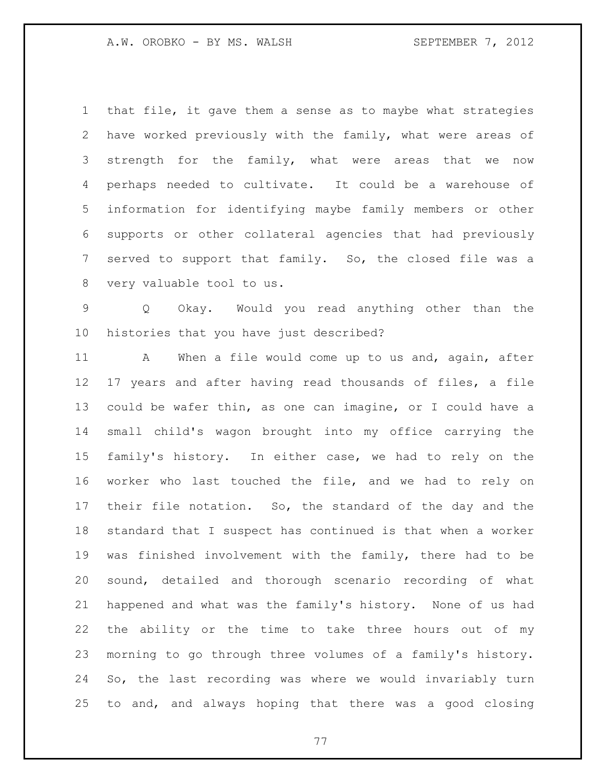that file, it gave them a sense as to maybe what strategies have worked previously with the family, what were areas of 3 strength for the family, what were areas that we now perhaps needed to cultivate. It could be a warehouse of information for identifying maybe family members or other supports or other collateral agencies that had previously served to support that family. So, the closed file was a very valuable tool to us.

 Q Okay. Would you read anything other than the histories that you have just described?

11 A When a file would come up to us and, again, after 17 years and after having read thousands of files, a file could be wafer thin, as one can imagine, or I could have a small child's wagon brought into my office carrying the family's history. In either case, we had to rely on the worker who last touched the file, and we had to rely on their file notation. So, the standard of the day and the standard that I suspect has continued is that when a worker was finished involvement with the family, there had to be sound, detailed and thorough scenario recording of what happened and what was the family's history. None of us had the ability or the time to take three hours out of my morning to go through three volumes of a family's history. So, the last recording was where we would invariably turn to and, and always hoping that there was a good closing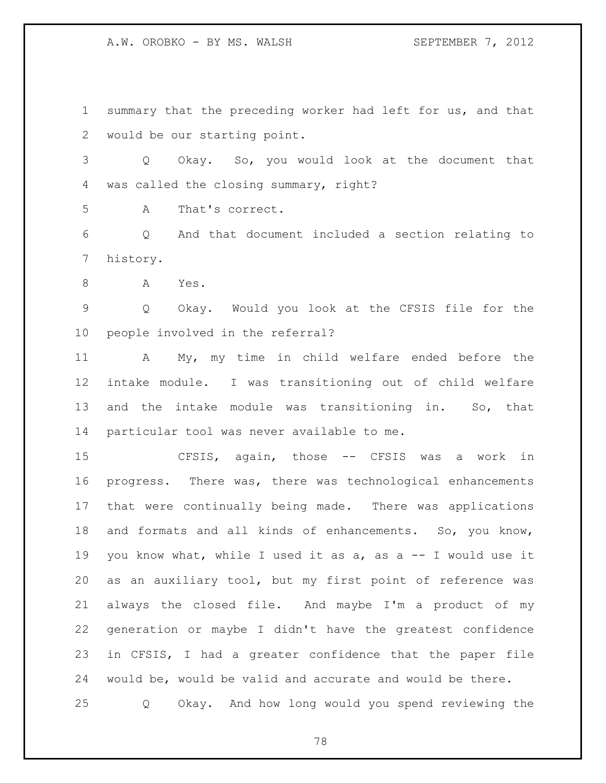A.W. OROBKO - BY MS. WALSH SEPTEMBER 7, 2012

 summary that the preceding worker had left for us, and that would be our starting point.

 Q Okay. So, you would look at the document that was called the closing summary, right?

A That's correct.

 Q And that document included a section relating to history.

A Yes.

 Q Okay. Would you look at the CFSIS file for the people involved in the referral?

 A My, my time in child welfare ended before the intake module. I was transitioning out of child welfare and the intake module was transitioning in. So, that particular tool was never available to me.

 CFSIS, again, those -- CFSIS was a work in progress. There was, there was technological enhancements that were continually being made. There was applications and formats and all kinds of enhancements. So, you know, you know what, while I used it as a, as a -- I would use it as an auxiliary tool, but my first point of reference was always the closed file. And maybe I'm a product of my generation or maybe I didn't have the greatest confidence in CFSIS, I had a greater confidence that the paper file would be, would be valid and accurate and would be there. Q Okay. And how long would you spend reviewing the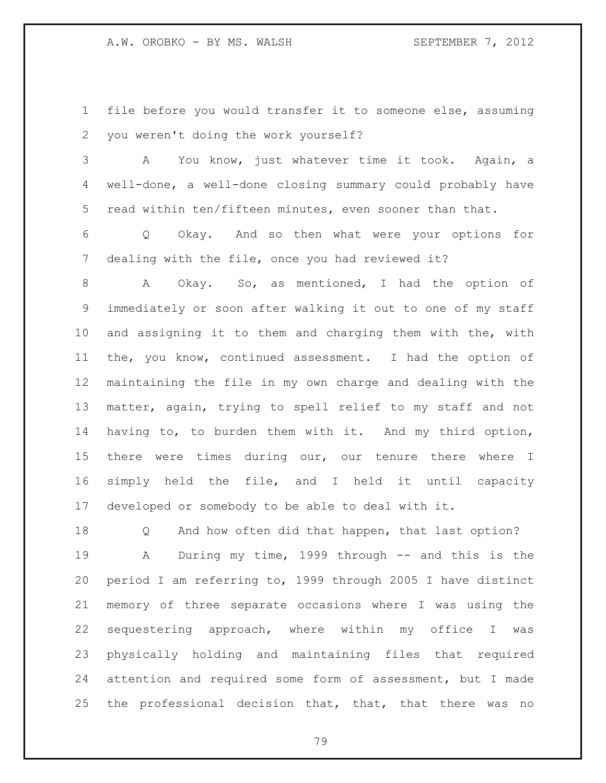file before you would transfer it to someone else, assuming you weren't doing the work yourself?

 A You know, just whatever time it took. Again, a well-done, a well-done closing summary could probably have read within ten/fifteen minutes, even sooner than that.

 Q Okay. And so then what were your options for dealing with the file, once you had reviewed it?

 A Okay. So, as mentioned, I had the option of immediately or soon after walking it out to one of my staff and assigning it to them and charging them with the, with the, you know, continued assessment. I had the option of maintaining the file in my own charge and dealing with the matter, again, trying to spell relief to my staff and not having to, to burden them with it. And my third option, 15 there were times during our, our tenure there where I simply held the file, and I held it until capacity developed or somebody to be able to deal with it.

 Q And how often did that happen, that last option? A During my time, 1999 through -- and this is the period I am referring to, 1999 through 2005 I have distinct memory of three separate occasions where I was using the sequestering approach, where within my office I was physically holding and maintaining files that required attention and required some form of assessment, but I made the professional decision that, that, that there was no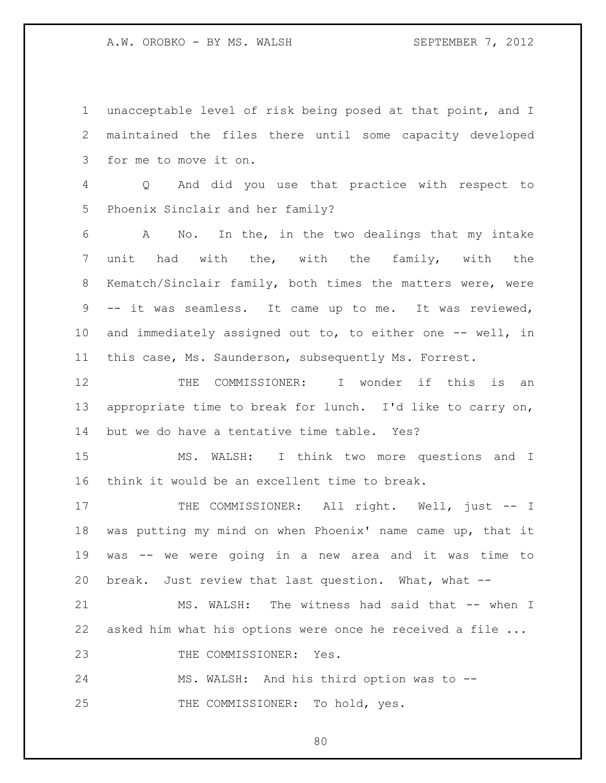A.W. OROBKO - BY MS. WALSH SEPTEMBER 7, 2012

 unacceptable level of risk being posed at that point, and I maintained the files there until some capacity developed for me to move it on.

 Q And did you use that practice with respect to Phoenix Sinclair and her family?

 A No. In the, in the two dealings that my intake unit had with the, with the family, with the Kematch/Sinclair family, both times the matters were, were -- it was seamless. It came up to me. It was reviewed, and immediately assigned out to, to either one -- well, in this case, Ms. Saunderson, subsequently Ms. Forrest.

12 THE COMMISSIONER: I wonder if this is an appropriate time to break for lunch. I'd like to carry on, but we do have a tentative time table. Yes?

 MS. WALSH: I think two more questions and I think it would be an excellent time to break.

17 THE COMMISSIONER: All right. Well, just -- I was putting my mind on when Phoenix' name came up, that it was -- we were going in a new area and it was time to break. Just review that last question. What, what --

 MS. WALSH: The witness had said that -- when I asked him what his options were once he received a file ...

23 THE COMMISSIONER: Yes.

MS. WALSH: And his third option was to --

25 THE COMMISSIONER: To hold, yes.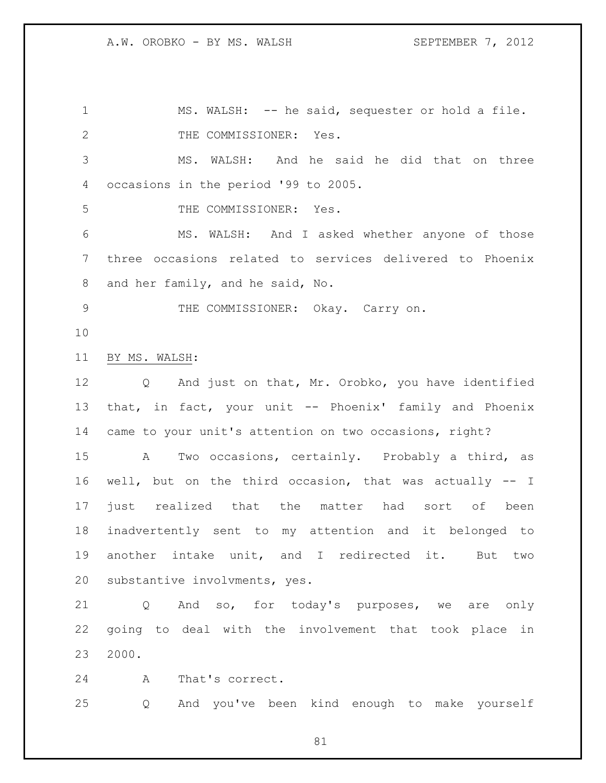MS. WALSH: -- he said, sequester or hold a file. 2 THE COMMISSIONER: Yes. MS. WALSH: And he said he did that on three occasions in the period '99 to 2005. THE COMMISSIONER: Yes. MS. WALSH: And I asked whether anyone of those three occasions related to services delivered to Phoenix and her family, and he said, No. THE COMMISSIONER: Okay. Carry on. BY MS. WALSH: Q And just on that, Mr. Orobko, you have identified that, in fact, your unit -- Phoenix' family and Phoenix came to your unit's attention on two occasions, right? A Two occasions, certainly. Probably a third, as well, but on the third occasion, that was actually -- I just realized that the matter had sort of been inadvertently sent to my attention and it belonged to another intake unit, and I redirected it. But two substantive involvments, yes. Q And so, for today's purposes, we are only going to deal with the involvement that took place in 2000. A That's correct.

Q And you've been kind enough to make yourself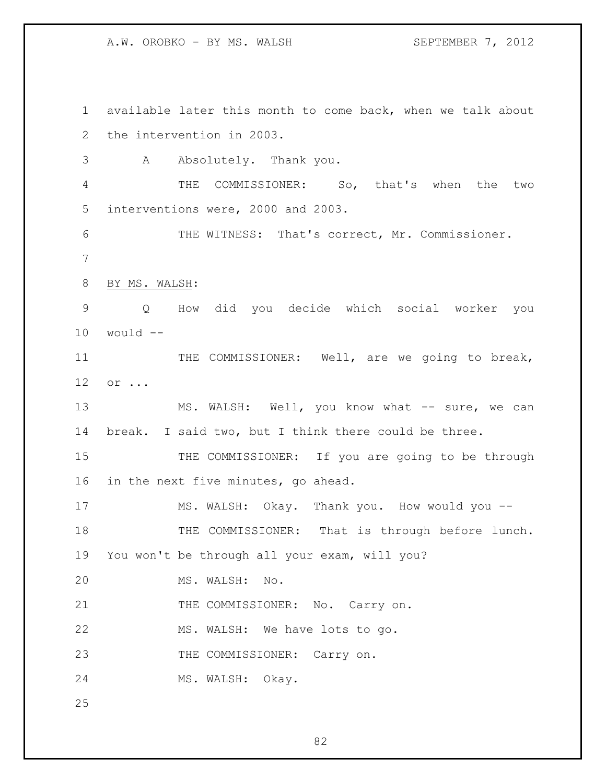A.W. OROBKO - BY MS. WALSH SEPTEMBER 7, 2012

 available later this month to come back, when we talk about the intervention in 2003. A Absolutely. Thank you. THE COMMISSIONER: So, that's when the two interventions were, 2000 and 2003. THE WITNESS: That's correct, Mr. Commissioner. BY MS. WALSH: Q How did you decide which social worker you would  $-$ 11 THE COMMISSIONER: Well, are we going to break, or ... 13 MS. WALSH: Well, you know what -- sure, we can break. I said two, but I think there could be three. 15 THE COMMISSIONER: If you are going to be through in the next five minutes, go ahead. MS. WALSH: Okay. Thank you. How would you -- 18 THE COMMISSIONER: That is through before lunch. You won't be through all your exam, will you? MS. WALSH: No. 21 THE COMMISSIONER: No. Carry on. MS. WALSH: We have lots to go. 23 THE COMMISSIONER: Carry on. MS. WALSH: Okay.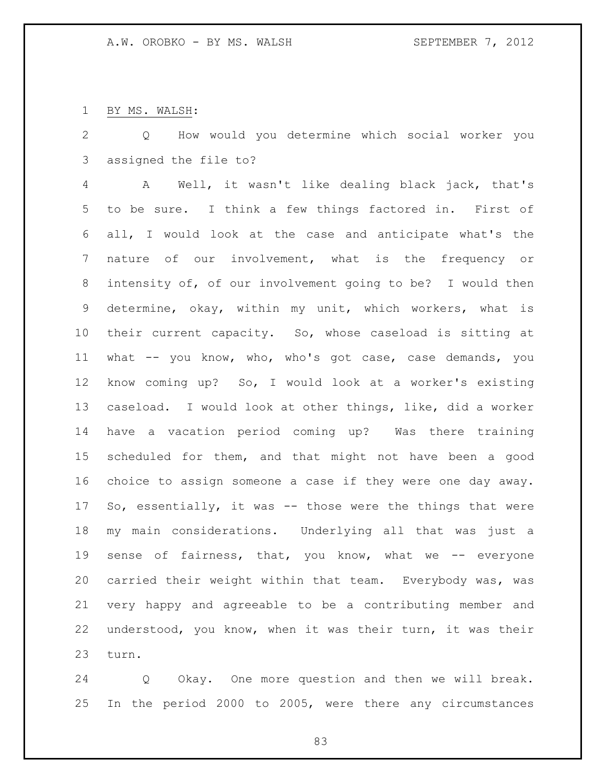BY MS. WALSH:

 Q How would you determine which social worker you assigned the file to?

 A Well, it wasn't like dealing black jack, that's to be sure. I think a few things factored in. First of all, I would look at the case and anticipate what's the nature of our involvement, what is the frequency or intensity of, of our involvement going to be? I would then determine, okay, within my unit, which workers, what is their current capacity. So, whose caseload is sitting at what -- you know, who, who's got case, case demands, you know coming up? So, I would look at a worker's existing caseload. I would look at other things, like, did a worker have a vacation period coming up? Was there training scheduled for them, and that might not have been a good choice to assign someone a case if they were one day away. So, essentially, it was -- those were the things that were my main considerations. Underlying all that was just a 19 sense of fairness, that, you know, what we -- everyone carried their weight within that team. Everybody was, was very happy and agreeable to be a contributing member and understood, you know, when it was their turn, it was their turn.

 Q Okay. One more question and then we will break. In the period 2000 to 2005, were there any circumstances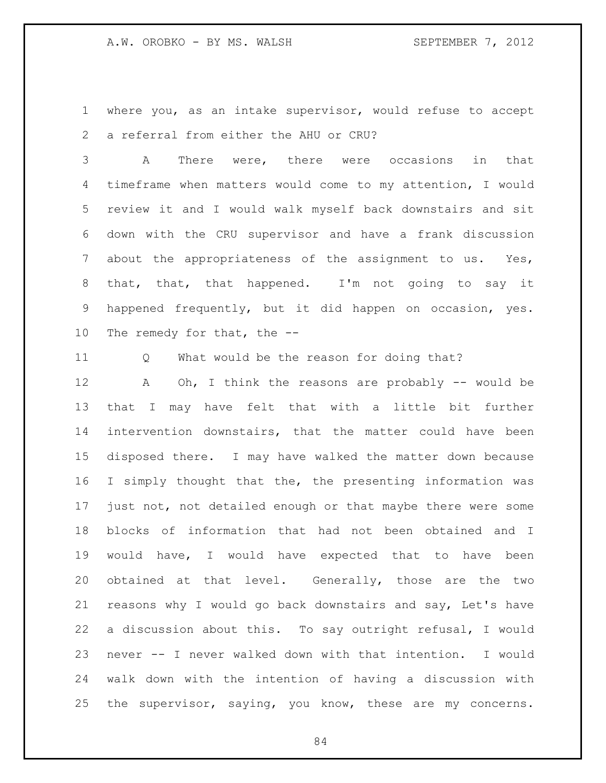where you, as an intake supervisor, would refuse to accept a referral from either the AHU or CRU?

 A There were, there were occasions in that timeframe when matters would come to my attention, I would review it and I would walk myself back downstairs and sit down with the CRU supervisor and have a frank discussion 7 about the appropriateness of the assignment to us. Yes, that, that, that happened. I'm not going to say it happened frequently, but it did happen on occasion, yes. The remedy for that, the --

Q What would be the reason for doing that?

 A Oh, I think the reasons are probably -- would be that I may have felt that with a little bit further intervention downstairs, that the matter could have been disposed there. I may have walked the matter down because I simply thought that the, the presenting information was just not, not detailed enough or that maybe there were some blocks of information that had not been obtained and I would have, I would have expected that to have been obtained at that level. Generally, those are the two reasons why I would go back downstairs and say, Let's have a discussion about this. To say outright refusal, I would never -- I never walked down with that intention. I would walk down with the intention of having a discussion with the supervisor, saying, you know, these are my concerns.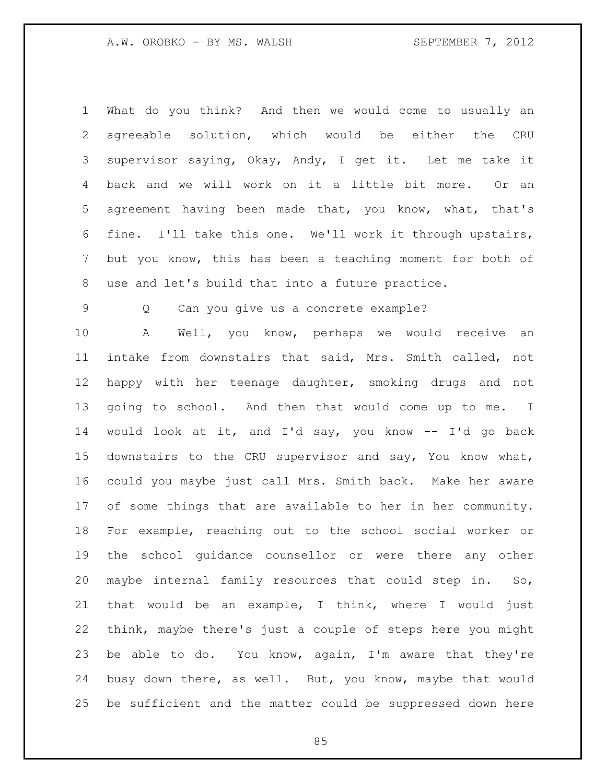What do you think? And then we would come to usually an agreeable solution, which would be either the CRU supervisor saying, Okay, Andy, I get it. Let me take it back and we will work on it a little bit more. Or an agreement having been made that, you know, what, that's fine. I'll take this one. We'll work it through upstairs, but you know, this has been a teaching moment for both of use and let's build that into a future practice.

Q Can you give us a concrete example?

 A Well, you know, perhaps we would receive an intake from downstairs that said, Mrs. Smith called, not happy with her teenage daughter, smoking drugs and not going to school. And then that would come up to me. I would look at it, and I'd say, you know -- I'd go back downstairs to the CRU supervisor and say, You know what, could you maybe just call Mrs. Smith back. Make her aware of some things that are available to her in her community. For example, reaching out to the school social worker or the school guidance counsellor or were there any other maybe internal family resources that could step in. So, that would be an example, I think, where I would just think, maybe there's just a couple of steps here you might be able to do. You know, again, I'm aware that they're busy down there, as well. But, you know, maybe that would be sufficient and the matter could be suppressed down here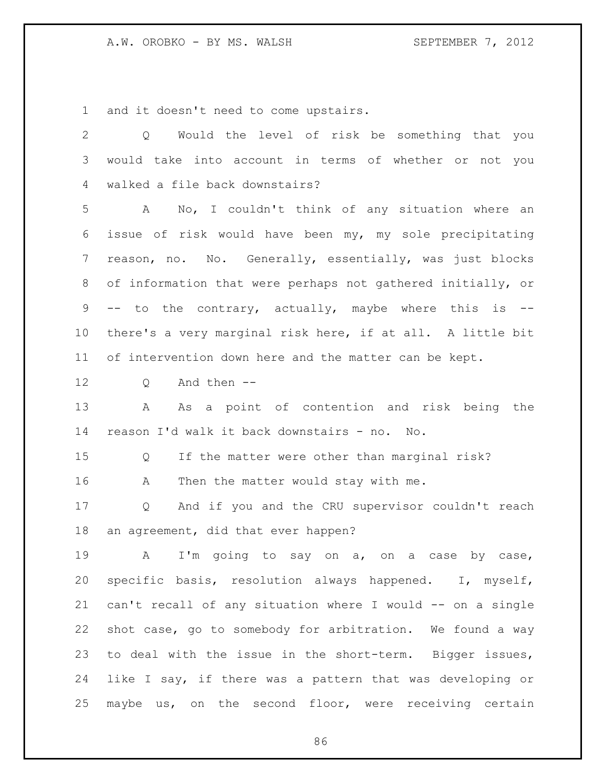and it doesn't need to come upstairs.

| $\overline{2}$ | Would the level of risk be something that you<br>Q          |
|----------------|-------------------------------------------------------------|
| 3              | would take into account in terms of whether or not you      |
| 4              | walked a file back downstairs?                              |
| 5              | No, I couldn't think of any situation where an<br>A         |
| 6              | issue of risk would have been my, my sole precipitating     |
| $\overline{7}$ | reason, no. No. Generally, essentially, was just blocks     |
| 8              | of information that were perhaps not gathered initially, or |
| 9              | -- to the contrary, actually, maybe where this is --        |
| 10             | there's a very marginal risk here, if at all. A little bit  |
| 11             | of intervention down here and the matter can be kept.       |
| 12             | And then --<br>Q                                            |
| 13             | As a point of contention and risk being the<br>A            |
| 14             | reason I'd walk it back downstairs - no. No.                |
| 15             | If the matter were other than marginal risk?<br>Q           |
| 16             | Then the matter would stay with me.<br>A                    |
| 17             | And if you and the CRU supervisor couldn't reach<br>Q       |
| 18             | an agreement, did that ever happen?                         |
| 19             | I'm going to say on a, on a case<br>A<br>by case,           |
| 20             | specific basis, resolution always happened. I, myself,      |
| 21             | can't recall of any situation where I would -- on a single  |
| 22             | shot case, go to somebody for arbitration. We found a way   |
| 23             | to deal with the issue in the short-term. Bigger issues,    |
| 24             | like I say, if there was a pattern that was developing or   |
| 25             | maybe us, on the second floor, were receiving certain       |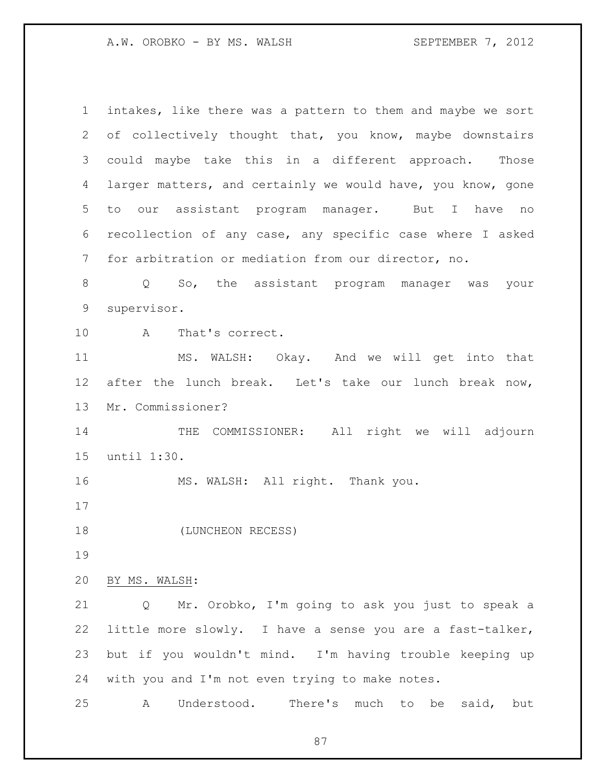intakes, like there was a pattern to them and maybe we sort of collectively thought that, you know, maybe downstairs could maybe take this in a different approach. Those larger matters, and certainly we would have, you know, gone to our assistant program manager. But I have no recollection of any case, any specific case where I asked for arbitration or mediation from our director, no. Q So, the assistant program manager was your supervisor. A That's correct. MS. WALSH: Okay. And we will get into that after the lunch break. Let's take our lunch break now, Mr. Commissioner? 14 THE COMMISSIONER: All right we will adjourn until 1:30. MS. WALSH: All right. Thank you. 18 (LUNCHEON RECESS) BY MS. WALSH: Q Mr. Orobko, I'm going to ask you just to speak a little more slowly. I have a sense you are a fast-talker, but if you wouldn't mind. I'm having trouble keeping up with you and I'm not even trying to make notes. A Understood. There's much to be said, but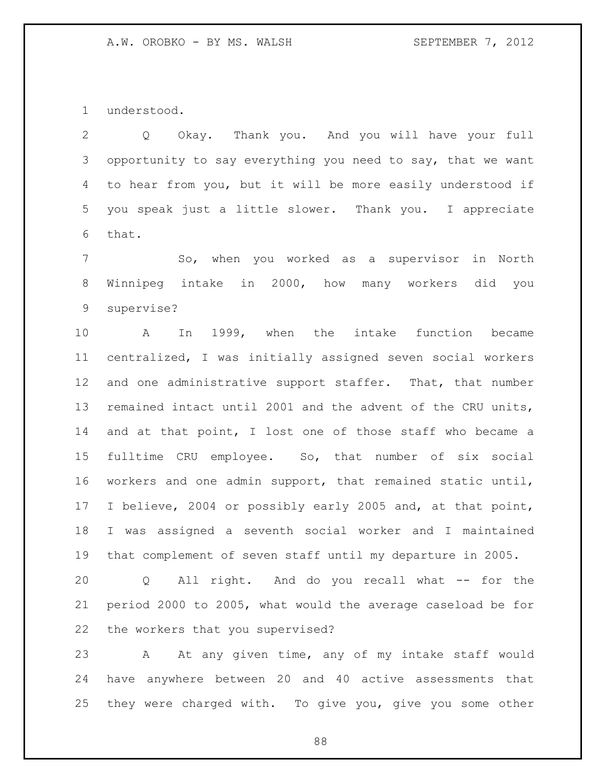understood.

 Q Okay. Thank you. And you will have your full opportunity to say everything you need to say, that we want to hear from you, but it will be more easily understood if you speak just a little slower. Thank you. I appreciate that.

 So, when you worked as a supervisor in North Winnipeg intake in 2000, how many workers did you supervise?

 A In 1999, when the intake function became centralized, I was initially assigned seven social workers and one administrative support staffer. That, that number remained intact until 2001 and the advent of the CRU units, and at that point, I lost one of those staff who became a fulltime CRU employee. So, that number of six social workers and one admin support, that remained static until, I believe, 2004 or possibly early 2005 and, at that point, I was assigned a seventh social worker and I maintained that complement of seven staff until my departure in 2005.

 Q All right. And do you recall what -- for the period 2000 to 2005, what would the average caseload be for the workers that you supervised?

 A At any given time, any of my intake staff would have anywhere between 20 and 40 active assessments that they were charged with. To give you, give you some other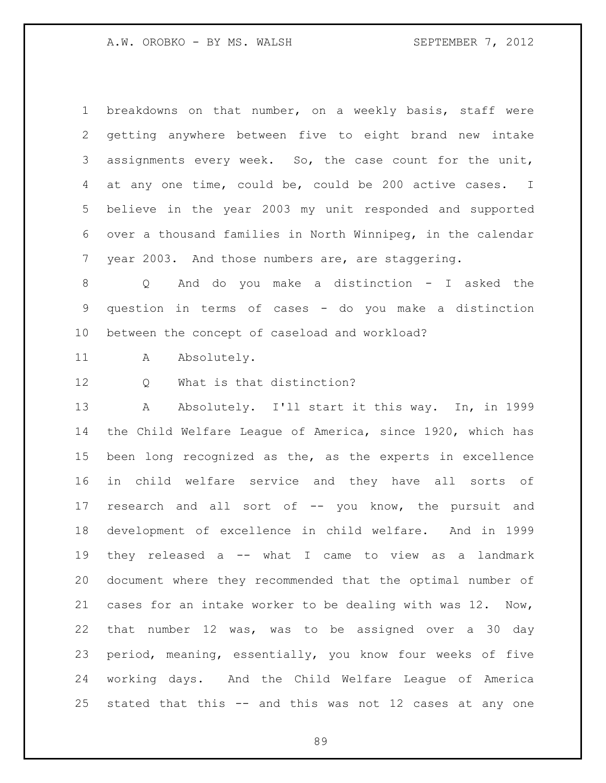breakdowns on that number, on a weekly basis, staff were getting anywhere between five to eight brand new intake assignments every week. So, the case count for the unit, at any one time, could be, could be 200 active cases. I believe in the year 2003 my unit responded and supported over a thousand families in North Winnipeg, in the calendar year 2003. And those numbers are, are staggering.

 Q And do you make a distinction - I asked the question in terms of cases - do you make a distinction between the concept of caseload and workload?

11 A Absolutely.

12 0 What is that distinction?

13 A Absolutely. I'll start it this way. In, in 1999 the Child Welfare League of America, since 1920, which has been long recognized as the, as the experts in excellence in child welfare service and they have all sorts of 17 research and all sort of -- you know, the pursuit and development of excellence in child welfare. And in 1999 they released a -- what I came to view as a landmark document where they recommended that the optimal number of cases for an intake worker to be dealing with was 12. Now, that number 12 was, was to be assigned over a 30 day period, meaning, essentially, you know four weeks of five working days. And the Child Welfare League of America stated that this -- and this was not 12 cases at any one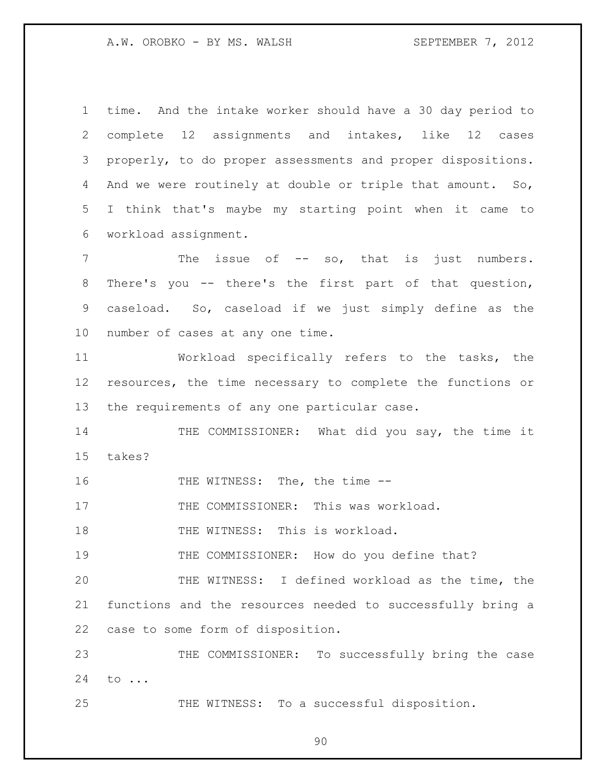time. And the intake worker should have a 30 day period to complete 12 assignments and intakes, like 12 cases properly, to do proper assessments and proper dispositions. 4 And we were routinely at double or triple that amount. So, I think that's maybe my starting point when it came to workload assignment. 7 The issue of -- so, that is just numbers. There's you -- there's the first part of that question, caseload. So, caseload if we just simply define as the number of cases at any one time.

 Workload specifically refers to the tasks, the resources, the time necessary to complete the functions or the requirements of any one particular case.

 THE COMMISSIONER: What did you say, the time it takes?

16 THE WITNESS: The, the time --

17 THE COMMISSIONER: This was workload.

18 THE WITNESS: This is workload.

THE COMMISSIONER: How do you define that?

 THE WITNESS: I defined workload as the time, the functions and the resources needed to successfully bring a case to some form of disposition.

23 THE COMMISSIONER: To successfully bring the case to ...

THE WITNESS: To a successful disposition.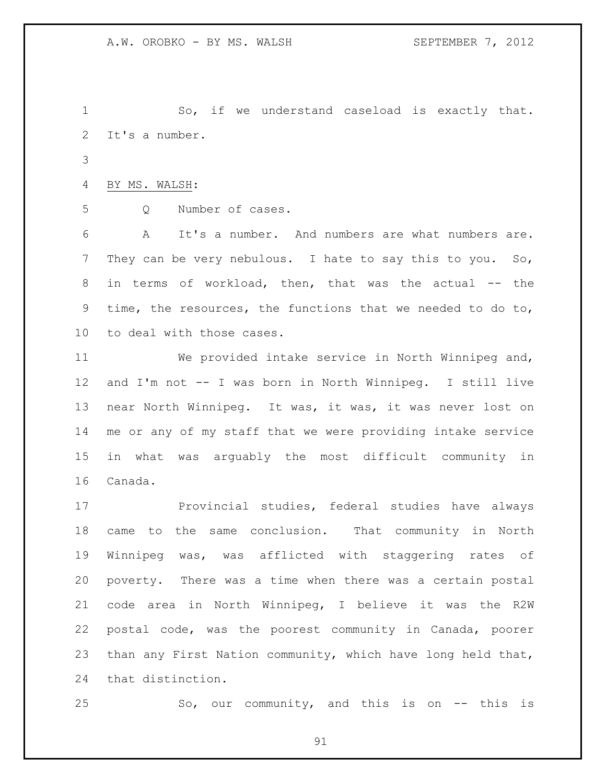So, if we understand caseload is exactly that. It's a number.

```
4 BY MS. WALSH:
```

```
5 Q Number of cases.
```
 A It's a number. And numbers are what numbers are. They can be very nebulous. I hate to say this to you. So, in terms of workload, then, that was the actual -- the time, the resources, the functions that we needed to do to, to deal with those cases.

 We provided intake service in North Winnipeg and, and I'm not -- I was born in North Winnipeg. I still live near North Winnipeg. It was, it was, it was never lost on me or any of my staff that we were providing intake service in what was arguably the most difficult community in Canada.

17 Provincial studies, federal studies have always came to the same conclusion. That community in North Winnipeg was, was afflicted with staggering rates of poverty. There was a time when there was a certain postal code area in North Winnipeg, I believe it was the R2W postal code, was the poorest community in Canada, poorer than any First Nation community, which have long held that, that distinction.

So, our community, and this is on -- this is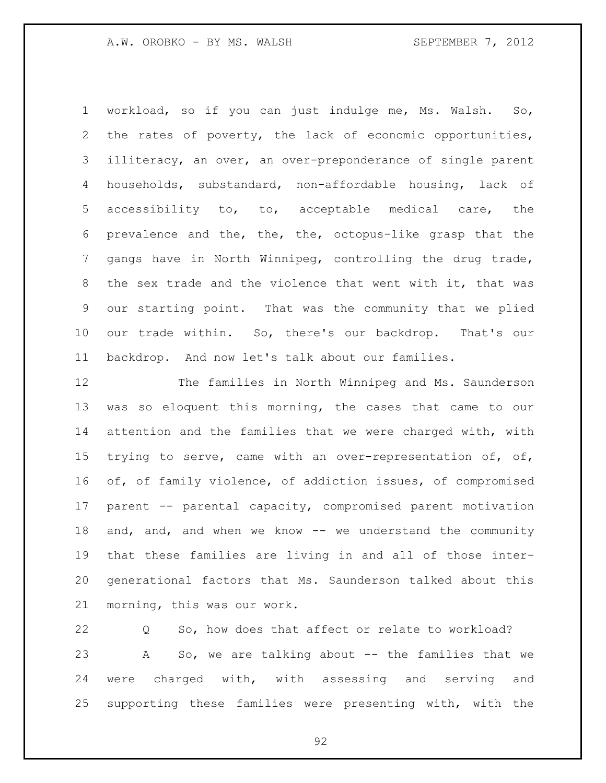workload, so if you can just indulge me, Ms. Walsh. So, the rates of poverty, the lack of economic opportunities, illiteracy, an over, an over-preponderance of single parent households, substandard, non-affordable housing, lack of accessibility to, to, acceptable medical care, the prevalence and the, the, the, octopus-like grasp that the gangs have in North Winnipeg, controlling the drug trade, the sex trade and the violence that went with it, that was our starting point. That was the community that we plied our trade within. So, there's our backdrop. That's our backdrop. And now let's talk about our families.

 The families in North Winnipeg and Ms. Saunderson was so eloquent this morning, the cases that came to our attention and the families that we were charged with, with trying to serve, came with an over-representation of, of, of, of family violence, of addiction issues, of compromised parent -- parental capacity, compromised parent motivation 18 and, and, and when we know -- we understand the community that these families are living in and all of those inter- generational factors that Ms. Saunderson talked about this morning, this was our work.

 Q So, how does that affect or relate to workload? A So, we are talking about -- the families that we were charged with, with assessing and serving and supporting these families were presenting with, with the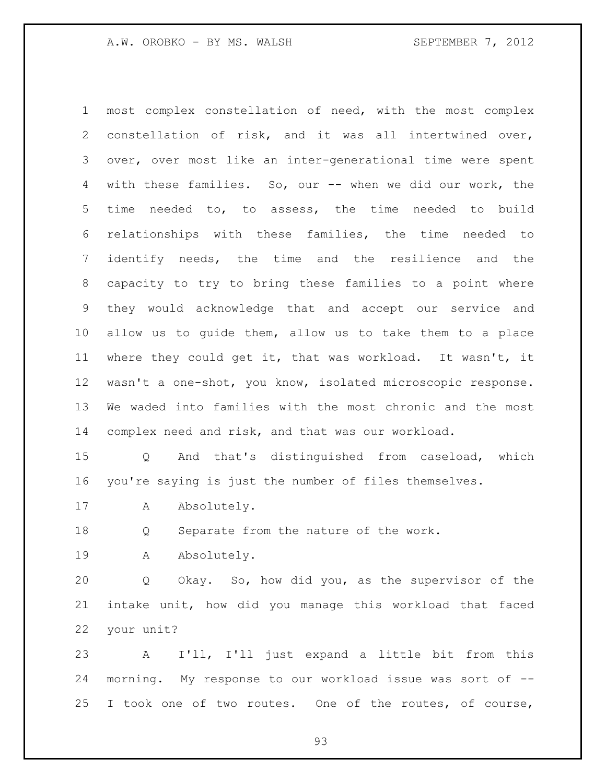most complex constellation of need, with the most complex constellation of risk, and it was all intertwined over, over, over most like an inter-generational time were spent with these families. So, our -- when we did our work, the time needed to, to assess, the time needed to build relationships with these families, the time needed to identify needs, the time and the resilience and the capacity to try to bring these families to a point where they would acknowledge that and accept our service and allow us to guide them, allow us to take them to a place where they could get it, that was workload. It wasn't, it wasn't a one-shot, you know, isolated microscopic response. We waded into families with the most chronic and the most complex need and risk, and that was our workload.

 Q And that's distinguished from caseload, which you're saying is just the number of files themselves.

17 A Absolutely.

Q Separate from the nature of the work.

19 A Absolutely.

 Q Okay. So, how did you, as the supervisor of the intake unit, how did you manage this workload that faced your unit?

 A I'll, I'll just expand a little bit from this morning. My response to our workload issue was sort of -- I took one of two routes. One of the routes, of course,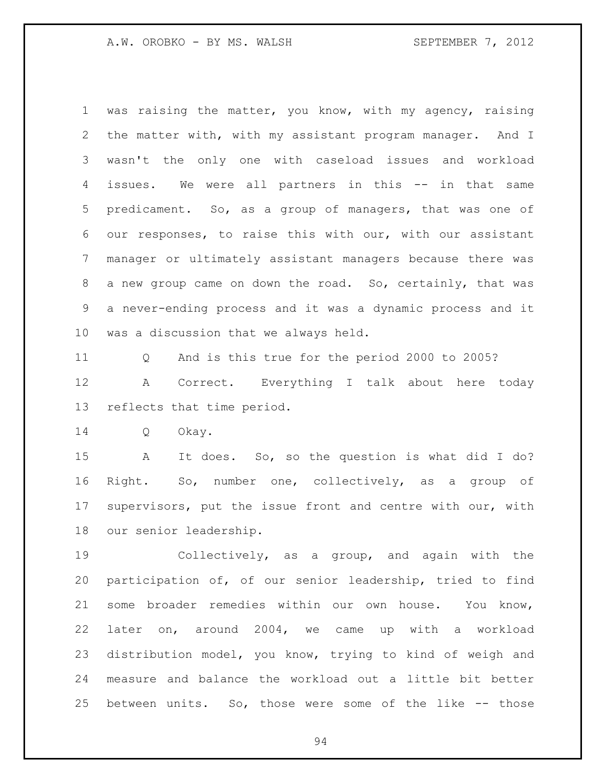was raising the matter, you know, with my agency, raising the matter with, with my assistant program manager. And I wasn't the only one with caseload issues and workload issues. We were all partners in this -- in that same predicament. So, as a group of managers, that was one of our responses, to raise this with our, with our assistant manager or ultimately assistant managers because there was a new group came on down the road. So, certainly, that was a never-ending process and it was a dynamic process and it was a discussion that we always held.

 Q And is this true for the period 2000 to 2005? A Correct. Everything I talk about here today reflects that time period.

Q Okay.

 A It does. So, so the question is what did I do? Right. So, number one, collectively, as a group of supervisors, put the issue front and centre with our, with our senior leadership.

 Collectively, as a group, and again with the participation of, of our senior leadership, tried to find some broader remedies within our own house. You know, later on, around 2004, we came up with a workload distribution model, you know, trying to kind of weigh and measure and balance the workload out a little bit better between units. So, those were some of the like -- those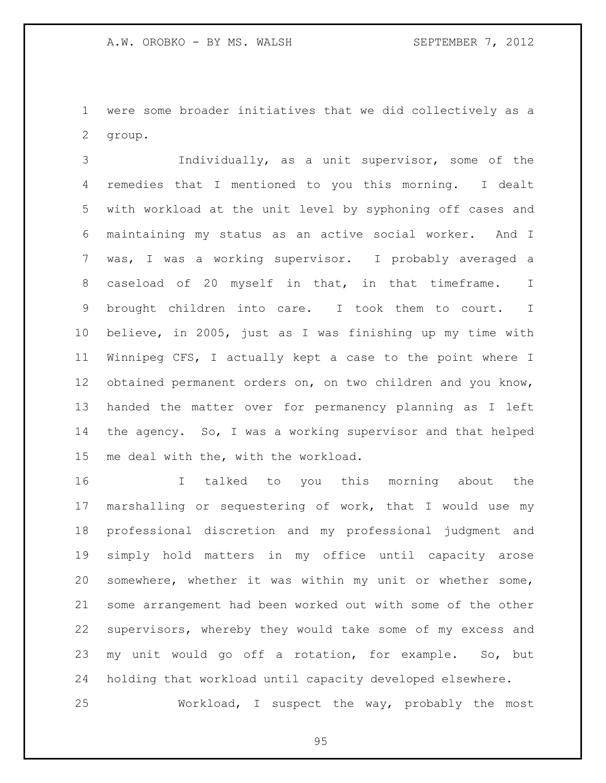were some broader initiatives that we did collectively as a group.

 Individually, as a unit supervisor, some of the remedies that I mentioned to you this morning. I dealt with workload at the unit level by syphoning off cases and maintaining my status as an active social worker. And I was, I was a working supervisor. I probably averaged a caseload of 20 myself in that, in that timeframe. I brought children into care. I took them to court. I believe, in 2005, just as I was finishing up my time with Winnipeg CFS, I actually kept a case to the point where I obtained permanent orders on, on two children and you know, handed the matter over for permanency planning as I left the agency. So, I was a working supervisor and that helped me deal with the, with the workload.

 I talked to you this morning about the marshalling or sequestering of work, that I would use my professional discretion and my professional judgment and simply hold matters in my office until capacity arose somewhere, whether it was within my unit or whether some, some arrangement had been worked out with some of the other supervisors, whereby they would take some of my excess and my unit would go off a rotation, for example. So, but holding that workload until capacity developed elsewhere.

Workload, I suspect the way, probably the most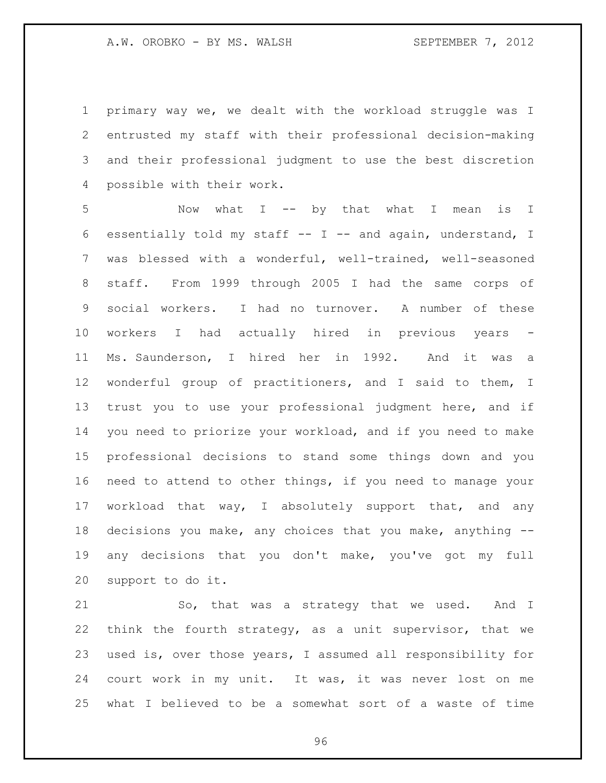primary way we, we dealt with the workload struggle was I entrusted my staff with their professional decision-making and their professional judgment to use the best discretion possible with their work.

 Now what I -- by that what I mean is I essentially told my staff -- I -- and again, understand, I was blessed with a wonderful, well-trained, well-seasoned staff. From 1999 through 2005 I had the same corps of social workers. I had no turnover. A number of these 10 workers I had actually hired in previous years Ms. Saunderson, I hired her in 1992. And it was a wonderful group of practitioners, and I said to them, I trust you to use your professional judgment here, and if you need to priorize your workload, and if you need to make professional decisions to stand some things down and you need to attend to other things, if you need to manage your workload that way, I absolutely support that, and any decisions you make, any choices that you make, anything -- any decisions that you don't make, you've got my full support to do it.

21 So, that was a strategy that we used. And I think the fourth strategy, as a unit supervisor, that we used is, over those years, I assumed all responsibility for court work in my unit. It was, it was never lost on me what I believed to be a somewhat sort of a waste of time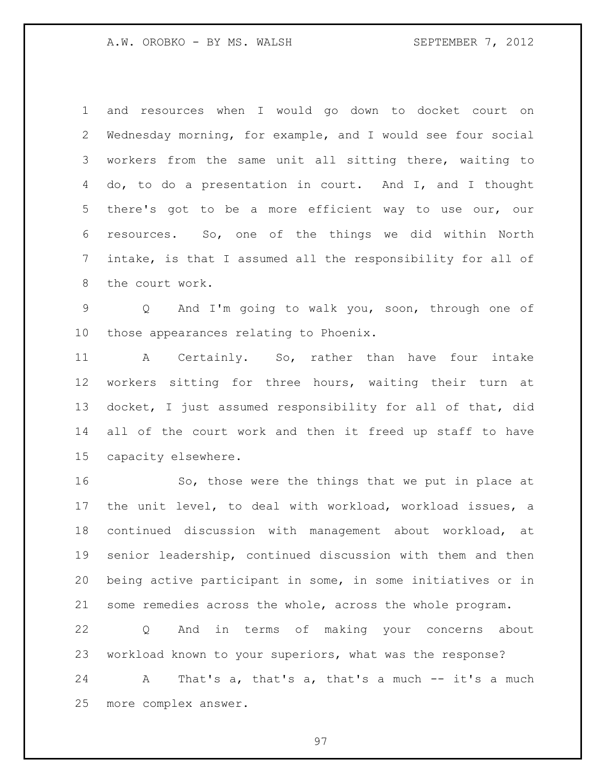and resources when I would go down to docket court on Wednesday morning, for example, and I would see four social workers from the same unit all sitting there, waiting to do, to do a presentation in court. And I, and I thought there's got to be a more efficient way to use our, our resources. So, one of the things we did within North intake, is that I assumed all the responsibility for all of the court work.

 Q And I'm going to walk you, soon, through one of those appearances relating to Phoenix.

 A Certainly. So, rather than have four intake workers sitting for three hours, waiting their turn at docket, I just assumed responsibility for all of that, did all of the court work and then it freed up staff to have capacity elsewhere.

16 So, those were the things that we put in place at the unit level, to deal with workload, workload issues, a continued discussion with management about workload, at senior leadership, continued discussion with them and then being active participant in some, in some initiatives or in some remedies across the whole, across the whole program.

 Q And in terms of making your concerns about workload known to your superiors, what was the response?

 A That's a, that's a, that's a much -- it's a much more complex answer.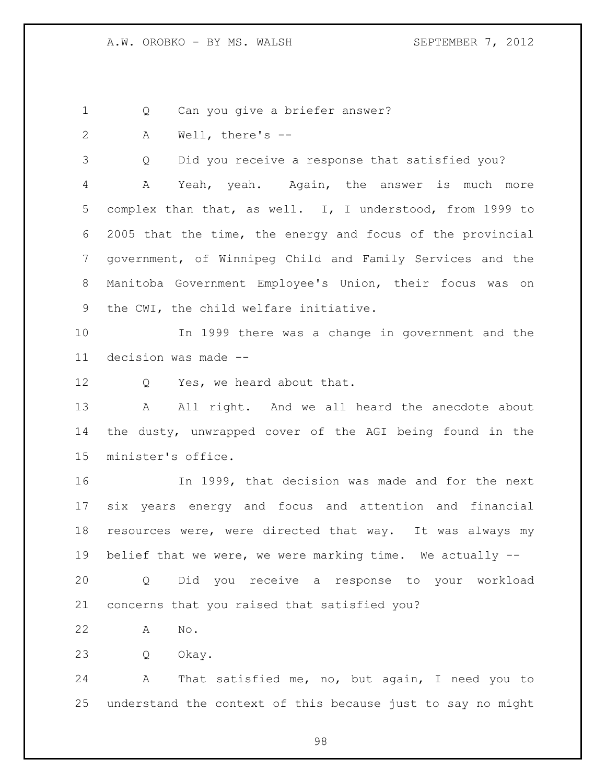1 Q Can you give a briefer answer?

A Well, there's --

Q Did you receive a response that satisfied you?

 A Yeah, yeah. Again, the answer is much more complex than that, as well. I, I understood, from 1999 to 2005 that the time, the energy and focus of the provincial government, of Winnipeg Child and Family Services and the Manitoba Government Employee's Union, their focus was on the CWI, the child welfare initiative.

 In 1999 there was a change in government and the decision was made --

12 Q Yes, we heard about that.

13 A All right. And we all heard the anecdote about the dusty, unwrapped cover of the AGI being found in the minister's office.

 In 1999, that decision was made and for the next six years energy and focus and attention and financial resources were, were directed that way. It was always my belief that we were, we were marking time. We actually --

 Q Did you receive a response to your workload concerns that you raised that satisfied you?

A No.

Q Okay.

 A That satisfied me, no, but again, I need you to understand the context of this because just to say no might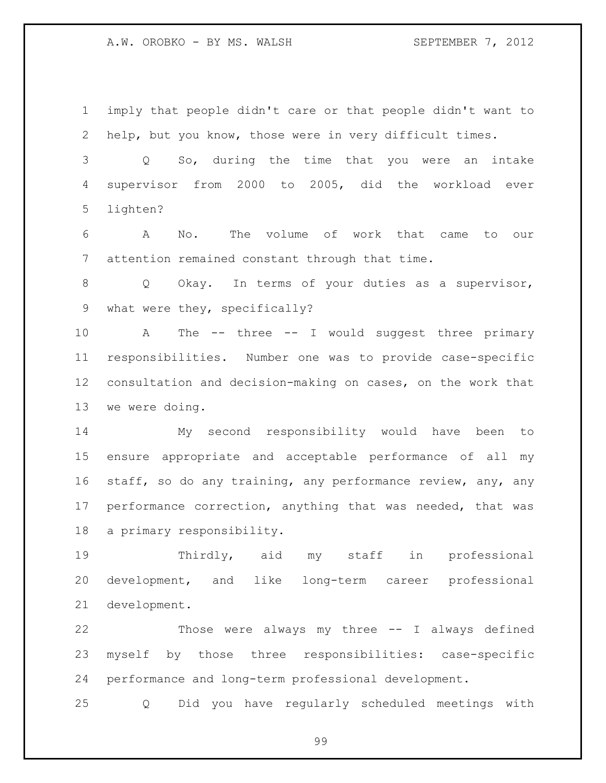imply that people didn't care or that people didn't want to help, but you know, those were in very difficult times.

 Q So, during the time that you were an intake supervisor from 2000 to 2005, did the workload ever lighten?

 A No. The volume of work that came to our attention remained constant through that time.

8 O Okay. In terms of your duties as a supervisor, what were they, specifically?

 A The -- three -- I would suggest three primary responsibilities. Number one was to provide case-specific consultation and decision-making on cases, on the work that we were doing.

 My second responsibility would have been to ensure appropriate and acceptable performance of all my 16 staff, so do any training, any performance review, any, any performance correction, anything that was needed, that was a primary responsibility.

 Thirdly, aid my staff in professional development, and like long-term career professional development.

 Those were always my three -- I always defined myself by those three responsibilities: case-specific performance and long-term professional development.

Q Did you have regularly scheduled meetings with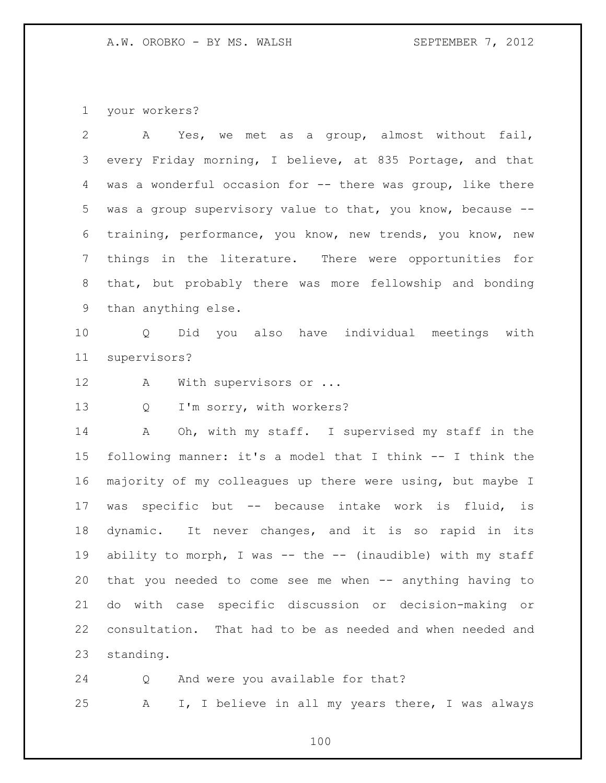your workers?

 A Yes, we met as a group, almost without fail, every Friday morning, I believe, at 835 Portage, and that was a wonderful occasion for -- there was group, like there was a group supervisory value to that, you know, because -- training, performance, you know, new trends, you know, new things in the literature. There were opportunities for that, but probably there was more fellowship and bonding than anything else.

 Q Did you also have individual meetings with supervisors?

12 A With supervisors or ...

Q I'm sorry, with workers?

 A Oh, with my staff. I supervised my staff in the following manner: it's a model that I think -- I think the majority of my colleagues up there were using, but maybe I was specific but -- because intake work is fluid, is dynamic. It never changes, and it is so rapid in its ability to morph, I was -- the -- (inaudible) with my staff that you needed to come see me when -- anything having to do with case specific discussion or decision-making or consultation. That had to be as needed and when needed and standing.

 Q And were you available for that? A I, I believe in all my years there, I was always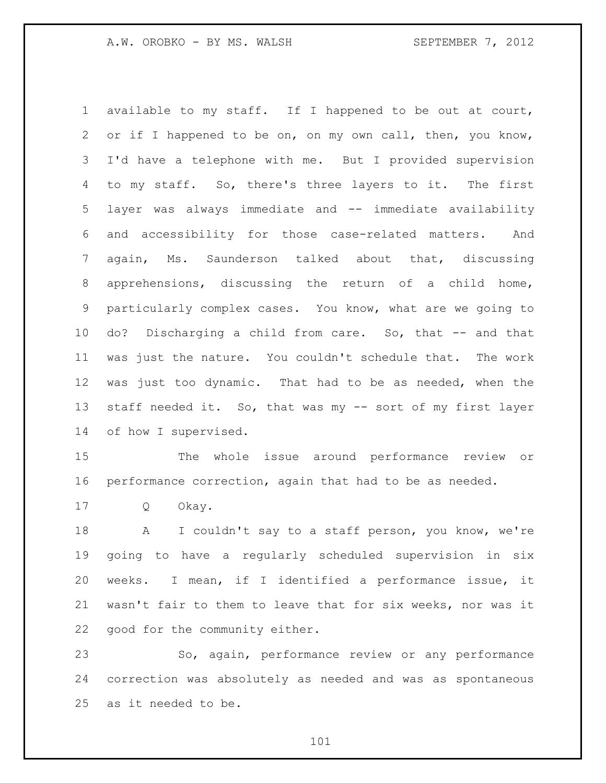available to my staff. If I happened to be out at court, or if I happened to be on, on my own call, then, you know, I'd have a telephone with me. But I provided supervision to my staff. So, there's three layers to it. The first layer was always immediate and -- immediate availability and accessibility for those case-related matters. And again, Ms. Saunderson talked about that, discussing apprehensions, discussing the return of a child home, particularly complex cases. You know, what are we going to do? Discharging a child from care. So, that -- and that was just the nature. You couldn't schedule that. The work was just too dynamic. That had to be as needed, when the staff needed it. So, that was my -- sort of my first layer of how I supervised.

 The whole issue around performance review or performance correction, again that had to be as needed.

Q Okay.

18 A I couldn't say to a staff person, you know, we're going to have a regularly scheduled supervision in six weeks. I mean, if I identified a performance issue, it wasn't fair to them to leave that for six weeks, nor was it good for the community either.

 So, again, performance review or any performance correction was absolutely as needed and was as spontaneous as it needed to be.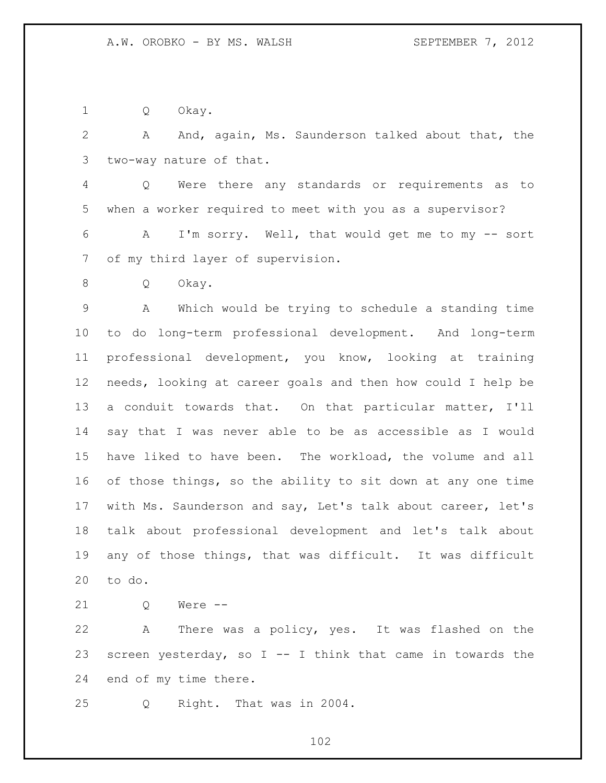Q Okay.

 A And, again, Ms. Saunderson talked about that, the two-way nature of that.

 Q Were there any standards or requirements as to when a worker required to meet with you as a supervisor?

 A I'm sorry. Well, that would get me to my -- sort of my third layer of supervision.

Q Okay.

 A Which would be trying to schedule a standing time to do long-term professional development. And long-term professional development, you know, looking at training needs, looking at career goals and then how could I help be a conduit towards that. On that particular matter, I'll say that I was never able to be as accessible as I would have liked to have been. The workload, the volume and all 16 of those things, so the ability to sit down at any one time with Ms. Saunderson and say, Let's talk about career, let's talk about professional development and let's talk about any of those things, that was difficult. It was difficult to do.

21 0 Were --

 A There was a policy, yes. It was flashed on the 23 screen yesterday, so  $I - - I$  think that came in towards the end of my time there.

Q Right. That was in 2004.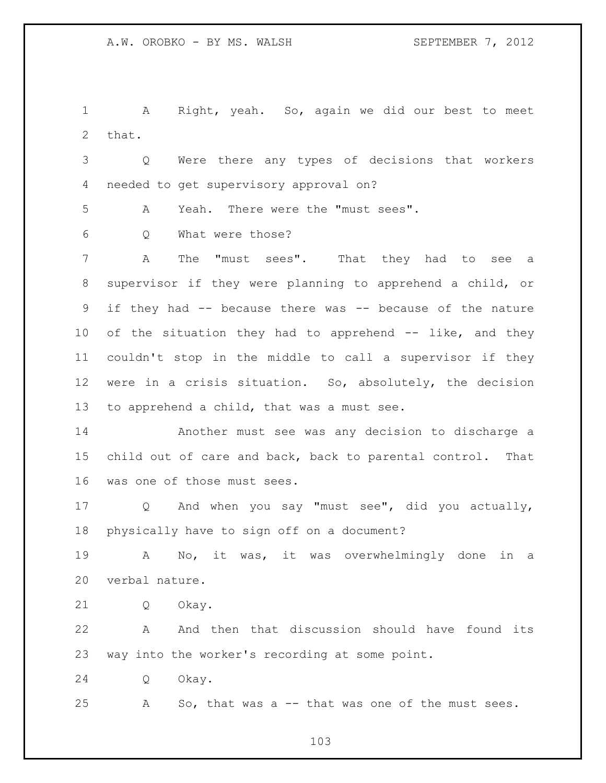A Right, yeah. So, again we did our best to meet that.

 Q Were there any types of decisions that workers needed to get supervisory approval on?

A Yeah. There were the "must sees".

Q What were those?

7 A The "must sees". That they had to see a supervisor if they were planning to apprehend a child, or if they had -- because there was -- because of the nature of the situation they had to apprehend -- like, and they couldn't stop in the middle to call a supervisor if they were in a crisis situation. So, absolutely, the decision to apprehend a child, that was a must see.

 Another must see was any decision to discharge a child out of care and back, back to parental control. That was one of those must sees.

 Q And when you say "must see", did you actually, physically have to sign off on a document?

 A No, it was, it was overwhelmingly done in a verbal nature.

Q Okay.

 A And then that discussion should have found its way into the worker's recording at some point.

Q Okay.

A So, that was a -- that was one of the must sees.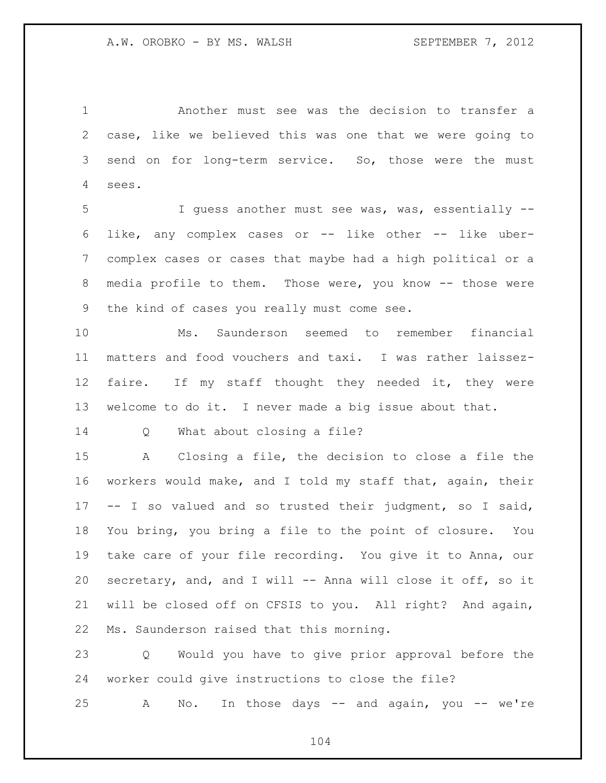Another must see was the decision to transfer a case, like we believed this was one that we were going to send on for long-term service. So, those were the must sees.

 I guess another must see was, was, essentially -- like, any complex cases or -- like other -- like uber- complex cases or cases that maybe had a high political or a media profile to them. Those were, you know -- those were the kind of cases you really must come see.

 Ms. Saunderson seemed to remember financial matters and food vouchers and taxi. I was rather laissez- faire. If my staff thought they needed it, they were welcome to do it. I never made a big issue about that.

Q What about closing a file?

 A Closing a file, the decision to close a file the workers would make, and I told my staff that, again, their -- I so valued and so trusted their judgment, so I said, You bring, you bring a file to the point of closure. You take care of your file recording. You give it to Anna, our secretary, and, and I will -- Anna will close it off, so it will be closed off on CFSIS to you. All right? And again, Ms. Saunderson raised that this morning.

 Q Would you have to give prior approval before the worker could give instructions to close the file?

A No. In those days -- and again, you -- we're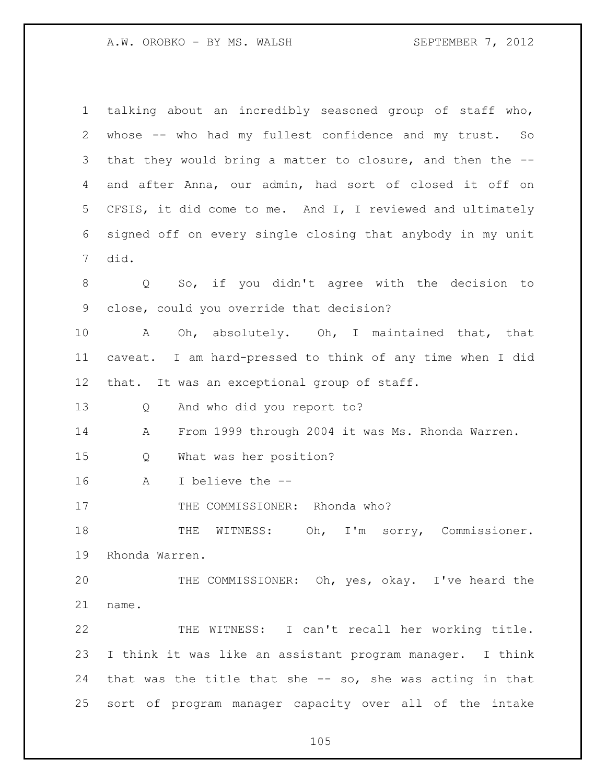| $\mathbf 1$ | talking about an incredibly seasoned group of staff who,   |
|-------------|------------------------------------------------------------|
| 2           | whose -- who had my fullest confidence and my trust. So    |
| 3           | that they would bring a matter to closure, and then the -- |
| 4           | and after Anna, our admin, had sort of closed it off on    |
| 5           | CFSIS, it did come to me. And I, I reviewed and ultimately |
| 6           | signed off on every single closing that anybody in my unit |
| 7           | did.                                                       |
| 8           | Q So, if you didn't agree with the decision to             |
| 9           | close, could you override that decision?                   |
| 10          | Oh, absolutely. Oh, I maintained that, that<br>A           |
| 11          | caveat. I am hard-pressed to think of any time when I did  |
| 12          | that. It was an exceptional group of staff.                |
| 13          | And who did you report to?<br>Q                            |
| 14          | From 1999 through 2004 it was Ms. Rhonda Warren.<br>Α      |
| 15          | What was her position?<br>Q                                |
| 16          | I believe the --<br>A                                      |
| 17          | THE COMMISSIONER: Rhonda who?                              |
| 18          | WITNESS: Oh, I'm sorry, Commissioner.<br>THE               |
| 19          | Rhonda Warren.                                             |
| 20          | THE COMMISSIONER: Oh, yes, okay. I've heard the            |
| 21          | name.                                                      |
| 22          | THE WITNESS: I can't recall her working title.             |
| 23          | I think it was like an assistant program manager. I think  |
| 24          | that was the title that she -- so, she was acting in that  |
| 25          | sort of program manager capacity over all of the intake    |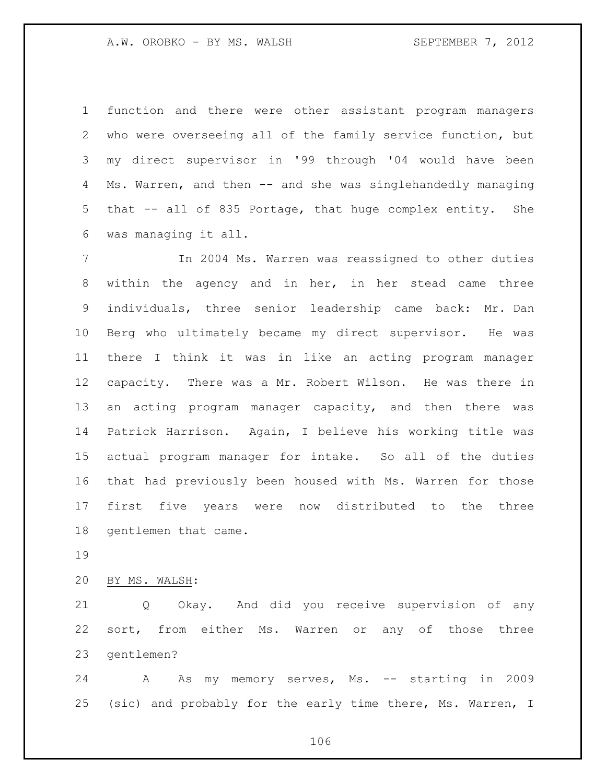function and there were other assistant program managers who were overseeing all of the family service function, but my direct supervisor in '99 through '04 would have been Ms. Warren, and then -- and she was singlehandedly managing that -- all of 835 Portage, that huge complex entity. She was managing it all.

 In 2004 Ms. Warren was reassigned to other duties within the agency and in her, in her stead came three individuals, three senior leadership came back: Mr. Dan Berg who ultimately became my direct supervisor. He was there I think it was in like an acting program manager capacity. There was a Mr. Robert Wilson. He was there in an acting program manager capacity, and then there was Patrick Harrison. Again, I believe his working title was actual program manager for intake. So all of the duties that had previously been housed with Ms. Warren for those first five years were now distributed to the three gentlemen that came.

BY MS. WALSH:

 Q Okay. And did you receive supervision of any sort, from either Ms. Warren or any of those three gentlemen?

 A As my memory serves, Ms. -- starting in 2009 (sic) and probably for the early time there, Ms. Warren, I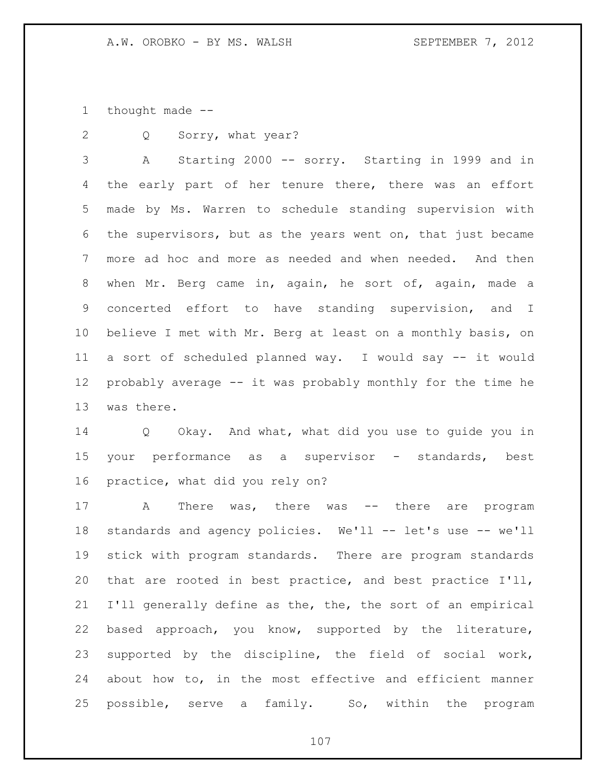thought made --

Q Sorry, what year?

 A Starting 2000 -- sorry. Starting in 1999 and in 4 the early part of her tenure there, there was an effort made by Ms. Warren to schedule standing supervision with the supervisors, but as the years went on, that just became more ad hoc and more as needed and when needed. And then when Mr. Berg came in, again, he sort of, again, made a concerted effort to have standing supervision, and I believe I met with Mr. Berg at least on a monthly basis, on a sort of scheduled planned way. I would say -- it would probably average -- it was probably monthly for the time he was there.

 Q Okay. And what, what did you use to guide you in your performance as a supervisor - standards, best practice, what did you rely on?

 A There was, there was -- there are program standards and agency policies. We'll -- let's use -- we'll stick with program standards. There are program standards that are rooted in best practice, and best practice I'll, I'll generally define as the, the, the sort of an empirical based approach, you know, supported by the literature, supported by the discipline, the field of social work, about how to, in the most effective and efficient manner possible, serve a family. So, within the program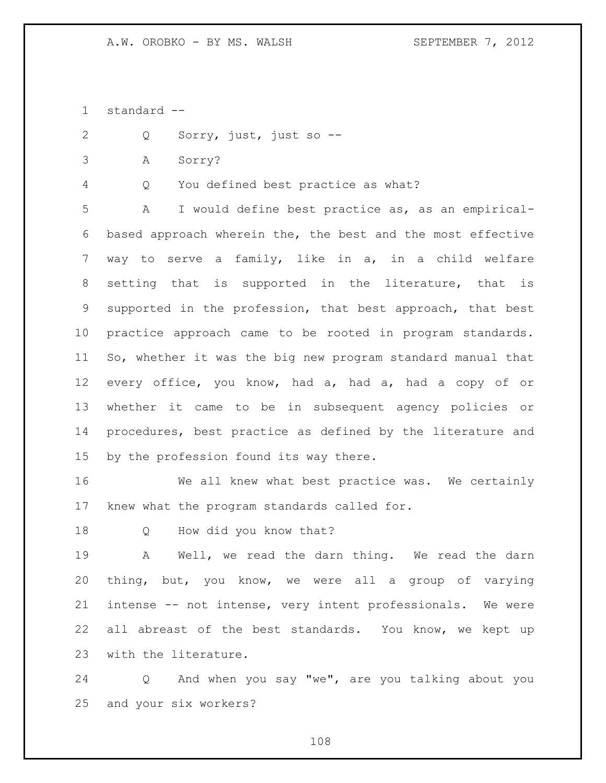standard --

- Q Sorry, just, just so --
- A Sorry?

Q You defined best practice as what?

 A I would define best practice as, as an empirical- based approach wherein the, the best and the most effective way to serve a family, like in a, in a child welfare setting that is supported in the literature, that is supported in the profession, that best approach, that best practice approach came to be rooted in program standards. So, whether it was the big new program standard manual that every office, you know, had a, had a, had a copy of or whether it came to be in subsequent agency policies or procedures, best practice as defined by the literature and by the profession found its way there.

 We all knew what best practice was. We certainly knew what the program standards called for.

Q How did you know that?

 A Well, we read the darn thing. We read the darn thing, but, you know, we were all a group of varying intense -- not intense, very intent professionals. We were 22 all abreast of the best standards. You know, we kept up with the literature.

 Q And when you say "we", are you talking about you and your six workers?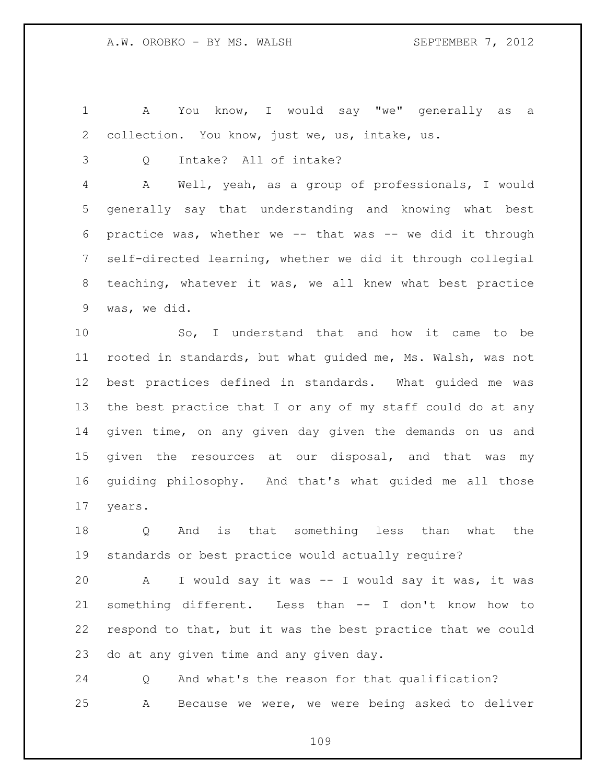A You know, I would say "we" generally as a collection. You know, just we, us, intake, us.

Q Intake? All of intake?

 A Well, yeah, as a group of professionals, I would generally say that understanding and knowing what best practice was, whether we -- that was -- we did it through self-directed learning, whether we did it through collegial teaching, whatever it was, we all knew what best practice was, we did.

 So, I understand that and how it came to be rooted in standards, but what guided me, Ms. Walsh, was not best practices defined in standards. What guided me was the best practice that I or any of my staff could do at any given time, on any given day given the demands on us and given the resources at our disposal, and that was my guiding philosophy. And that's what guided me all those years.

 Q And is that something less than what the standards or best practice would actually require?

 A I would say it was -- I would say it was, it was something different. Less than -- I don't know how to respond to that, but it was the best practice that we could do at any given time and any given day.

 Q And what's the reason for that qualification? A Because we were, we were being asked to deliver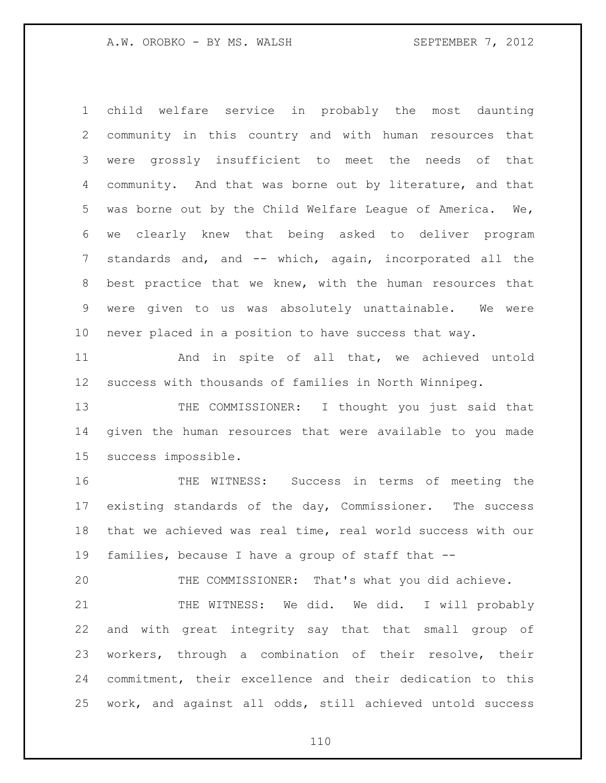child welfare service in probably the most daunting community in this country and with human resources that were grossly insufficient to meet the needs of that community. And that was borne out by literature, and that was borne out by the Child Welfare League of America. We, we clearly knew that being asked to deliver program standards and, and -- which, again, incorporated all the best practice that we knew, with the human resources that were given to us was absolutely unattainable. We were never placed in a position to have success that way.

 And in spite of all that, we achieved untold success with thousands of families in North Winnipeg.

13 THE COMMISSIONER: I thought you just said that given the human resources that were available to you made success impossible.

 THE WITNESS: Success in terms of meeting the existing standards of the day, Commissioner. The success that we achieved was real time, real world success with our families, because I have a group of staff that --

THE COMMISSIONER: That's what you did achieve.

21 THE WITNESS: We did. We did. I will probably and with great integrity say that that small group of workers, through a combination of their resolve, their commitment, their excellence and their dedication to this work, and against all odds, still achieved untold success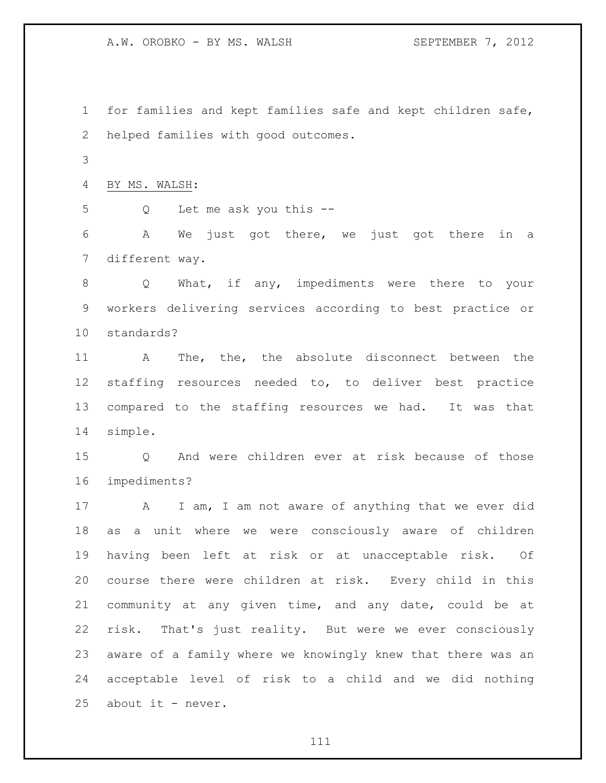for families and kept families safe and kept children safe, helped families with good outcomes.

BY MS. WALSH:

Q Let me ask you this --

 A We just got there, we just got there in a different way.

 Q What, if any, impediments were there to your workers delivering services according to best practice or standards?

 A The, the, the absolute disconnect between the staffing resources needed to, to deliver best practice compared to the staffing resources we had. It was that simple.

 Q And were children ever at risk because of those impediments?

17 A I am, I am not aware of anything that we ever did as a unit where we were consciously aware of children having been left at risk or at unacceptable risk. Of course there were children at risk. Every child in this community at any given time, and any date, could be at risk. That's just reality. But were we ever consciously aware of a family where we knowingly knew that there was an acceptable level of risk to a child and we did nothing 25 about it - never.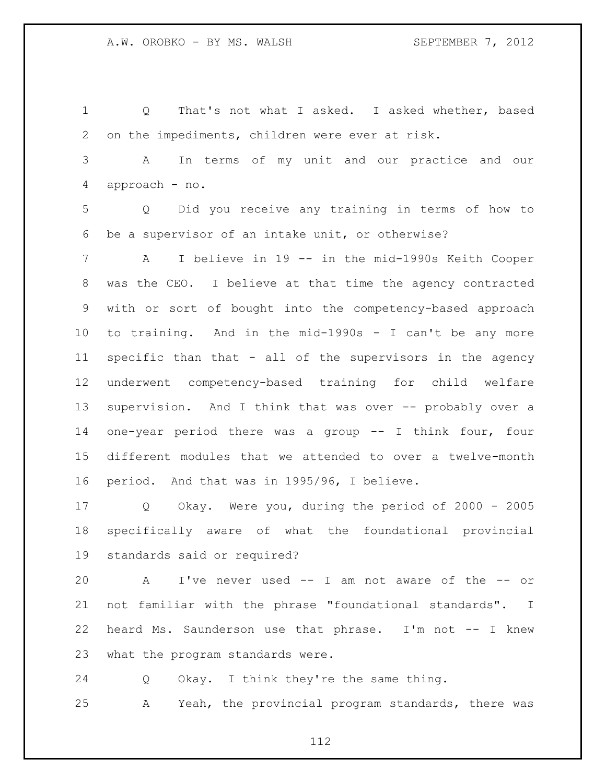Q That's not what I asked. I asked whether, based on the impediments, children were ever at risk. A In terms of my unit and our practice and our approach - no. Q Did you receive any training in terms of how to be a supervisor of an intake unit, or otherwise? A I believe in 19 -- in the mid-1990s Keith Cooper was the CEO. I believe at that time the agency contracted with or sort of bought into the competency-based approach to training. And in the mid-1990s - I can't be any more specific than that - all of the supervisors in the agency underwent competency-based training for child welfare supervision. And I think that was over -- probably over a one-year period there was a group -- I think four, four different modules that we attended to over a twelve-month period. And that was in 1995/96, I believe. Q Okay. Were you, during the period of 2000 - 2005 specifically aware of what the foundational provincial standards said or required?

 A I've never used -- I am not aware of the -- or not familiar with the phrase "foundational standards". I heard Ms. Saunderson use that phrase. I'm not -- I knew what the program standards were.

Q Okay. I think they're the same thing.

A Yeah, the provincial program standards, there was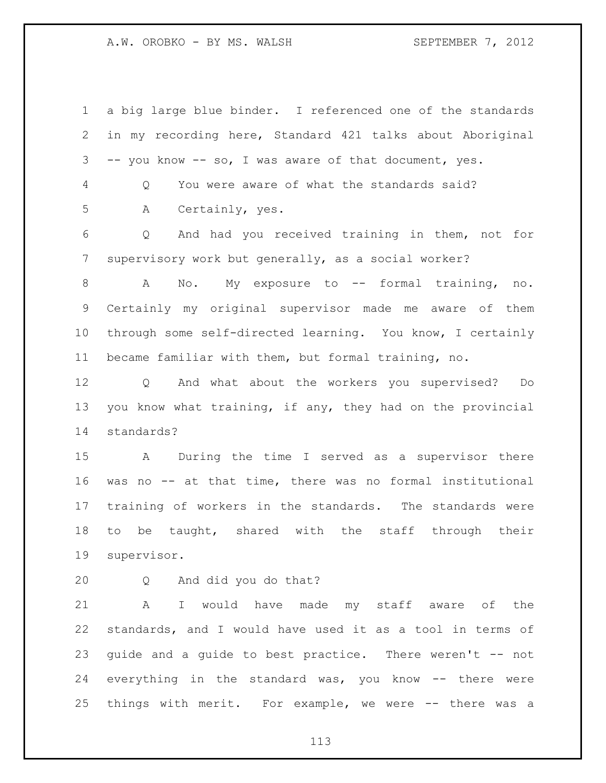a big large blue binder. I referenced one of the standards in my recording here, Standard 421 talks about Aboriginal -- you know -- so, I was aware of that document, yes. Q You were aware of what the standards said? A Certainly, yes. Q And had you received training in them, not for supervisory work but generally, as a social worker? A No. My exposure to -- formal training, no. Certainly my original supervisor made me aware of them through some self-directed learning. You know, I certainly became familiar with them, but formal training, no. Q And what about the workers you supervised? Do you know what training, if any, they had on the provincial standards? A During the time I served as a supervisor there was no -- at that time, there was no formal institutional training of workers in the standards. The standards were to be taught, shared with the staff through their supervisor. Q And did you do that? A I would have made my staff aware of the standards, and I would have used it as a tool in terms of guide and a guide to best practice. There weren't -- not

 everything in the standard was, you know -- there were things with merit. For example, we were -- there was a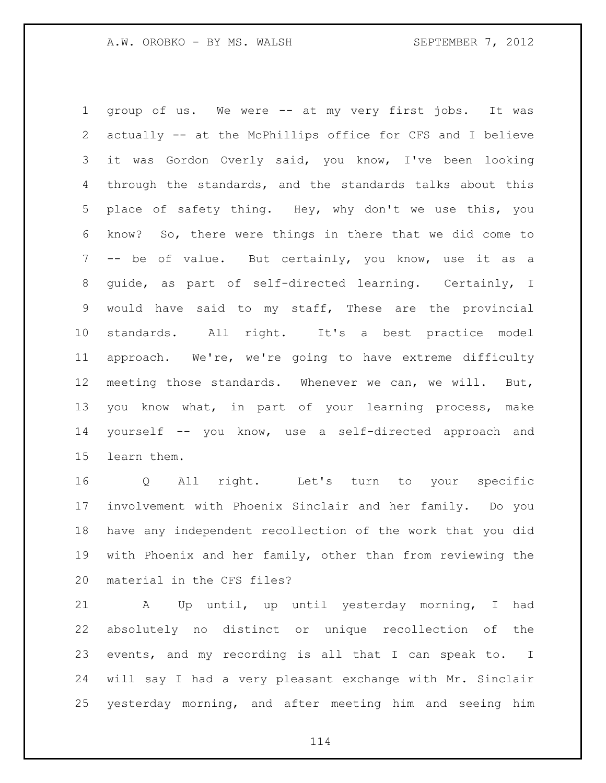group of us. We were -- at my very first jobs. It was actually -- at the McPhillips office for CFS and I believe it was Gordon Overly said, you know, I've been looking through the standards, and the standards talks about this place of safety thing. Hey, why don't we use this, you know? So, there were things in there that we did come to -- be of value. But certainly, you know, use it as a guide, as part of self-directed learning. Certainly, I would have said to my staff, These are the provincial standards. All right. It's a best practice model approach. We're, we're going to have extreme difficulty meeting those standards. Whenever we can, we will. But, you know what, in part of your learning process, make yourself -- you know, use a self-directed approach and learn them.

 Q All right. Let's turn to your specific involvement with Phoenix Sinclair and her family. Do you have any independent recollection of the work that you did with Phoenix and her family, other than from reviewing the material in the CFS files?

 A Up until, up until yesterday morning, I had absolutely no distinct or unique recollection of the events, and my recording is all that I can speak to. I will say I had a very pleasant exchange with Mr. Sinclair yesterday morning, and after meeting him and seeing him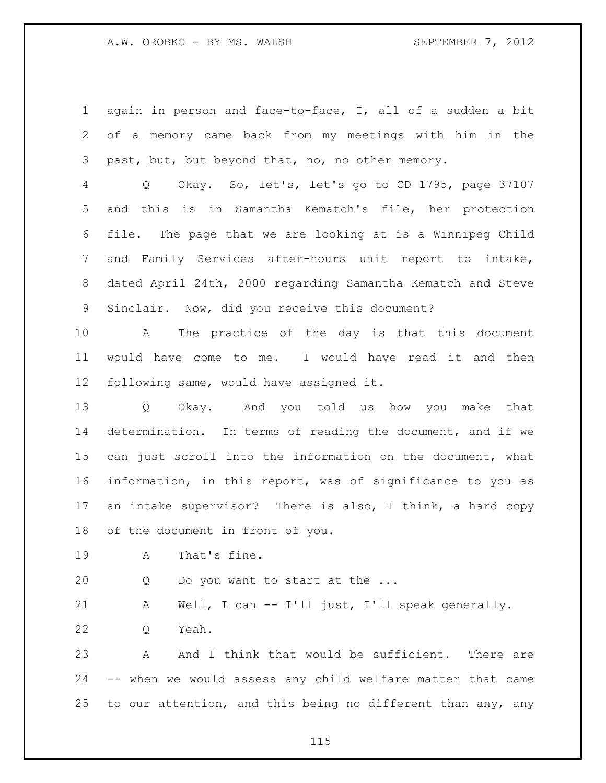again in person and face-to-face, I, all of a sudden a bit of a memory came back from my meetings with him in the past, but, but beyond that, no, no other memory.

 Q Okay. So, let's, let's go to CD 1795, page 37107 and this is in Samantha Kematch's file, her protection file. The page that we are looking at is a Winnipeg Child and Family Services after-hours unit report to intake, dated April 24th, 2000 regarding Samantha Kematch and Steve Sinclair. Now, did you receive this document?

 A The practice of the day is that this document would have come to me. I would have read it and then following same, would have assigned it.

 Q Okay. And you told us how you make that determination. In terms of reading the document, and if we can just scroll into the information on the document, what information, in this report, was of significance to you as an intake supervisor? There is also, I think, a hard copy of the document in front of you.

A That's fine.

20 Q Do you want to start at the ...

A Well, I can -- I'll just, I'll speak generally.

Q Yeah.

 A And I think that would be sufficient. There are -- when we would assess any child welfare matter that came to our attention, and this being no different than any, any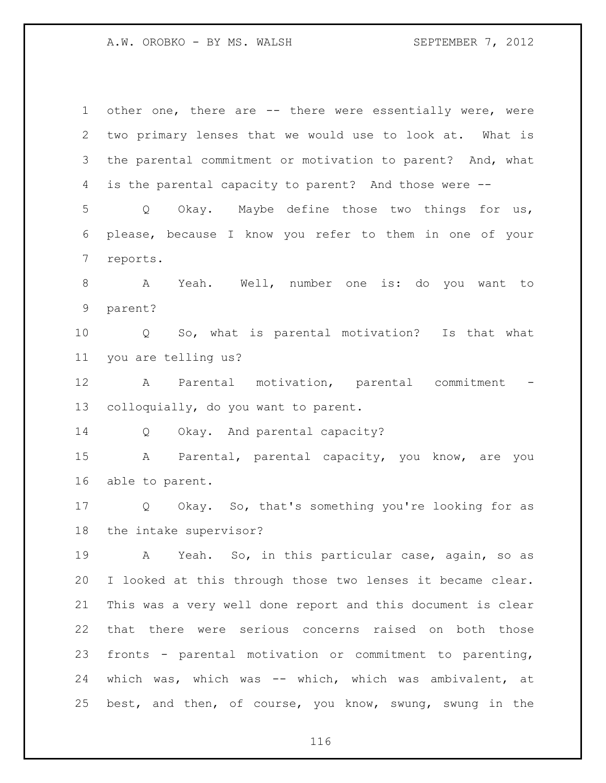| $\mathbf 1$ | other one, there are -- there were essentially were, were   |
|-------------|-------------------------------------------------------------|
| 2           | two primary lenses that we would use to look at. What is    |
| 3           | the parental commitment or motivation to parent? And, what  |
| 4           | is the parental capacity to parent? And those were --       |
| 5           | Okay. Maybe define those two things for us,<br>Q            |
| 6           | please, because I know you refer to them in one of your     |
| 7           | reports.                                                    |
| 8           | Yeah. Well, number one is: do you want to<br>$\mathbf{A}$   |
| 9           | parent?                                                     |
| 10          | Q So, what is parental motivation? Is that what             |
| 11          | you are telling us?                                         |
| 12          | $\mathbf{A}$<br>Parental motivation, parental commitment    |
| 13          | colloquially, do you want to parent.                        |
| 14          | Okay. And parental capacity?<br>$Q \qquad \qquad$           |
| 15          | A<br>Parental, parental capacity, you know, are you         |
| 16          | able to parent.                                             |
| 17          | Q Okay. So, that's something you're looking for as          |
| 18          | the intake supervisor?                                      |
| 19          | A Yeah. So, in this particular case, again, so as           |
| 20          | I looked at this through those two lenses it became clear.  |
| 21          | This was a very well done report and this document is clear |
| 22          | that there were serious concerns raised on both those       |
| 23          | fronts - parental motivation or commitment to parenting,    |
| 24          | which was, which was -- which, which was ambivalent, at     |
| 25          | best, and then, of course, you know, swung, swung in the    |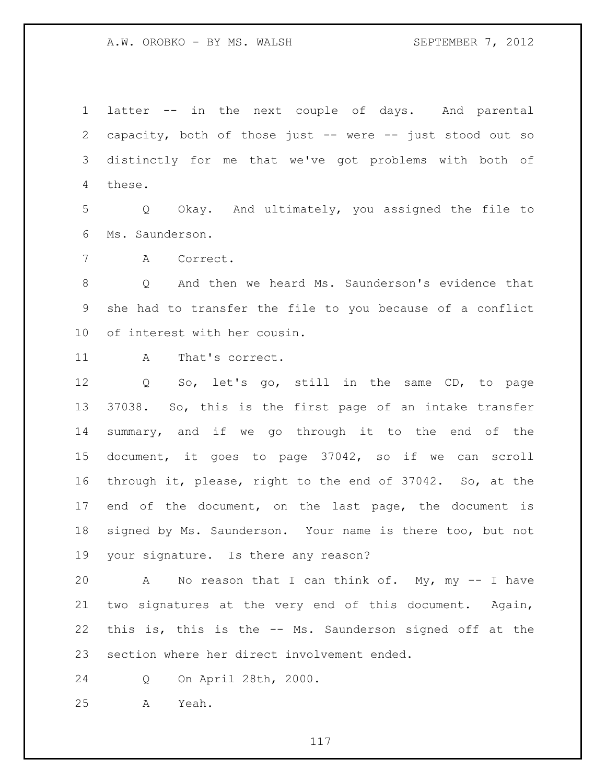latter -- in the next couple of days. And parental capacity, both of those just -- were -- just stood out so distinctly for me that we've got problems with both of these.

 Q Okay. And ultimately, you assigned the file to Ms. Saunderson.

A Correct.

 Q And then we heard Ms. Saunderson's evidence that she had to transfer the file to you because of a conflict of interest with her cousin.

11 A That's correct.

 Q So, let's go, still in the same CD, to page 37038. So, this is the first page of an intake transfer summary, and if we go through it to the end of the document, it goes to page 37042, so if we can scroll through it, please, right to the end of 37042. So, at the end of the document, on the last page, the document is signed by Ms. Saunderson. Your name is there too, but not your signature. Is there any reason?

 A No reason that I can think of. My, my -- I have two signatures at the very end of this document. Again, this is, this is the -- Ms. Saunderson signed off at the section where her direct involvement ended.

Q On April 28th, 2000.

A Yeah.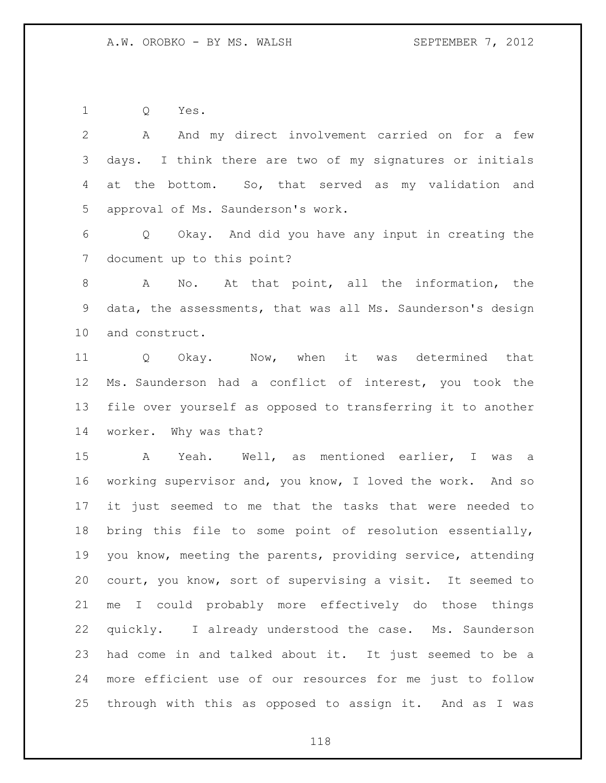Q Yes.

 A And my direct involvement carried on for a few days. I think there are two of my signatures or initials at the bottom. So, that served as my validation and approval of Ms. Saunderson's work.

 Q Okay. And did you have any input in creating the document up to this point?

 A No. At that point, all the information, the data, the assessments, that was all Ms. Saunderson's design and construct.

11 Q Okay. Now, when it was determined that Ms. Saunderson had a conflict of interest, you took the file over yourself as opposed to transferring it to another worker. Why was that?

 A Yeah. Well, as mentioned earlier, I was a working supervisor and, you know, I loved the work. And so it just seemed to me that the tasks that were needed to bring this file to some point of resolution essentially, you know, meeting the parents, providing service, attending court, you know, sort of supervising a visit. It seemed to me I could probably more effectively do those things quickly. I already understood the case. Ms. Saunderson had come in and talked about it. It just seemed to be a more efficient use of our resources for me just to follow through with this as opposed to assign it. And as I was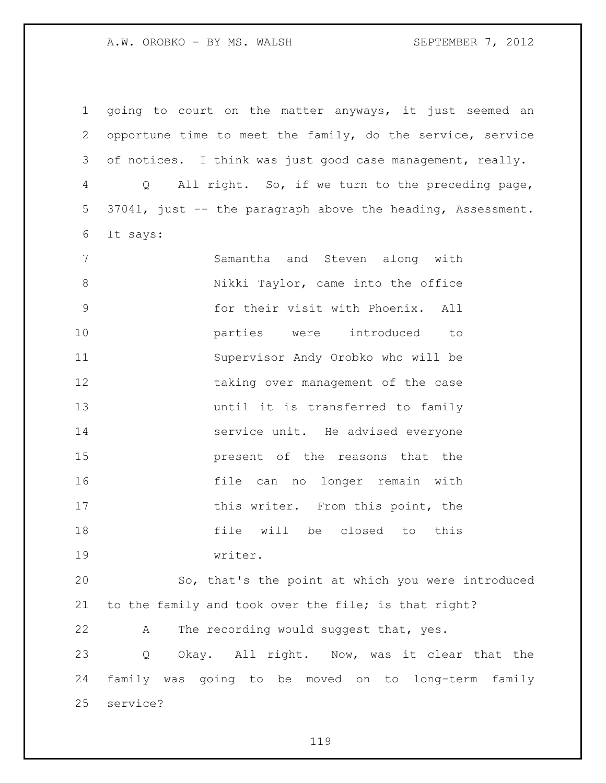going to court on the matter anyways, it just seemed an opportune time to meet the family, do the service, service of notices. I think was just good case management, really. Q All right. So, if we turn to the preceding page, 37041, just -- the paragraph above the heading, Assessment. It says: Samantha and Steven along with 8 Nikki Taylor, came into the office for their visit with Phoenix. All parties were introduced to Supervisor Andy Orobko who will be 12 taking over management of the case until it is transferred to family 14 service unit. He advised everyone present of the reasons that the file can no longer remain with 17 this writer. From this point, the file will be closed to this writer. So, that's the point at which you were introduced to the family and took over the file; is that right? A The recording would suggest that, yes. Q Okay. All right. Now, was it clear that the family was going to be moved on to long-term family service?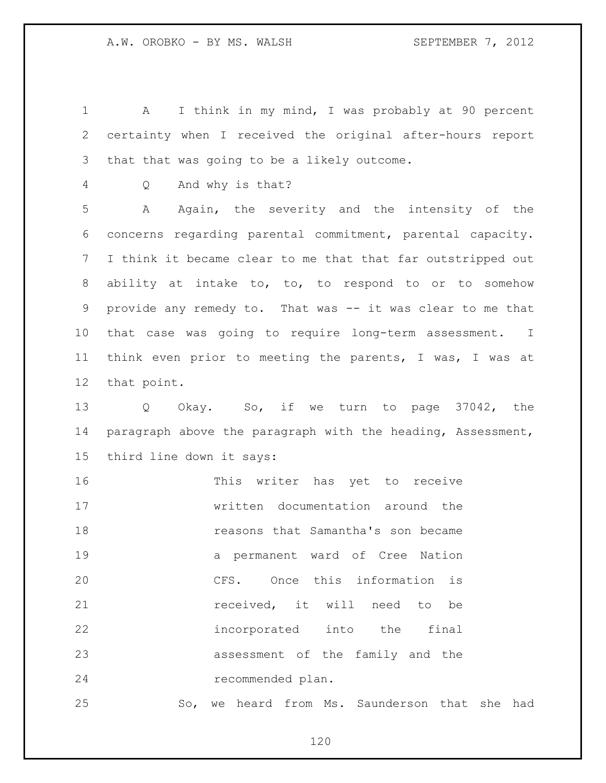A I think in my mind, I was probably at 90 percent certainty when I received the original after-hours report that that was going to be a likely outcome.

Q And why is that?

 A Again, the severity and the intensity of the concerns regarding parental commitment, parental capacity. I think it became clear to me that that far outstripped out ability at intake to, to, to respond to or to somehow 9 provide any remedy to. That was -- it was clear to me that that case was going to require long-term assessment. I think even prior to meeting the parents, I was, I was at that point.

 Q Okay. So, if we turn to page 37042, the 14 paragraph above the paragraph with the heading, Assessment, third line down it says:

 This writer has yet to receive written documentation around the reasons that Samantha's son became a permanent ward of Cree Nation CFS. Once this information is **received**, it will need to be incorporated into the final assessment of the family and the recommended plan.

So, we heard from Ms. Saunderson that she had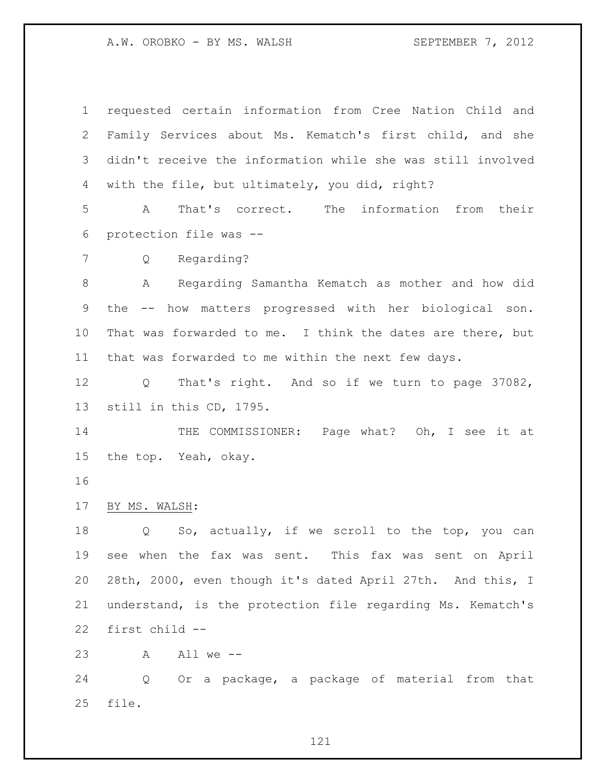requested certain information from Cree Nation Child and Family Services about Ms. Kematch's first child, and she didn't receive the information while she was still involved with the file, but ultimately, you did, right? A That's correct. The information from their protection file was -- Q Regarding? A Regarding Samantha Kematch as mother and how did the -- how matters progressed with her biological son. That was forwarded to me. I think the dates are there, but that was forwarded to me within the next few days. Q That's right. And so if we turn to page 37082, still in this CD, 1795. 14 THE COMMISSIONER: Page what? Oh, I see it at the top. Yeah, okay. BY MS. WALSH: 18 Q So, actually, if we scroll to the top, you can see when the fax was sent. This fax was sent on April 28th, 2000, even though it's dated April 27th. And this, I understand, is the protection file regarding Ms. Kematch's first child -- A All we -- Q Or a package, a package of material from that

file.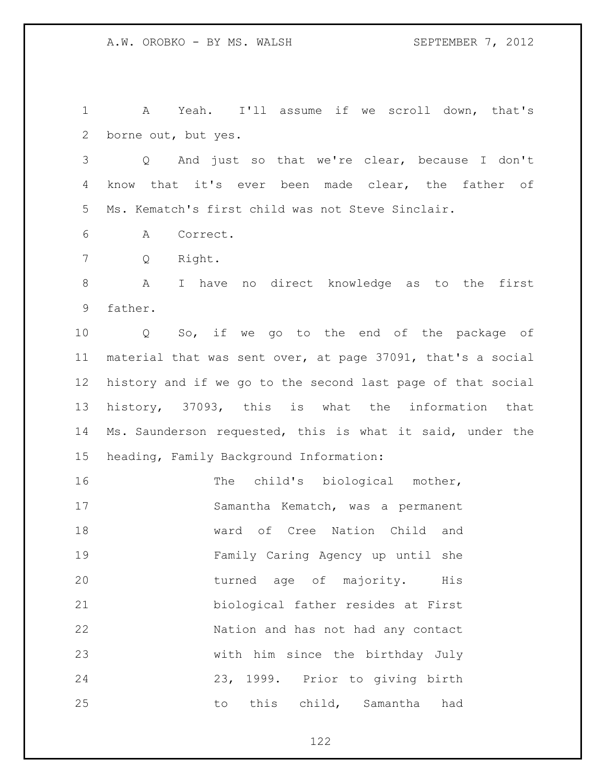A Yeah. I'll assume if we scroll down, that's borne out, but yes.

 Q And just so that we're clear, because I don't know that it's ever been made clear, the father of Ms. Kematch's first child was not Steve Sinclair.

A Correct.

Q Right.

 A I have no direct knowledge as to the first father.

 Q So, if we go to the end of the package of material that was sent over, at page 37091, that's a social history and if we go to the second last page of that social history, 37093, this is what the information that Ms. Saunderson requested, this is what it said, under the heading, Family Background Information:

16 The child's biological mother, Samantha Kematch, was a permanent ward of Cree Nation Child and Family Caring Agency up until she turned age of majority. His biological father resides at First Nation and has not had any contact with him since the birthday July 23, 1999. Prior to giving birth to this child, Samantha had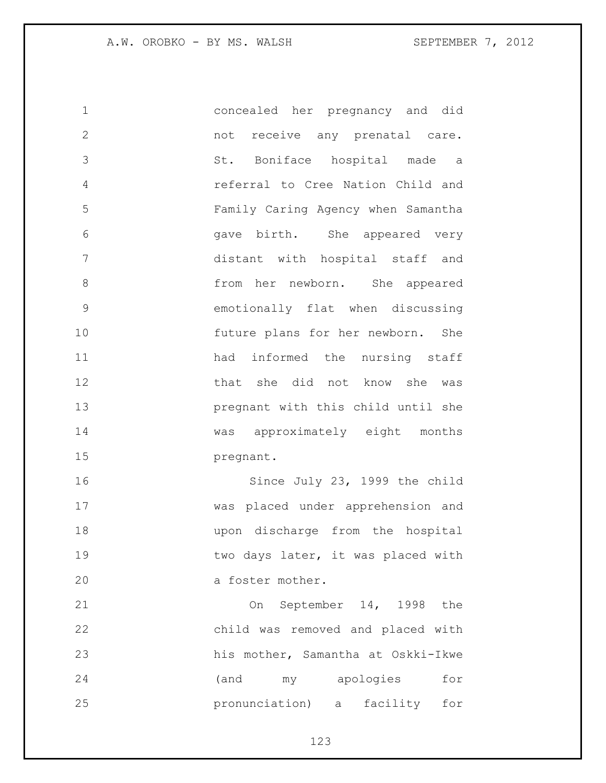concealed her pregnancy and did not receive any prenatal care. St. Boniface hospital made a referral to Cree Nation Child and Family Caring Agency when Samantha gave birth. She appeared very distant with hospital staff and from her newborn. She appeared emotionally flat when discussing future plans for her newborn. She 11 had informed the nursing staff that she did not know she was pregnant with this child until she was approximately eight months pregnant. Since July 23, 1999 the child was placed under apprehension and upon discharge from the hospital 19 two days later, it was placed with 20 a foster mother. On September 14, 1998 the

 child was removed and placed with his mother, Samantha at Oskki-Ikwe (and my apologies for pronunciation) a facility for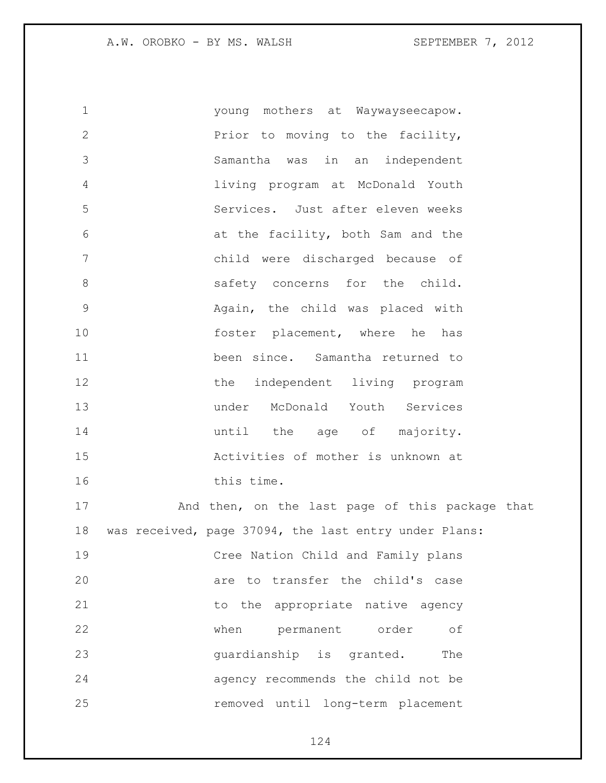young mothers at Waywayseecapow. Prior to moving to the facility, Samantha was in an independent living program at McDonald Youth Services. Just after eleven weeks at the facility, both Sam and the child were discharged because of 8 safety concerns for the child. Again, the child was placed with foster placement, where he has been since. Samantha returned to 12 the independent living program under McDonald Youth Services **until** the age of majority. Activities of mother is unknown at 16 this time. 17 And then, on the last page of this package that was received, page 37094, the last entry under Plans: Cree Nation Child and Family plans are to transfer the child's case 21 to the appropriate native agency when permanent order of 23 guardianship is granted. The agency recommends the child not be removed until long-term placement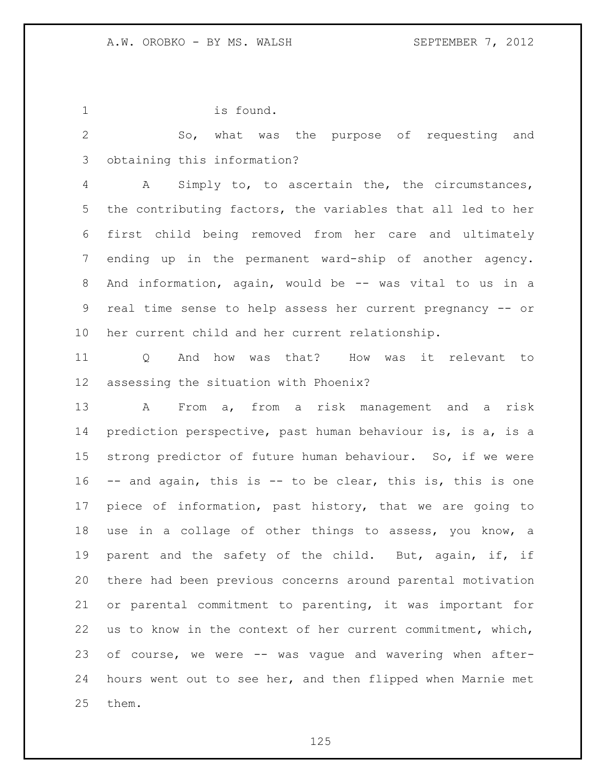is found.

 So, what was the purpose of requesting and obtaining this information?

 A Simply to, to ascertain the, the circumstances, the contributing factors, the variables that all led to her first child being removed from her care and ultimately ending up in the permanent ward-ship of another agency. And information, again, would be -- was vital to us in a real time sense to help assess her current pregnancy -- or her current child and her current relationship.

 Q And how was that? How was it relevant to assessing the situation with Phoenix?

 A From a, from a risk management and a risk prediction perspective, past human behaviour is, is a, is a strong predictor of future human behaviour. So, if we were -- and again, this is -- to be clear, this is, this is one piece of information, past history, that we are going to use in a collage of other things to assess, you know, a parent and the safety of the child. But, again, if, if there had been previous concerns around parental motivation or parental commitment to parenting, it was important for us to know in the context of her current commitment, which, of course, we were -- was vague and wavering when after- hours went out to see her, and then flipped when Marnie met them.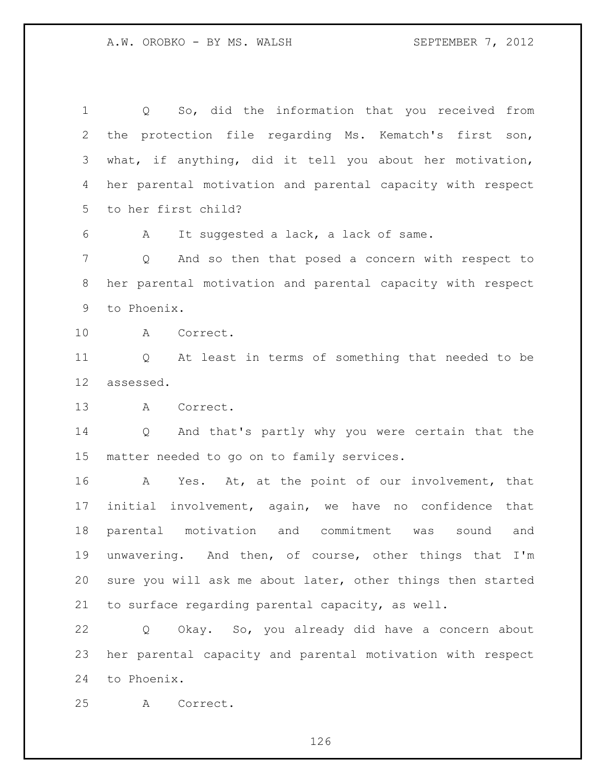Q So, did the information that you received from the protection file regarding Ms. Kematch's first son, what, if anything, did it tell you about her motivation, her parental motivation and parental capacity with respect to her first child?

A It suggested a lack, a lack of same.

 Q And so then that posed a concern with respect to her parental motivation and parental capacity with respect to Phoenix.

A Correct.

 Q At least in terms of something that needed to be assessed.

A Correct.

 Q And that's partly why you were certain that the matter needed to go on to family services.

 A Yes. At, at the point of our involvement, that initial involvement, again, we have no confidence that parental motivation and commitment was sound and unwavering. And then, of course, other things that I'm sure you will ask me about later, other things then started to surface regarding parental capacity, as well.

 Q Okay. So, you already did have a concern about her parental capacity and parental motivation with respect to Phoenix.

A Correct.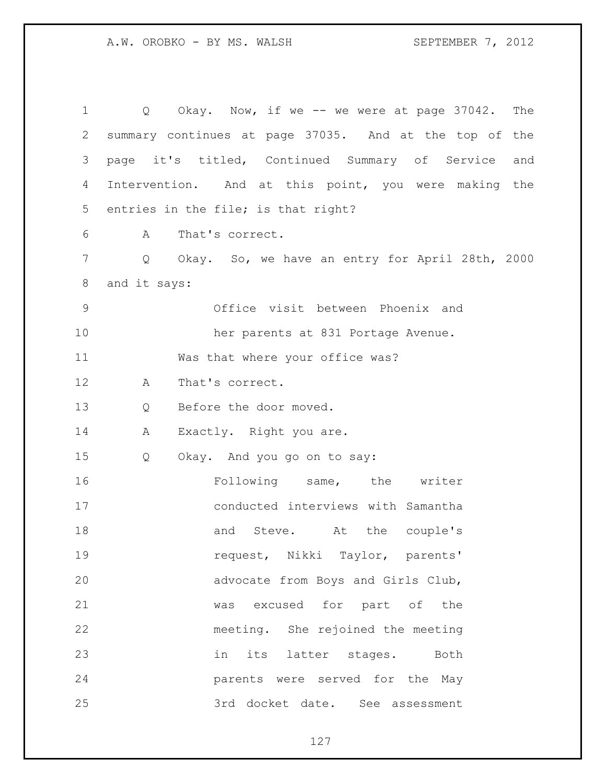Q Okay. Now, if we -- we were at page 37042. The summary continues at page 37035. And at the top of the page it's titled, Continued Summary of Service and Intervention. And at this point, you were making the entries in the file; is that right? A That's correct. Q Okay. So, we have an entry for April 28th, 2000 and it says: Office visit between Phoenix and her parents at 831 Portage Avenue. Was that where your office was? A That's correct. Q Before the door moved. 14 A Exactly. Right you are. Q Okay. And you go on to say: Following same, the writer conducted interviews with Samantha 18 and Steve. At the couple's request, Nikki Taylor, parents' advocate from Boys and Girls Club, was excused for part of the meeting. She rejoined the meeting in its latter stages. Both parents were served for the May 3rd docket date. See assessment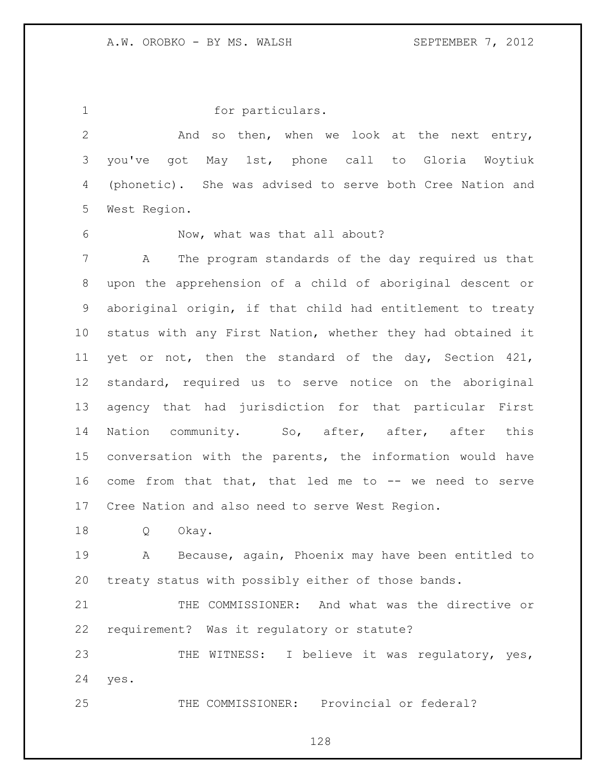1 for particulars. And so then, when we look at the next entry, you've got May 1st, phone call to Gloria Woytiuk (phonetic). She was advised to serve both Cree Nation and West Region.

Now, what was that all about?

 A The program standards of the day required us that upon the apprehension of a child of aboriginal descent or aboriginal origin, if that child had entitlement to treaty status with any First Nation, whether they had obtained it yet or not, then the standard of the day, Section 421, standard, required us to serve notice on the aboriginal agency that had jurisdiction for that particular First 14 Nation community. So, after, after, after this conversation with the parents, the information would have come from that that, that led me to -- we need to serve Cree Nation and also need to serve West Region.

Q Okay.

 A Because, again, Phoenix may have been entitled to treaty status with possibly either of those bands.

 THE COMMISSIONER: And what was the directive or requirement? Was it regulatory or statute?

23 THE WITNESS: I believe it was regulatory, yes, yes.

THE COMMISSIONER: Provincial or federal?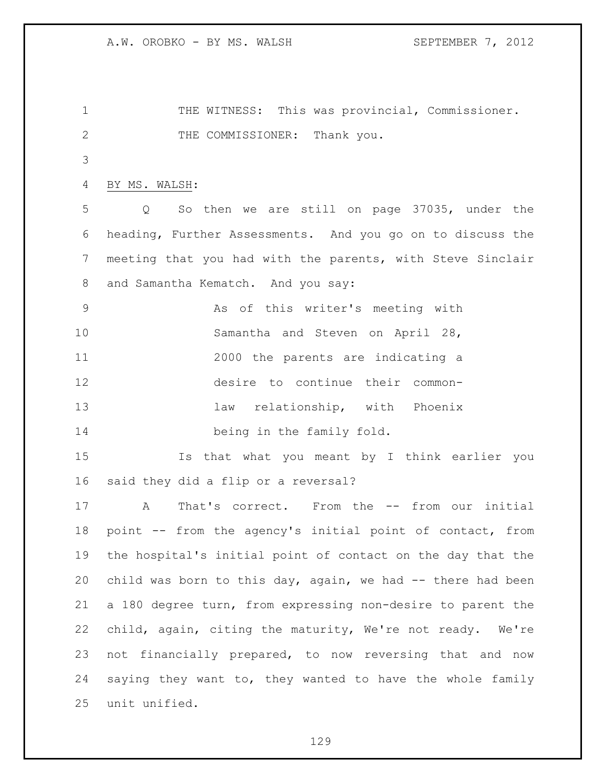THE WITNESS: This was provincial, Commissioner. 2 THE COMMISSIONER: Thank you. BY MS. WALSH: Q So then we are still on page 37035, under the heading, Further Assessments. And you go on to discuss the meeting that you had with the parents, with Steve Sinclair and Samantha Kematch. And you say: As of this writer's meeting with Samantha and Steven on April 28, 2000 the parents are indicating a desire to continue their common-13 law relationship, with Phoenix being in the family fold. Is that what you meant by I think earlier you said they did a flip or a reversal? A That's correct. From the -- from our initial point -- from the agency's initial point of contact, from the hospital's initial point of contact on the day that the child was born to this day, again, we had -- there had been a 180 degree turn, from expressing non-desire to parent the child, again, citing the maturity, We're not ready. We're not financially prepared, to now reversing that and now saying they want to, they wanted to have the whole family unit unified.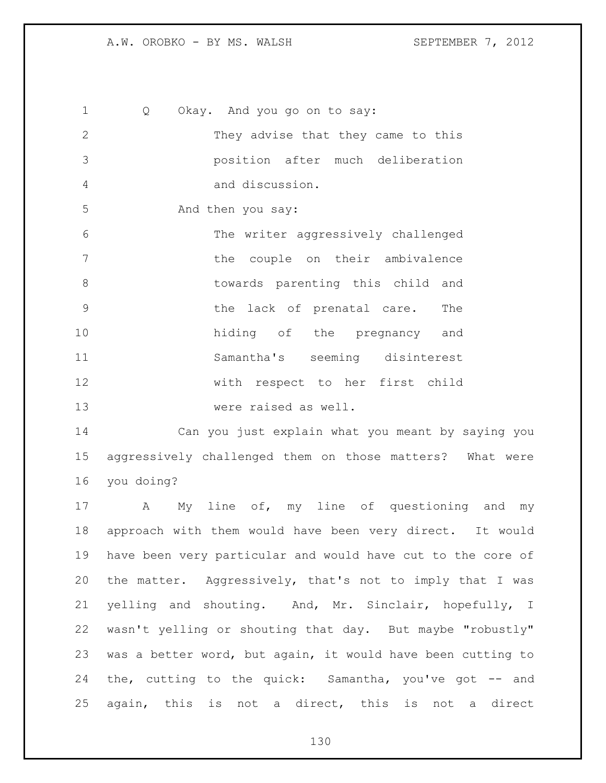Q Okay. And you go on to say: They advise that they came to this position after much deliberation and discussion. 5 And then you say: The writer aggressively challenged the couple on their ambivalence **b** towards parenting this child and the lack of prenatal care. The hiding of the pregnancy and Samantha's seeming disinterest with respect to her first child were raised as well.

 Can you just explain what you meant by saying you aggressively challenged them on those matters? What were you doing?

 A My line of, my line of questioning and my approach with them would have been very direct. It would have been very particular and would have cut to the core of the matter. Aggressively, that's not to imply that I was yelling and shouting. And, Mr. Sinclair, hopefully, I wasn't yelling or shouting that day. But maybe "robustly" was a better word, but again, it would have been cutting to the, cutting to the quick: Samantha, you've got -- and again, this is not a direct, this is not a direct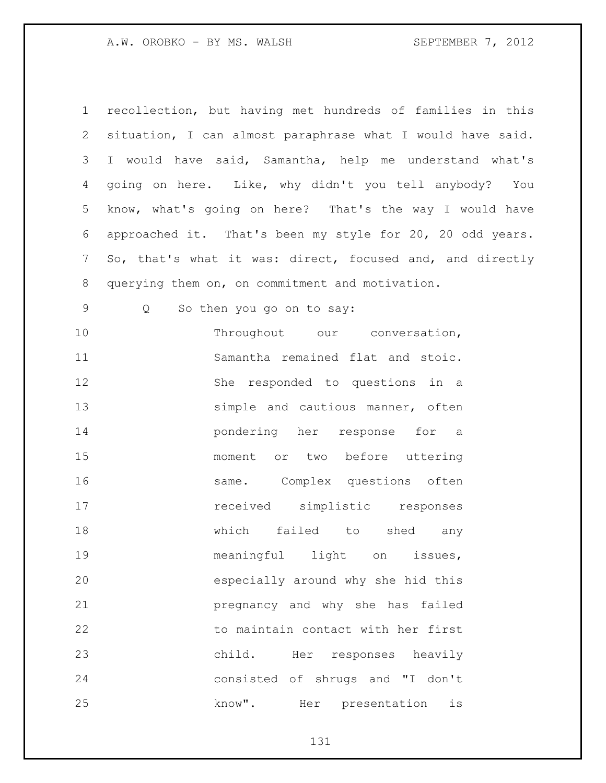| $\mathbf 1$ | recollection, but having met hundreds of families in this  |
|-------------|------------------------------------------------------------|
| 2           | situation, I can almost paraphrase what I would have said. |
| 3           | I would have said, Samantha, help me understand what's     |
| 4           | going on here. Like, why didn't you tell anybody? You      |
| 5           | know, what's going on here? That's the way I would have    |
| 6           | approached it. That's been my style for 20, 20 odd years.  |
| 7           | So, that's what it was: direct, focused and, and directly  |
| 8           | querying them on, on commitment and motivation.            |
| 9           | So then you go on to say:<br>Q                             |
| 10          | Throughout our conversation,                               |
| 11          | Samantha remained flat and stoic.                          |
| 12          | She responded to questions in a                            |
| 13          | simple and cautious manner, often                          |
| 14          | pondering her response for a                               |
| 15          | moment or two before uttering                              |
| 16          | same. Complex questions often                              |
| 17          | received simplistic responses                              |
| 18          | which<br>failed to<br>shed<br>any                          |
| 19          | meaningful light<br>on<br>issues,                          |
| 20          | especially around why she hid this                         |
| 21          | pregnancy and why she has failed                           |
| 22          | to maintain contact with her first                         |
| 23          | child. Her responses heavily                               |
| 24          | consisted of shrugs and "I don't                           |
| 25          | know". Her presentation<br>is                              |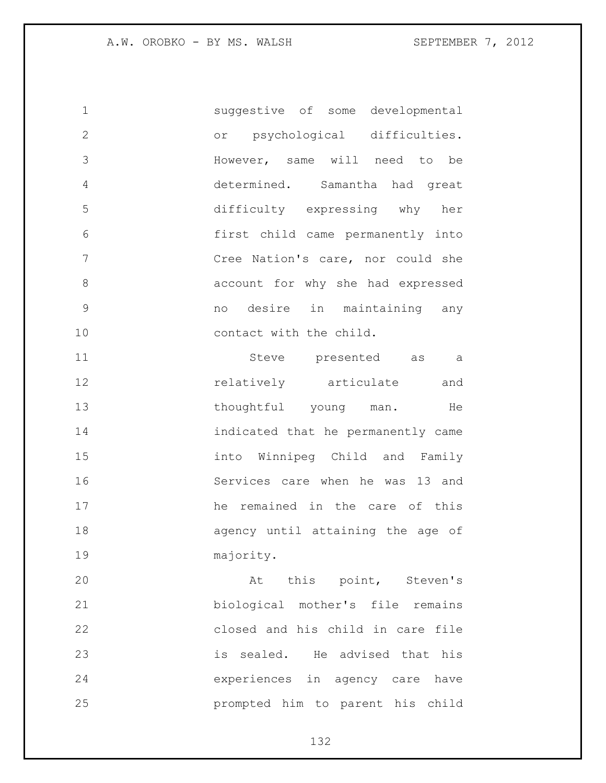suggestive of some developmental or psychological difficulties. However, same will need to be determined. Samantha had great difficulty expressing why her first child came permanently into Cree Nation's care, nor could she account for why she had expressed no desire in maintaining any 10 contact with the child.

 Steve presented as a **12** relatively articulate and 13 thoughtful young man. He indicated that he permanently came into Winnipeg Child and Family Services care when he was 13 and he remained in the care of this agency until attaining the age of majority.

20 At this point, Steven's biological mother's file remains closed and his child in care file is sealed. He advised that his experiences in agency care have prompted him to parent his child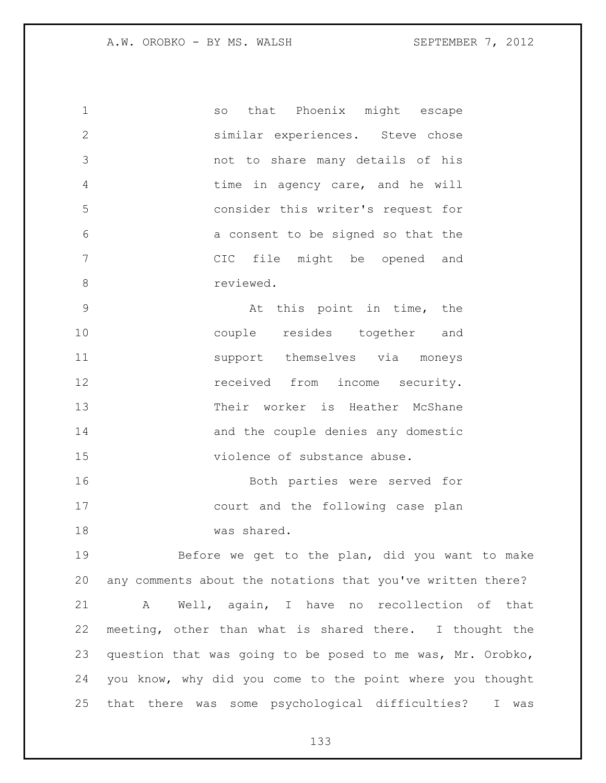so that Phoenix might escape similar experiences. Steve chose not to share many details of his 4 time in agency care, and he will consider this writer's request for a consent to be signed so that the CIC file might be opened and 8 reviewed.

 At this point in time, the couple resides together and 11 support themselves via moneys **12 received** from income security. Their worker is Heather McShane 14 and the couple denies any domestic violence of substance abuse.

 Both parties were served for court and the following case plan was shared.

 Before we get to the plan, did you want to make any comments about the notations that you've written there? A Well, again, I have no recollection of that meeting, other than what is shared there. I thought the question that was going to be posed to me was, Mr. Orobko, you know, why did you come to the point where you thought that there was some psychological difficulties? I was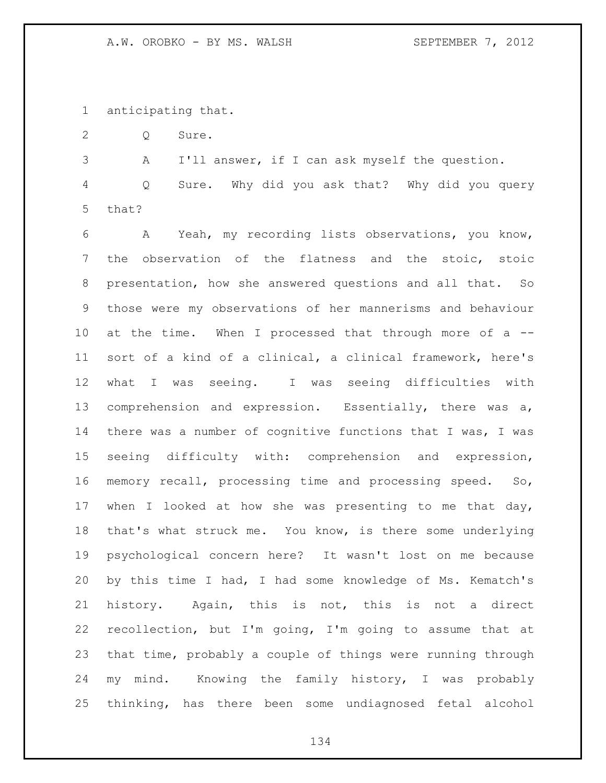anticipating that.

Q Sure.

 A I'll answer, if I can ask myself the question. Q Sure. Why did you ask that? Why did you query that?

 A Yeah, my recording lists observations, you know, the observation of the flatness and the stoic, stoic presentation, how she answered questions and all that. So those were my observations of her mannerisms and behaviour at the time. When I processed that through more of a -- sort of a kind of a clinical, a clinical framework, here's what I was seeing. I was seeing difficulties with comprehension and expression. Essentially, there was a, there was a number of cognitive functions that I was, I was seeing difficulty with: comprehension and expression, memory recall, processing time and processing speed. So, when I looked at how she was presenting to me that day, that's what struck me. You know, is there some underlying psychological concern here? It wasn't lost on me because by this time I had, I had some knowledge of Ms. Kematch's history. Again, this is not, this is not a direct recollection, but I'm going, I'm going to assume that at that time, probably a couple of things were running through my mind. Knowing the family history, I was probably thinking, has there been some undiagnosed fetal alcohol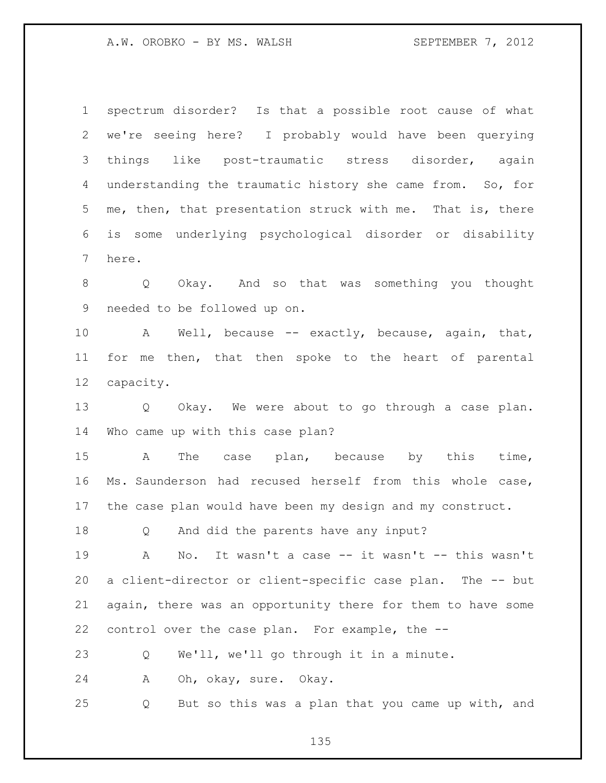spectrum disorder? Is that a possible root cause of what we're seeing here? I probably would have been querying things like post-traumatic stress disorder, again understanding the traumatic history she came from. So, for me, then, that presentation struck with me. That is, there is some underlying psychological disorder or disability here.

 Q Okay. And so that was something you thought needed to be followed up on.

 A Well, because -- exactly, because, again, that, for me then, that then spoke to the heart of parental capacity.

 Q Okay. We were about to go through a case plan. Who came up with this case plan?

 A The case plan, because by this time, Ms. Saunderson had recused herself from this whole case, the case plan would have been my design and my construct.

Q And did the parents have any input?

 A No. It wasn't a case -- it wasn't -- this wasn't a client-director or client-specific case plan. The -- but again, there was an opportunity there for them to have some control over the case plan. For example, the --

Q We'll, we'll go through it in a minute.

A Oh, okay, sure. Okay.

Q But so this was a plan that you came up with, and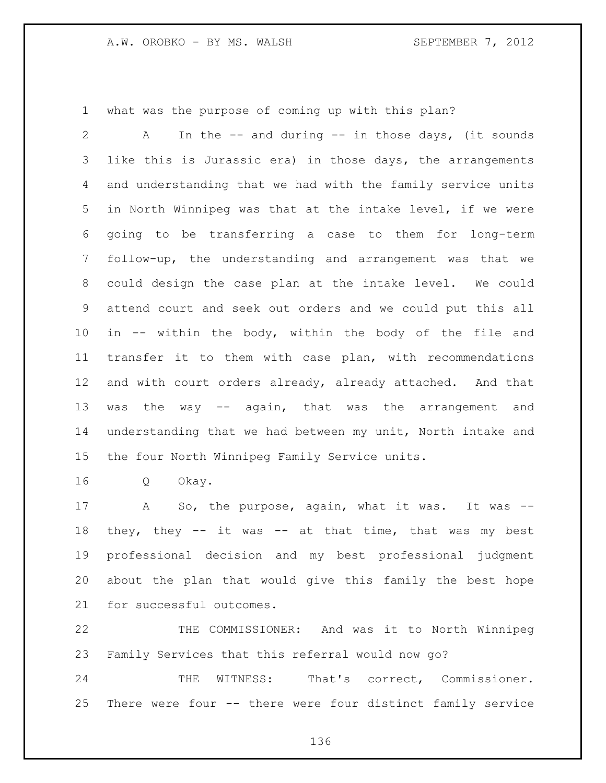what was the purpose of coming up with this plan?

 A In the -- and during -- in those days, (it sounds like this is Jurassic era) in those days, the arrangements and understanding that we had with the family service units in North Winnipeg was that at the intake level, if we were going to be transferring a case to them for long-term follow-up, the understanding and arrangement was that we could design the case plan at the intake level. We could attend court and seek out orders and we could put this all in -- within the body, within the body of the file and transfer it to them with case plan, with recommendations and with court orders already, already attached. And that 13 was the way -- again, that was the arrangement and understanding that we had between my unit, North intake and the four North Winnipeg Family Service units.

Q Okay.

17 A So, the purpose, again, what it was. It was --18 they, they -- it was -- at that time, that was my best professional decision and my best professional judgment about the plan that would give this family the best hope for successful outcomes.

 THE COMMISSIONER: And was it to North Winnipeg Family Services that this referral would now go?

 THE WITNESS: That's correct, Commissioner. There were four -- there were four distinct family service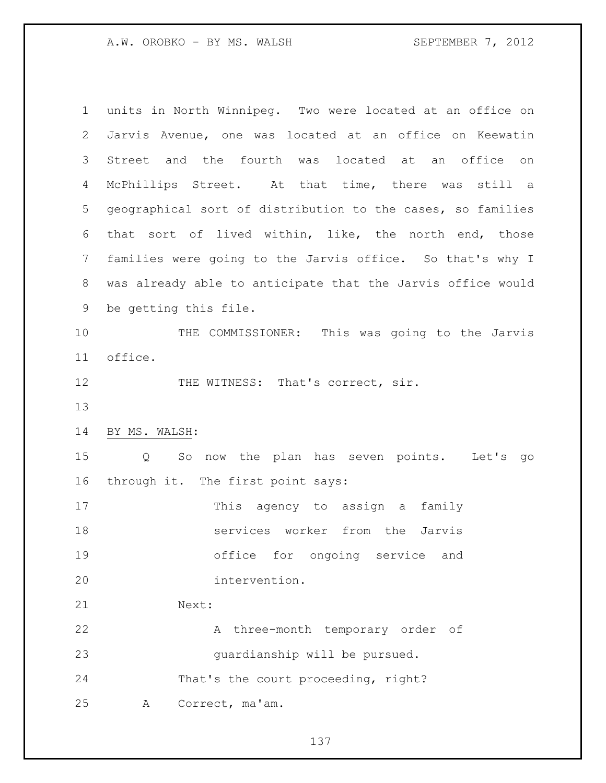| $\mathbf 1$ | units in North Winnipeq. Two were located at an office on       |
|-------------|-----------------------------------------------------------------|
| 2           | Jarvis Avenue, one was located at an office on Keewatin         |
| 3           | Street and the fourth was located at an office on               |
| 4           | McPhillips Street. At that time, there was still a              |
| 5           | geographical sort of distribution to the cases, so families     |
| 6           | that sort of lived within, like, the north end, those           |
| 7           | families were going to the Jarvis office. So that's why I       |
| 8           | was already able to anticipate that the Jarvis office would     |
| 9           | be getting this file.                                           |
| 10          | THE COMMISSIONER: This was going to the Jarvis                  |
| 11          | office.                                                         |
| 12          | THE WITNESS: That's correct, sir.                               |
| 13          |                                                                 |
| 14          | BY MS. WALSH:                                                   |
| 15          | So now the plan has seven points. Let's go<br>$Q \qquad \qquad$ |
| 16          | through it. The first point says:                               |
| 17          | This agency to assign a<br>family                               |
| 18          | services worker from the<br>Jarvis                              |
| 19          | office for ongoing service and                                  |
| 20          | intervention.                                                   |
| 21          | Next:                                                           |
| 22          | three-month temporary order of<br>A                             |
| 23          | quardianship will be pursued.                                   |
| 24          | That's the court proceeding, right?                             |
| 25          | Correct, ma'am.<br>A                                            |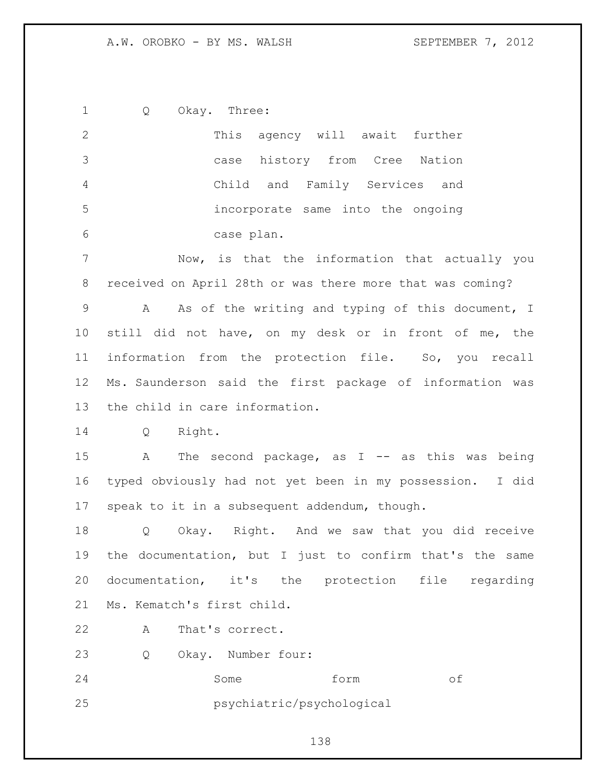Q Okay. Three: This agency will await further case history from Cree Nation Child and Family Services and incorporate same into the ongoing case plan. Now, is that the information that actually you received on April 28th or was there more that was coming? A As of the writing and typing of this document, I still did not have, on my desk or in front of me, the information from the protection file. So, you recall Ms. Saunderson said the first package of information was the child in care information. Q Right. 15 A The second package, as I -- as this was being typed obviously had not yet been in my possession. I did speak to it in a subsequent addendum, though. Q Okay. Right. And we saw that you did receive the documentation, but I just to confirm that's the same documentation, it's the protection file regarding Ms. Kematch's first child. A That's correct. Q Okay. Number four: Some form of psychiatric/psychological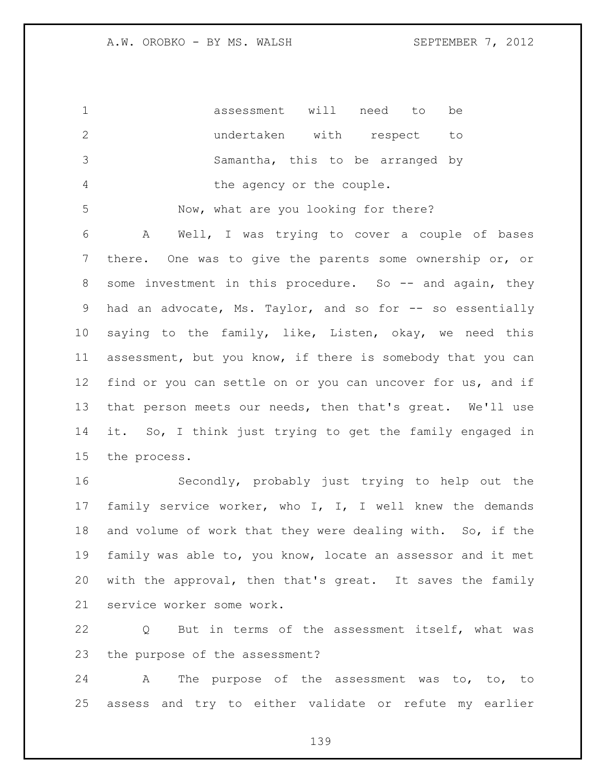assessment will need to be undertaken with respect to Samantha, this to be arranged by the agency or the couple.

Now, what are you looking for there?

 A Well, I was trying to cover a couple of bases there. One was to give the parents some ownership or, or 8 some investment in this procedure. So -- and again, they 9 had an advocate, Ms. Taylor, and so for -- so essentially saying to the family, like, Listen, okay, we need this assessment, but you know, if there is somebody that you can find or you can settle on or you can uncover for us, and if that person meets our needs, then that's great. We'll use it. So, I think just trying to get the family engaged in the process.

 Secondly, probably just trying to help out the family service worker, who I, I, I well knew the demands and volume of work that they were dealing with. So, if the family was able to, you know, locate an assessor and it met with the approval, then that's great. It saves the family service worker some work.

 Q But in terms of the assessment itself, what was the purpose of the assessment?

 A The purpose of the assessment was to, to, to assess and try to either validate or refute my earlier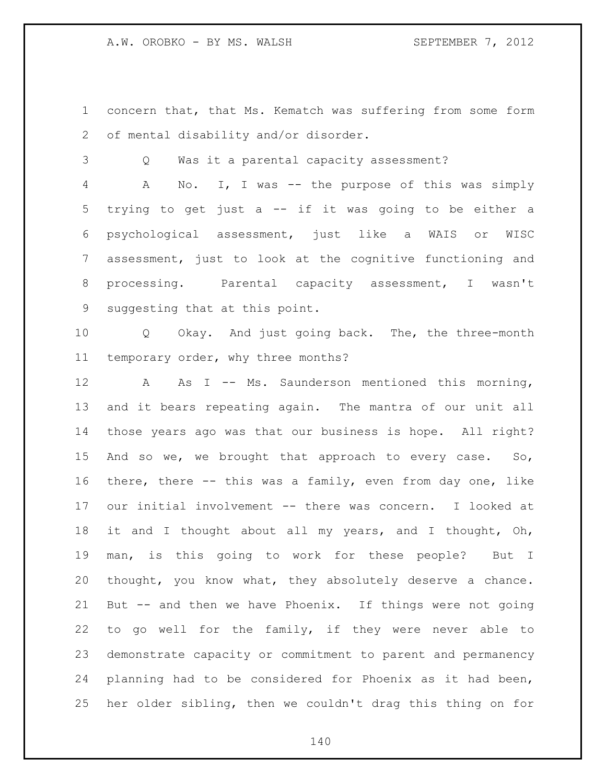concern that, that Ms. Kematch was suffering from some form of mental disability and/or disorder.

Q Was it a parental capacity assessment?

 A No. I, I was -- the purpose of this was simply trying to get just a -- if it was going to be either a psychological assessment, just like a WAIS or WISC assessment, just to look at the cognitive functioning and processing. Parental capacity assessment, I wasn't suggesting that at this point.

 Q Okay. And just going back. The, the three-month temporary order, why three months?

12 A As I -- Ms. Saunderson mentioned this morning, and it bears repeating again. The mantra of our unit all those years ago was that our business is hope. All right? And so we, we brought that approach to every case. So, there, there -- this was a family, even from day one, like our initial involvement -- there was concern. I looked at it and I thought about all my years, and I thought, Oh, man, is this going to work for these people? But I thought, you know what, they absolutely deserve a chance. But -- and then we have Phoenix. If things were not going to go well for the family, if they were never able to demonstrate capacity or commitment to parent and permanency planning had to be considered for Phoenix as it had been, her older sibling, then we couldn't drag this thing on for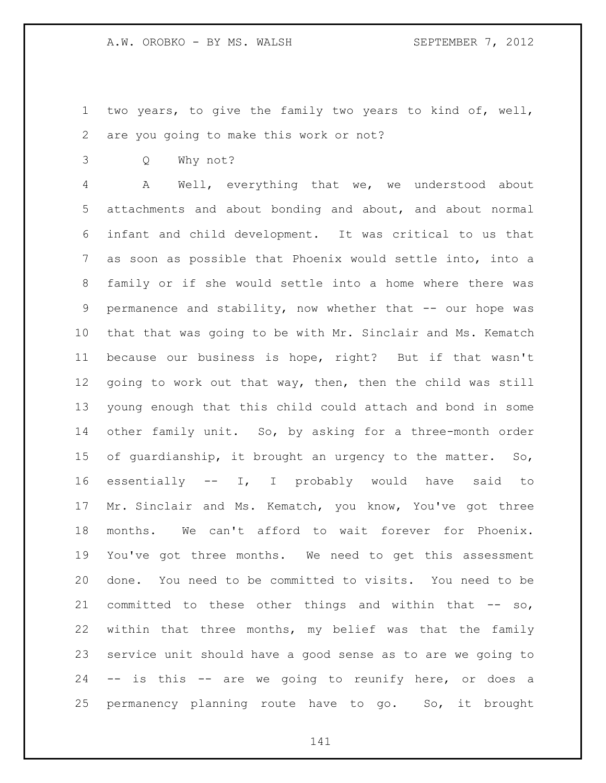- two years, to give the family two years to kind of, well, are you going to make this work or not?
- Q Why not?

 A Well, everything that we, we understood about attachments and about bonding and about, and about normal infant and child development. It was critical to us that as soon as possible that Phoenix would settle into, into a family or if she would settle into a home where there was permanence and stability, now whether that -- our hope was that that was going to be with Mr. Sinclair and Ms. Kematch because our business is hope, right? But if that wasn't going to work out that way, then, then the child was still young enough that this child could attach and bond in some 14 other family unit. So, by asking for a three-month order of guardianship, it brought an urgency to the matter. So, essentially -- I, I probably would have said to Mr. Sinclair and Ms. Kematch, you know, You've got three months. We can't afford to wait forever for Phoenix. You've got three months. We need to get this assessment done. You need to be committed to visits. You need to be committed to these other things and within that -- so, within that three months, my belief was that the family service unit should have a good sense as to are we going to -- is this -- are we going to reunify here, or does a permanency planning route have to go. So, it brought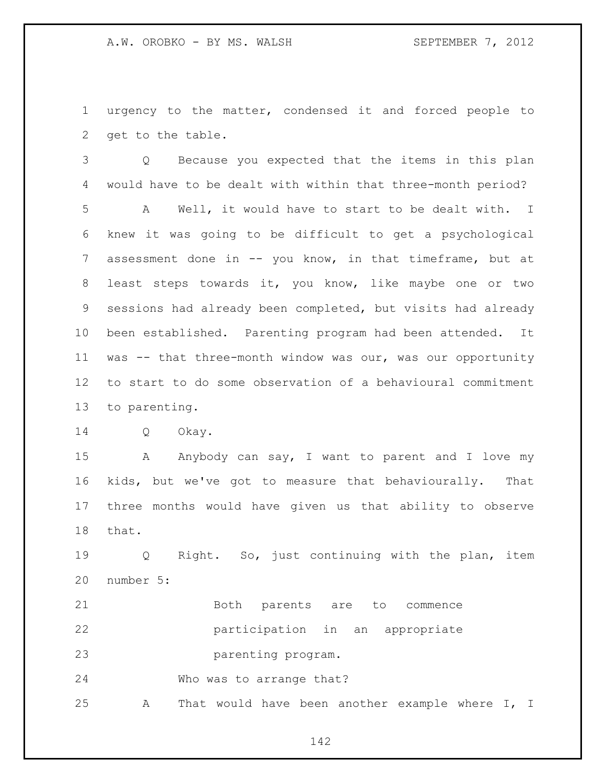urgency to the matter, condensed it and forced people to get to the table.

 Q Because you expected that the items in this plan would have to be dealt with within that three-month period? A Well, it would have to start to be dealt with. I knew it was going to be difficult to get a psychological assessment done in -- you know, in that timeframe, but at least steps towards it, you know, like maybe one or two sessions had already been completed, but visits had already been established. Parenting program had been attended. It was -- that three-month window was our, was our opportunity to start to do some observation of a behavioural commitment to parenting.

Q Okay.

15 A Anybody can say, I want to parent and I love my kids, but we've got to measure that behaviourally. That three months would have given us that ability to observe that.

 Q Right. So, just continuing with the plan, item number 5:

21 Both parents are to commence participation in an appropriate parenting program. Who was to arrange that?

A That would have been another example where I, I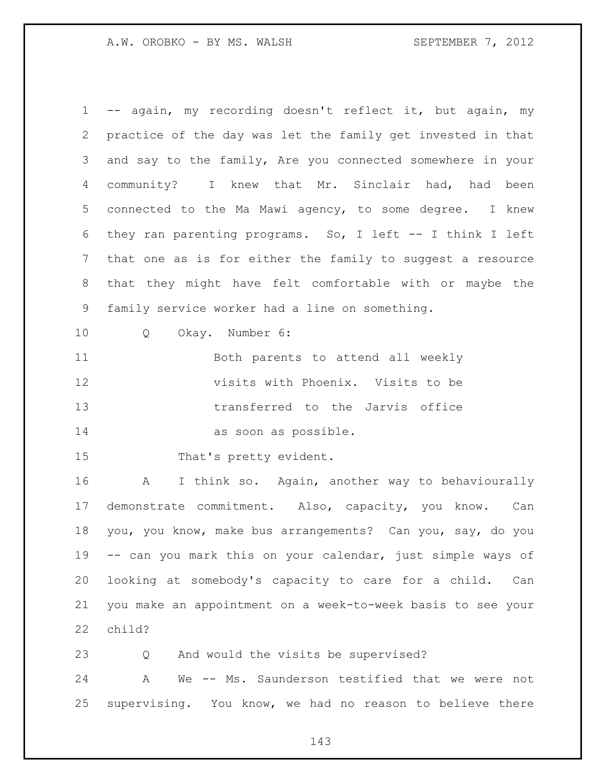-- again, my recording doesn't reflect it, but again, my practice of the day was let the family get invested in that and say to the family, Are you connected somewhere in your community? I knew that Mr. Sinclair had, had been connected to the Ma Mawi agency, to some degree. I knew they ran parenting programs. So, I left -- I think I left that one as is for either the family to suggest a resource that they might have felt comfortable with or maybe the family service worker had a line on something.

Q Okay. Number 6:

 Both parents to attend all weekly visits with Phoenix. Visits to be transferred to the Jarvis office as soon as possible.

15 That's pretty evident.

 A I think so. Again, another way to behaviourally demonstrate commitment. Also, capacity, you know. Can you, you know, make bus arrangements? Can you, say, do you -- can you mark this on your calendar, just simple ways of looking at somebody's capacity to care for a child. Can you make an appointment on a week-to-week basis to see your child?

Q And would the visits be supervised?

 A We -- Ms. Saunderson testified that we were not supervising. You know, we had no reason to believe there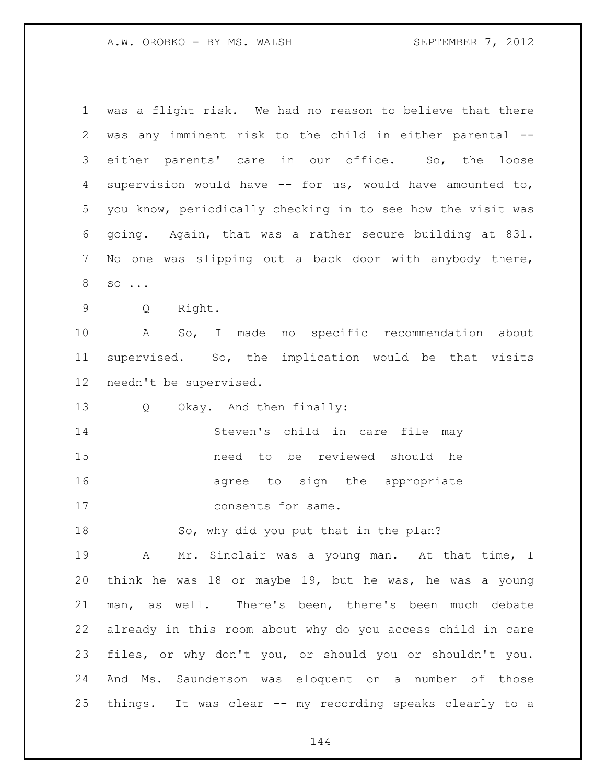was a flight risk. We had no reason to believe that there was any imminent risk to the child in either parental -- either parents' care in our office. So, the loose supervision would have -- for us, would have amounted to, you know, periodically checking in to see how the visit was going. Again, that was a rather secure building at 831. No one was slipping out a back door with anybody there, so ... Q Right. A So, I made no specific recommendation about supervised. So, the implication would be that visits needn't be supervised. Q Okay. And then finally: Steven's child in care file may need to be reviewed should he agree to sign the appropriate 17 consents for same. So, why did you put that in the plan? A Mr. Sinclair was a young man. At that time, I think he was 18 or maybe 19, but he was, he was a young man, as well. There's been, there's been much debate already in this room about why do you access child in care files, or why don't you, or should you or shouldn't you. And Ms. Saunderson was eloquent on a number of those things. It was clear -- my recording speaks clearly to a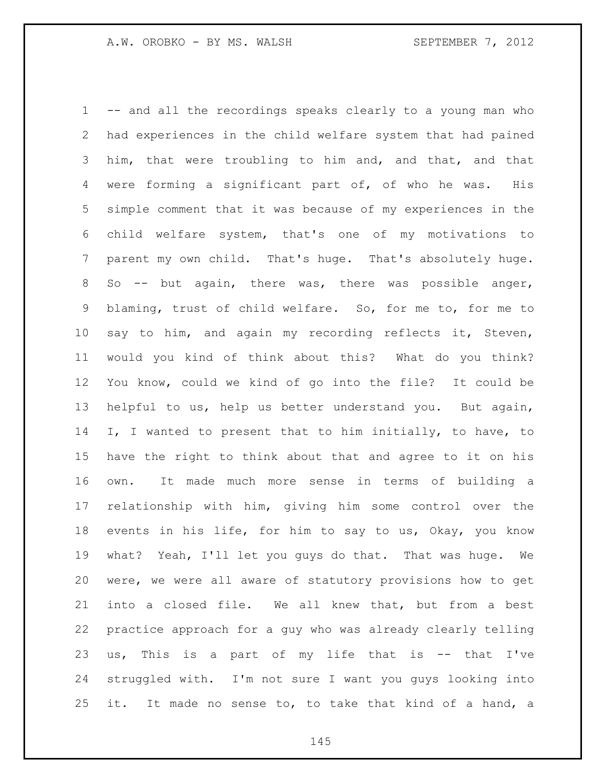-- and all the recordings speaks clearly to a young man who had experiences in the child welfare system that had pained him, that were troubling to him and, and that, and that were forming a significant part of, of who he was. His simple comment that it was because of my experiences in the child welfare system, that's one of my motivations to parent my own child. That's huge. That's absolutely huge. So -- but again, there was, there was possible anger, blaming, trust of child welfare. So, for me to, for me to say to him, and again my recording reflects it, Steven, would you kind of think about this? What do you think? You know, could we kind of go into the file? It could be helpful to us, help us better understand you. But again, I, I wanted to present that to him initially, to have, to have the right to think about that and agree to it on his own. It made much more sense in terms of building a relationship with him, giving him some control over the events in his life, for him to say to us, Okay, you know what? Yeah, I'll let you guys do that. That was huge. We were, we were all aware of statutory provisions how to get into a closed file. We all knew that, but from a best practice approach for a guy who was already clearly telling us, This is a part of my life that is -- that I've struggled with. I'm not sure I want you guys looking into it. It made no sense to, to take that kind of a hand, a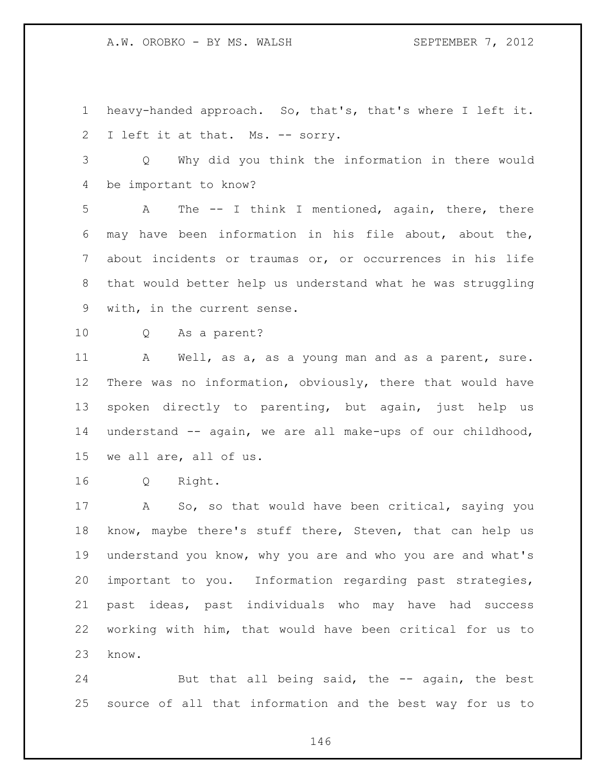A.W. OROBKO - BY MS. WALSH SEPTEMBER 7, 2012

 heavy-handed approach. So, that's, that's where I left it. I left it at that. Ms. -- sorry.

 Q Why did you think the information in there would be important to know?

 A The -- I think I mentioned, again, there, there may have been information in his file about, about the, about incidents or traumas or, or occurrences in his life that would better help us understand what he was struggling with, in the current sense.

Q As a parent?

11 A Well, as a, as a young man and as a parent, sure. There was no information, obviously, there that would have spoken directly to parenting, but again, just help us understand -- again, we are all make-ups of our childhood, we all are, all of us.

Q Right.

 A So, so that would have been critical, saying you know, maybe there's stuff there, Steven, that can help us understand you know, why you are and who you are and what's important to you. Information regarding past strategies, past ideas, past individuals who may have had success working with him, that would have been critical for us to know.

24 But that all being said, the -- again, the best source of all that information and the best way for us to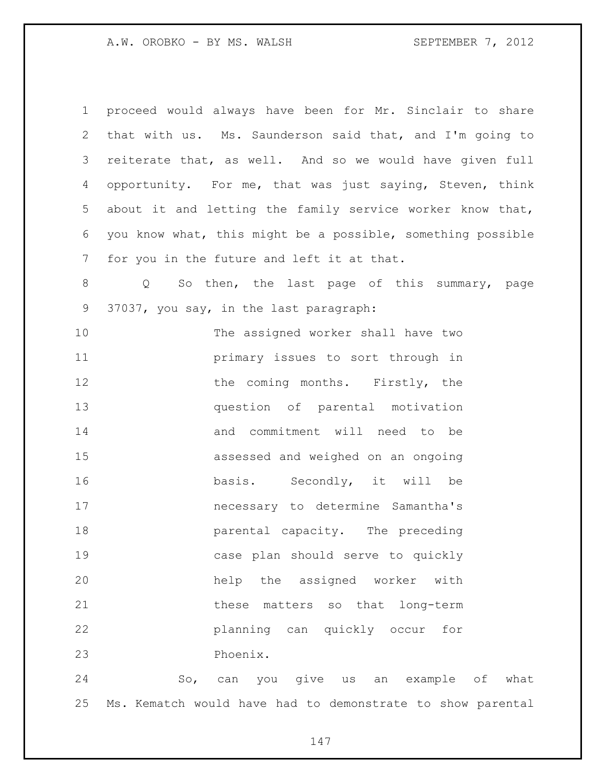| 1               | proceed would always have been for Mr. Sinclair to share          |
|-----------------|-------------------------------------------------------------------|
| 2               | that with us. Ms. Saunderson said that, and I'm going to          |
| 3               | reiterate that, as well. And so we would have given full          |
| 4               | opportunity. For me, that was just saying, Steven, think          |
| 5               | about it and letting the family service worker know that,         |
| 6               | you know what, this might be a possible, something possible       |
| $7\phantom{.0}$ | for you in the future and left it at that.                        |
| 8               | So then, the last page of this summary, page<br>$Q \qquad \qquad$ |
| 9               | 37037, you say, in the last paragraph:                            |
| 10              | The assigned worker shall have two                                |
| 11              | primary issues to sort through in                                 |
| 12              | the coming months. Firstly, the                                   |
| 13              | question of parental motivation                                   |
| 14              | and commitment will need to be                                    |
| 15              | assessed and weighed on an ongoing                                |
| 16              | basis. Secondly, it will be                                       |
| 17              | necessary to determine Samantha's                                 |
| 18              | parental capacity. The preceding                                  |
| 19              | case plan should serve to quickly                                 |
| 20              | help the assigned worker<br>with                                  |
| 21              | these<br>matters so that long-term                                |
| 22              | planning can quickly occur<br>for                                 |
| 23              | Phoenix.                                                          |
| 24              | give us<br>example of<br>So,<br>you<br>what<br>can<br>an          |

Ms. Kematch would have had to demonstrate to show parental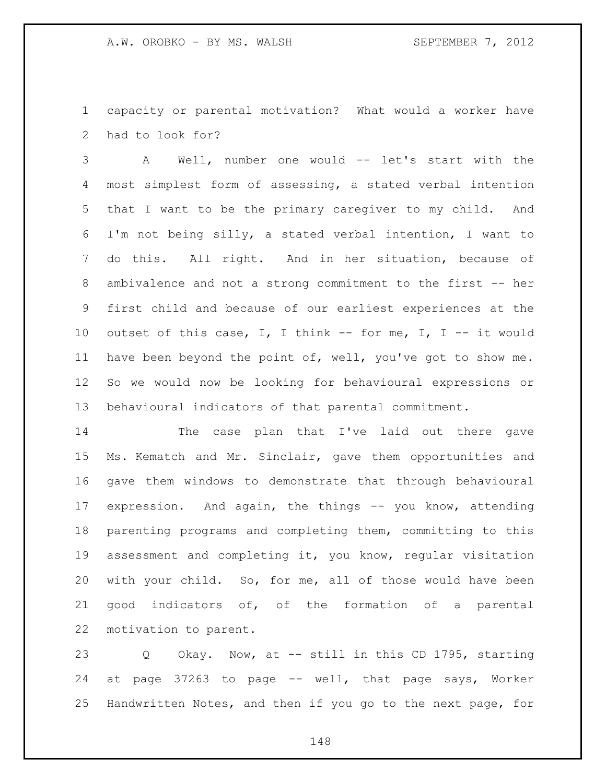capacity or parental motivation? What would a worker have had to look for?

 A Well, number one would -- let's start with the most simplest form of assessing, a stated verbal intention that I want to be the primary caregiver to my child. And I'm not being silly, a stated verbal intention, I want to do this. All right. And in her situation, because of 8 ambivalence and not a strong commitment to the first -- her first child and because of our earliest experiences at the outset of this case, I, I think -- for me, I, I -- it would have been beyond the point of, well, you've got to show me. So we would now be looking for behavioural expressions or behavioural indicators of that parental commitment.

 The case plan that I've laid out there gave Ms. Kematch and Mr. Sinclair, gave them opportunities and gave them windows to demonstrate that through behavioural expression. And again, the things -- you know, attending parenting programs and completing them, committing to this assessment and completing it, you know, regular visitation with your child. So, for me, all of those would have been good indicators of, of the formation of a parental motivation to parent.

 Q Okay. Now, at -- still in this CD 1795, starting at page 37263 to page -- well, that page says, Worker Handwritten Notes, and then if you go to the next page, for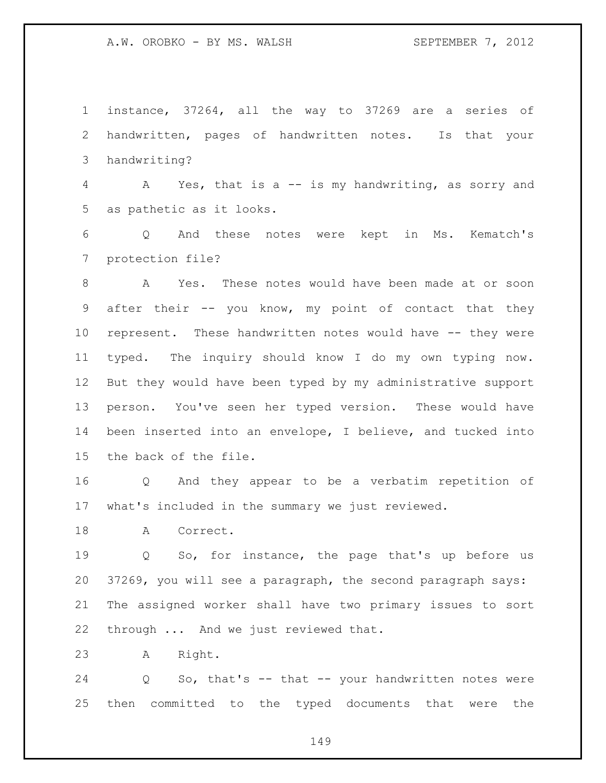instance, 37264, all the way to 37269 are a series of handwritten, pages of handwritten notes. Is that your handwriting?

 A Yes, that is a -- is my handwriting, as sorry and as pathetic as it looks.

 Q And these notes were kept in Ms. Kematch's protection file?

 A Yes. These notes would have been made at or soon after their -- you know, my point of contact that they represent. These handwritten notes would have -- they were typed. The inquiry should know I do my own typing now. But they would have been typed by my administrative support person. You've seen her typed version. These would have been inserted into an envelope, I believe, and tucked into the back of the file.

 Q And they appear to be a verbatim repetition of what's included in the summary we just reviewed.

18 A Correct.

 Q So, for instance, the page that's up before us 37269, you will see a paragraph, the second paragraph says: The assigned worker shall have two primary issues to sort through ... And we just reviewed that.

A Right.

 Q So, that's -- that -- your handwritten notes were then committed to the typed documents that were the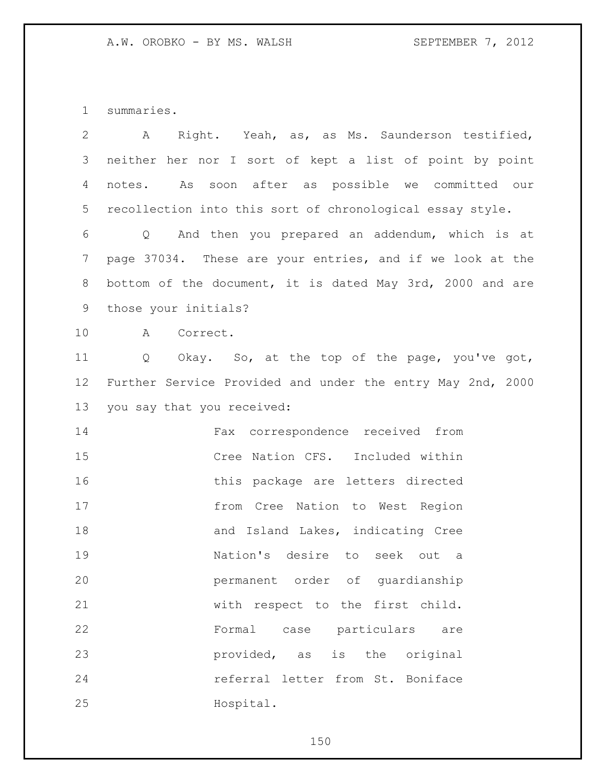summaries.

| $\overline{2}$ | Right. Yeah, as, as Ms. Saunderson testified,<br>A         |
|----------------|------------------------------------------------------------|
| 3              | neither her nor I sort of kept a list of point by point    |
| 4              | As soon after as possible we committed our<br>notes.       |
| 5              | recollection into this sort of chronological essay style.  |
| 6              | Q And then you prepared an addendum, which is at           |
| $\overline{7}$ | page 37034. These are your entries, and if we look at the  |
| $8\,$          | bottom of the document, it is dated May 3rd, 2000 and are  |
| 9              | those your initials?                                       |
| 10             | Correct.<br>A                                              |
| 11             | Okay. So, at the top of the page, you've got,<br>Q         |
| 12             | Further Service Provided and under the entry May 2nd, 2000 |
| 13             | you say that you received:                                 |
| 14             | Fax correspondence received from                           |
| 15             | Cree Nation CFS. Included within                           |
| 16             | this package are letters directed                          |
| 17             | from Cree Nation to West Region                            |
| 18             | and Island Lakes, indicating Cree                          |
| 19             | Nation's desire to seek out<br>a                           |
| 20             | permanent order of quardianship                            |
| 21             | with respect to the first child.                           |
| 22             | case particulars<br>Formal<br>are                          |
| 23             | provided, as<br>is the original                            |
| 24             | referral letter from St. Boniface                          |
| 25             | Hospital.                                                  |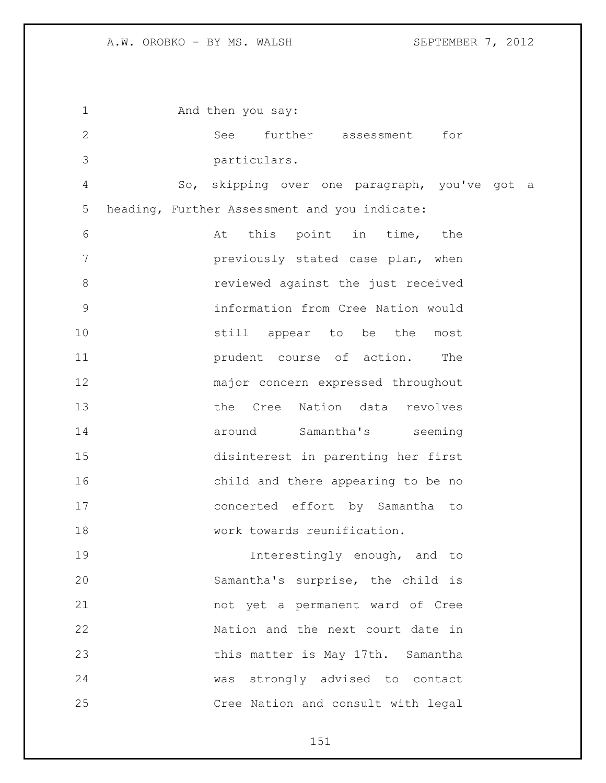1 And then you say: See further assessment for particulars. So, skipping over one paragraph, you've got a heading, Further Assessment and you indicate: At this point in time, the previously stated case plan, when reviewed against the just received information from Cree Nation would still appear to be the most prudent course of action. The major concern expressed throughout the Cree Nation data revolves around Samantha's seeming disinterest in parenting her first child and there appearing to be no concerted effort by Samantha to 18 work towards reunification. **Interestingly enough, and to**  Samantha's surprise, the child is not yet a permanent ward of Cree Nation and the next court date in this matter is May 17th. Samantha was strongly advised to contact Cree Nation and consult with legal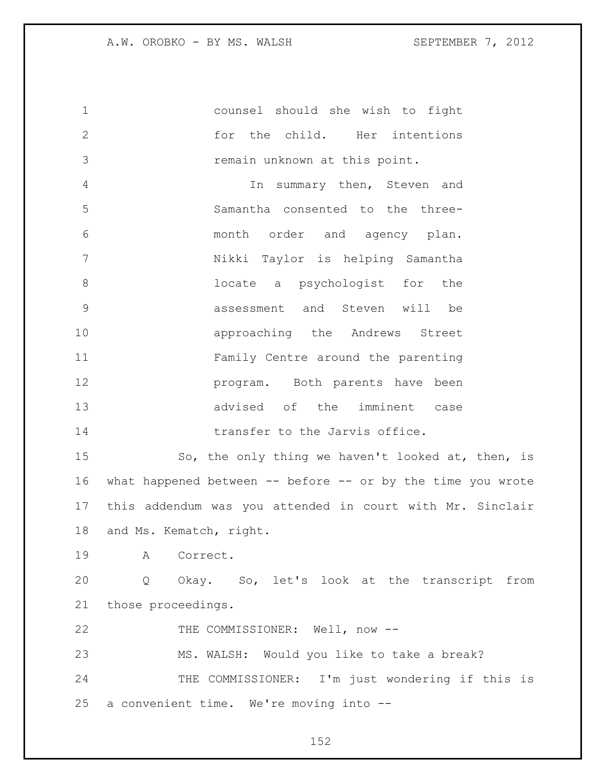counsel should she wish to fight for the child. Her intentions remain unknown at this point. In summary then, Steven and Samantha consented to the three- month order and agency plan. Nikki Taylor is helping Samantha locate a psychologist for the assessment and Steven will be approaching the Andrews Street Family Centre around the parenting **program.** Both parents have been advised of the imminent case **transfer to the Jarvis office.** 

15 So, the only thing we haven't looked at, then, is what happened between -- before -- or by the time you wrote this addendum was you attended in court with Mr. Sinclair and Ms. Kematch, right.

A Correct.

 Q Okay. So, let's look at the transcript from those proceedings.

22 THE COMMISSIONER: Well, now --

MS. WALSH: Would you like to take a break?

 THE COMMISSIONER: I'm just wondering if this is a convenient time. We're moving into --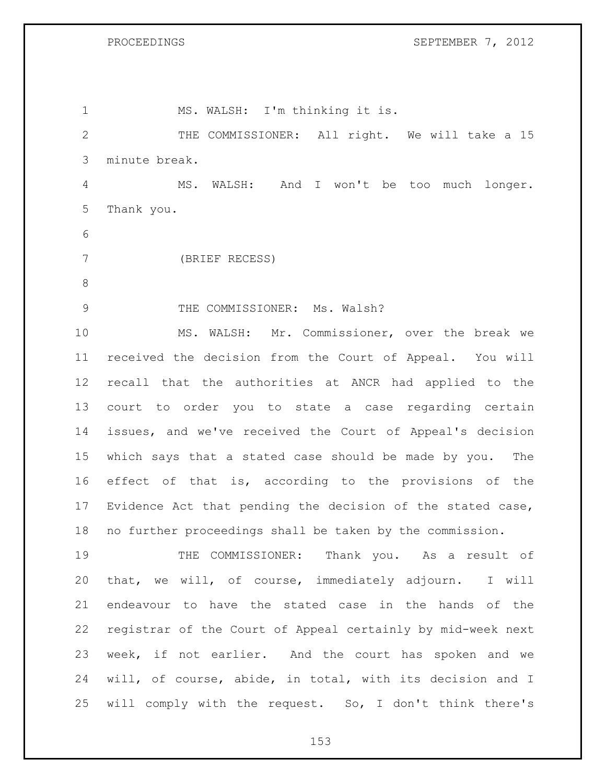1 MS. WALSH: I'm thinking it is. THE COMMISSIONER: All right. We will take a 15 minute break. MS. WALSH: And I won't be too much longer. Thank you. (BRIEF RECESS) 9 THE COMMISSIONER: Ms. Walsh? MS. WALSH: Mr. Commissioner, over the break we received the decision from the Court of Appeal. You will recall that the authorities at ANCR had applied to the court to order you to state a case regarding certain issues, and we've received the Court of Appeal's decision which says that a stated case should be made by you. The effect of that is, according to the provisions of the Evidence Act that pending the decision of the stated case, no further proceedings shall be taken by the commission. THE COMMISSIONER: Thank you. As a result of that, we will, of course, immediately adjourn. I will endeavour to have the stated case in the hands of the registrar of the Court of Appeal certainly by mid-week next week, if not earlier. And the court has spoken and we will, of course, abide, in total, with its decision and I will comply with the request. So, I don't think there's